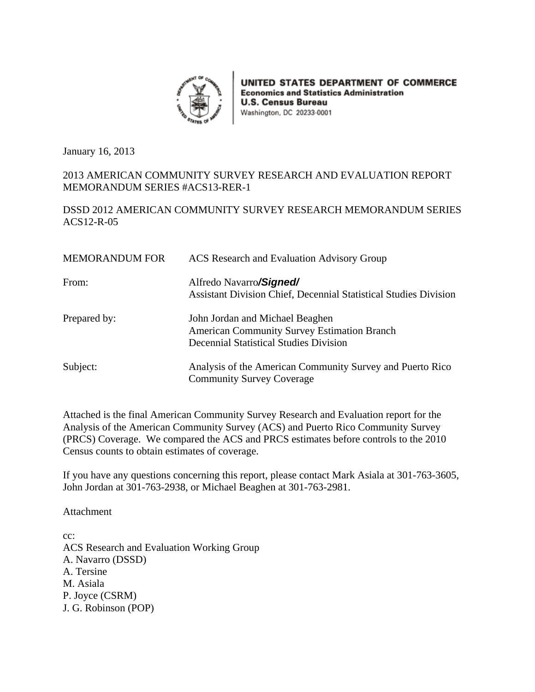

UNITED STATES DEPARTMENT OF COMMERCE **Economics and Statistics Administration U.S. Census Bureau** Washington, DC 20233-0001

January 16, 2013

#### 2013 AMERICAN COMMUNITY SURVEY RESEARCH AND EVALUATION REPORT MEMORANDUM SERIES #ACS13-RER-1

#### DSSD 2012 AMERICAN COMMUNITY SURVEY RESEARCH MEMORANDUM SERIES ACS12-R-05

| <b>MEMORANDUM FOR</b> | ACS Research and Evaluation Advisory Group                                                                                             |
|-----------------------|----------------------------------------------------------------------------------------------------------------------------------------|
| From:                 | Alfredo Navarro <b>/Signed/</b><br>Assistant Division Chief, Decennial Statistical Studies Division                                    |
| Prepared by:          | John Jordan and Michael Beaghen<br><b>American Community Survey Estimation Branch</b><br><b>Decennial Statistical Studies Division</b> |
| Subject:              | Analysis of the American Community Survey and Puerto Rico<br><b>Community Survey Coverage</b>                                          |

Attached is the final American Community Survey Research and Evaluation report for the Analysis of the American Community Survey (ACS) and Puerto Rico Community Survey (PRCS) Coverage. We compared the ACS and PRCS estimates before controls to the 2010 Census counts to obtain estimates of coverage.

If you have any questions concerning this report, please contact Mark Asiala at 301-763-3605, John Jordan at 301-763-2938, or Michael Beaghen at 301-763-2981.

Attachment

cc: ACS Research and Evaluation Working Group A. Navarro (DSSD) A. Tersine M. Asiala P. Joyce (CSRM) J. G. Robinson (POP)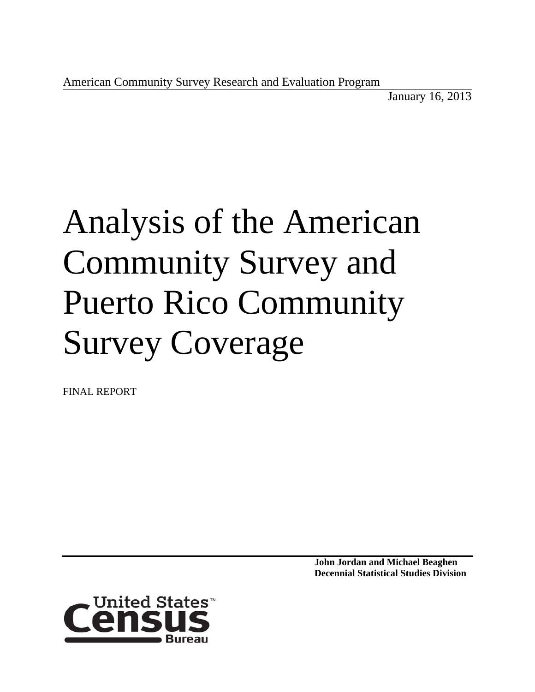January 16, 2013

# Analysis of the American Community Survey and Puerto Rico Community Survey Coverage

FINAL REPORT

**John Jordan and Michael Beaghen Decennial Statistical Studies Division**

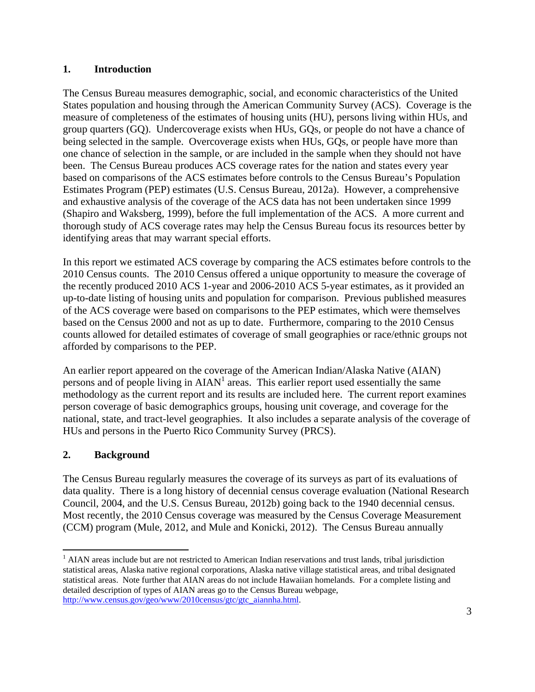#### **1. Introduction**

The Census Bureau measures demographic, social, and economic characteristics of the United States population and housing through the American Community Survey (ACS). Coverage is the measure of completeness of the estimates of housing units (HU), persons living within HUs, and group quarters (GQ). Undercoverage exists when HUs, GQs, or people do not have a chance of being selected in the sample. Overcoverage exists when HUs, GQs, or people have more than one chance of selection in the sample, or are included in the sample when they should not have been. The Census Bureau produces ACS coverage rates for the nation and states every year based on comparisons of the ACS estimates before controls to the Census Bureau's Population Estimates Program (PEP) estimates (U.S. Census Bureau, 2012a). However, a comprehensive and exhaustive analysis of the coverage of the ACS data has not been undertaken since 1999 (Shapiro and Waksberg, 1999), before the full implementation of the ACS. A more current and thorough study of ACS coverage rates may help the Census Bureau focus its resources better by identifying areas that may warrant special efforts.

In this report we estimated ACS coverage by comparing the ACS estimates before controls to the 2010 Census counts. The 2010 Census offered a unique opportunity to measure the coverage of the recently produced 2010 ACS 1-year and 2006-2010 ACS 5-year estimates, as it provided an up-to-date listing of housing units and population for comparison. Previous published measures of the ACS coverage were based on comparisons to the PEP estimates, which were themselves based on the Census 2000 and not as up to date. Furthermore, comparing to the 2010 Census counts allowed for detailed estimates of coverage of small geographies or race/ethnic groups not afforded by comparisons to the PEP.

An earlier report appeared on the coverage of the American Indian/Alaska Native (AIAN) persons and of people living in  $A I A N<sup>1</sup>$  areas. This earlier report used essentially the same methodology as the current report and its results are included here. The current report examines person coverage of basic demographics groups, housing unit coverage, and coverage for the national, state, and tract-level geographies. It also includes a separate analysis of the coverage of HUs and persons in the Puerto Rico Community Survey (PRCS).

## **2. Background**

 $\overline{a}$ 

The Census Bureau regularly measures the coverage of its surveys as part of its evaluations of data quality. There is a long history of decennial census coverage evaluation (National Research Council, 2004, and the U.S. Census Bureau, 2012b) going back to the 1940 decennial census. Most recently, the 2010 Census coverage was measured by the Census Coverage Measurement (CCM) program (Mule, 2012, and Mule and Konicki, 2012). The Census Bureau annually

<sup>&</sup>lt;sup>1</sup> AIAN areas include but are not restricted to American Indian reservations and trust lands, tribal jurisdiction statistical areas, Alaska native regional corporations, Alaska native village statistical areas, and tribal designated statistical areas. Note further that AIAN areas do not include Hawaiian homelands. For a complete listing and detailed description of types of AIAN areas go to the Census Bureau webpage, http://www.census.gov/geo/www/2010census/gtc/gtc\_aiannha.html.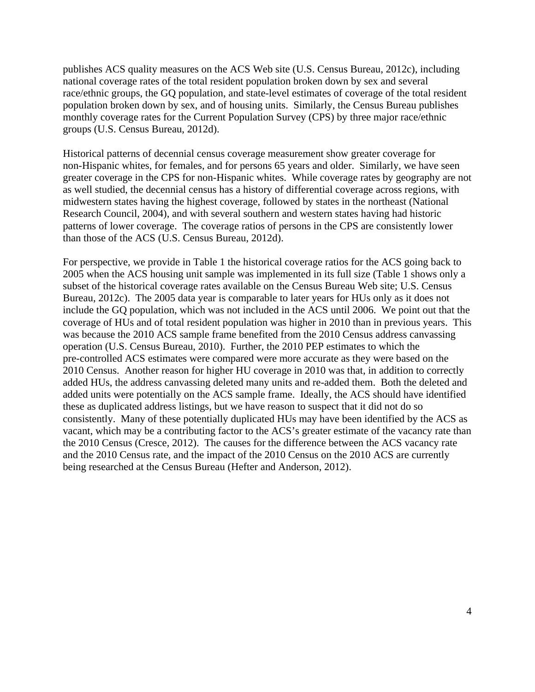publishes ACS quality measures on the ACS Web site (U.S. Census Bureau, 2012c), including national coverage rates of the total resident population broken down by sex and several race/ethnic groups, the GQ population, and state-level estimates of coverage of the total resident population broken down by sex, and of housing units. Similarly, the Census Bureau publishes monthly coverage rates for the Current Population Survey (CPS) by three major race/ethnic groups (U.S. Census Bureau, 2012d).

Historical patterns of decennial census coverage measurement show greater coverage for non-Hispanic whites, for females, and for persons 65 years and older. Similarly, we have seen greater coverage in the CPS for non-Hispanic whites. While coverage rates by geography are not as well studied, the decennial census has a history of differential coverage across regions, with midwestern states having the highest coverage, followed by states in the northeast (National Research Council, 2004), and with several southern and western states having had historic patterns of lower coverage. The coverage ratios of persons in the CPS are consistently lower than those of the ACS (U.S. Census Bureau, 2012d).

For perspective, we provide in Table 1 the historical coverage ratios for the ACS going back to 2005 when the ACS housing unit sample was implemented in its full size (Table 1 shows only a subset of the historical coverage rates available on the Census Bureau Web site; U.S. Census Bureau, 2012c). The 2005 data year is comparable to later years for HUs only as it does not include the GQ population, which was not included in the ACS until 2006. We point out that the coverage of HUs and of total resident population was higher in 2010 than in previous years. This was because the 2010 ACS sample frame benefited from the 2010 Census address canvassing operation (U.S. Census Bureau, 2010). Further, the 2010 PEP estimates to which the pre-controlled ACS estimates were compared were more accurate as they were based on the 2010 Census. Another reason for higher HU coverage in 2010 was that, in addition to correctly added HUs, the address canvassing deleted many units and re-added them. Both the deleted and added units were potentially on the ACS sample frame. Ideally, the ACS should have identified these as duplicated address listings, but we have reason to suspect that it did not do so consistently. Many of these potentially duplicated HUs may have been identified by the ACS as vacant, which may be a contributing factor to the ACS's greater estimate of the vacancy rate than the 2010 Census (Cresce, 2012). The causes for the difference between the ACS vacancy rate and the 2010 Census rate, and the impact of the 2010 Census on the 2010 ACS are currently being researched at the Census Bureau (Hefter and Anderson, 2012).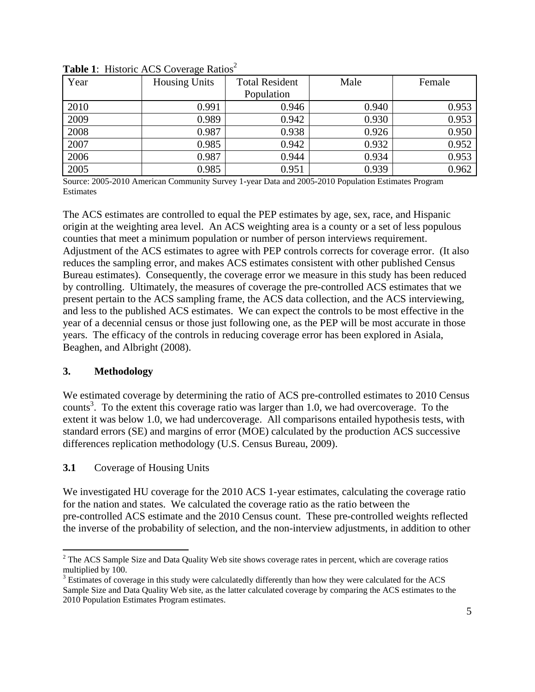| Year | ັ<br><b>Housing Units</b> | <b>Total Resident</b> | Male  | Female |  |
|------|---------------------------|-----------------------|-------|--------|--|
|      |                           | Population            |       |        |  |
| 2010 | 0.991                     | 0.946                 | 0.940 | 0.953  |  |
| 2009 | 0.989                     | 0.942                 | 0.930 | 0.953  |  |
| 2008 | 0.987                     | 0.938                 | 0.926 | 0.950  |  |
| 2007 | 0.985                     | 0.942                 | 0.932 | 0.952  |  |
| 2006 | 0.987                     | 0.944                 | 0.934 | 0.953  |  |
| 2005 | 0.985                     | 0.951                 | 0.939 | 0.962  |  |

**Table 1:** Historic ACS Coverage Ratios<sup>2</sup>

Source: 2005-2010 American Community Survey 1-year Data and 2005-2010 Population Estimates Program **Estimates** 

The ACS estimates are controlled to equal the PEP estimates by age, sex, race, and Hispanic origin at the weighting area level. An ACS weighting area is a county or a set of less populous counties that meet a minimum population or number of person interviews requirement. Adjustment of the ACS estimates to agree with PEP controls corrects for coverage error. (It also reduces the sampling error, and makes ACS estimates consistent with other published Census Bureau estimates). Consequently, the coverage error we measure in this study has been reduced by controlling. Ultimately, the measures of coverage the pre-controlled ACS estimates that we present pertain to the ACS sampling frame, the ACS data collection, and the ACS interviewing, and less to the published ACS estimates. We can expect the controls to be most effective in the year of a decennial census or those just following one, as the PEP will be most accurate in those years. The efficacy of the controls in reducing coverage error has been explored in Asiala, Beaghen, and Albright (2008).

## **3. Methodology**

 $\overline{a}$ 

We estimated coverage by determining the ratio of ACS pre-controlled estimates to 2010 Census counts<sup>3</sup>. To the extent this coverage ratio was larger than 1.0, we had overcoverage. To the extent it was below 1.0, we had undercoverage. All comparisons entailed hypothesis tests, with standard errors (SE) and margins of error (MOE) calculated by the production ACS successive differences replication methodology (U.S. Census Bureau, 2009).

#### **3.1** Coverage of Housing Units

We investigated HU coverage for the 2010 ACS 1-year estimates, calculating the coverage ratio for the nation and states. We calculated the coverage ratio as the ratio between the pre-controlled ACS estimate and the 2010 Census count. These pre-controlled weights reflected the inverse of the probability of selection, and the non-interview adjustments, in addition to other

 $2^2$  The ACS Sample Size and Data Quality Web site shows coverage rates in percent, which are coverage ratios multiplied by 100.

<sup>&</sup>lt;sup>3</sup> Estimates of coverage in this study were calculatedly differently than how they were calculated for the ACS Sample Size and Data Quality Web site, as the latter calculated coverage by comparing the ACS estimates to the 2010 Population Estimates Program estimates.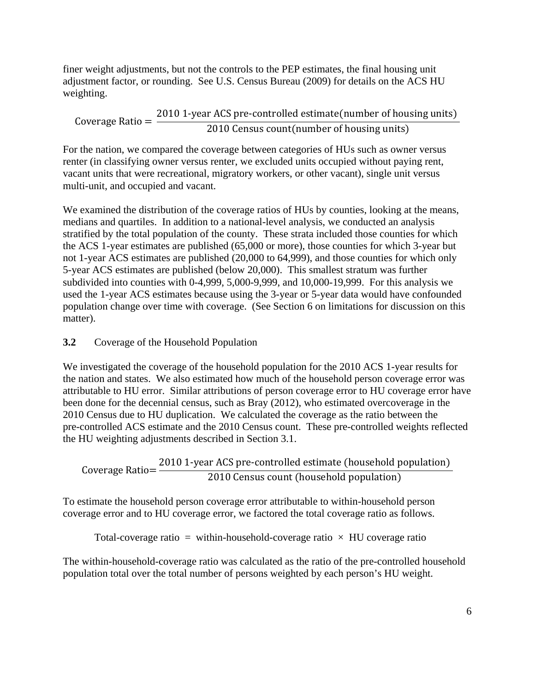finer weight adjustments, but not the controls to the PEP estimates, the final housing unit adjustment factor, or rounding. See U.S. Census Bureau (2009) for details on the ACS HU weighting.

Coverage Ratio =  $\frac{2010 \text{ 1-year ACS pre-controlled estimate (number of housing units)}}{2010 \text{ 1-year Acases}}$ **2010 Census count (number of housing units)** 

For the nation, we compared the coverage between categories of HUs such as owner versus renter (in classifying owner versus renter, we excluded units occupied without paying rent, vacant units that were recreational, migratory workers, or other vacant), single unit versus multi-unit, and occupied and vacant.

We examined the distribution of the coverage ratios of HUs by counties, looking at the means, medians and quartiles. In addition to a national-level analysis, we conducted an analysis stratified by the total population of the county. These strata included those counties for which the ACS 1-year estimates are published (65,000 or more), those counties for which 3-year but not 1-year ACS estimates are published (20,000 to 64,999), and those counties for which only 5-year ACS estimates are published (below 20,000). This smallest stratum was further subdivided into counties with 0-4,999, 5,000-9,999, and 10,000-19,999. For this analysis we used the 1-year ACS estimates because using the 3-year or 5-year data would have confounded population change over time with coverage. (See Section 6 on limitations for discussion on this matter).

## **3.2** Coverage of the Household Population

We investigated the coverage of the household population for the 2010 ACS 1-year results for the nation and states. We also estimated how much of the household person coverage error was attributable to HU error. Similar attributions of person coverage error to HU coverage error have been done for the decennial census, such as Bray (2012), who estimated overcoverage in the 2010 Census due to HU duplication. We calculated the coverage as the ratio between the pre-controlled ACS estimate and the 2010 Census count. These pre-controlled weights reflected the HU weighting adjustments described in Section 3.1.

Coverage Ratio= $\frac{2010 \text{ 1-year AGS pre-controlled estimate}$  (household population) 2010 Census count (household population)

To estimate the household person coverage error attributable to within-household person coverage error and to HU coverage error, we factored the total coverage ratio as follows.

Total-coverage ratio = within-household-coverage ratio  $\times$  HU coverage ratio

The within-household-coverage ratio was calculated as the ratio of the pre-controlled household population total over the total number of persons weighted by each person's HU weight.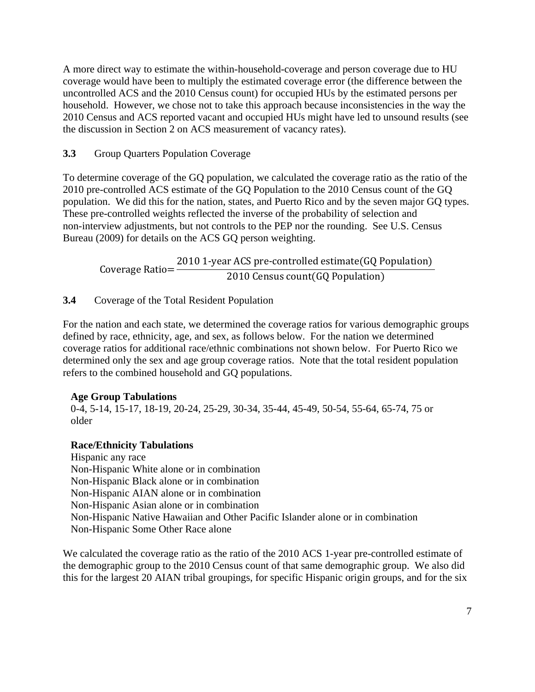A more direct way to estimate the within-household-coverage and person coverage due to HU coverage would have been to multiply the estimated coverage error (the difference between the uncontrolled ACS and the 2010 Census count) for occupied HUs by the estimated persons per household. However, we chose not to take this approach because inconsistencies in the way the 2010 Census and ACS reported vacant and occupied HUs might have led to unsound results (see the discussion in Section 2 on ACS measurement of vacancy rates).

## **3.3** Group Quarters Population Coverage

To determine coverage of the GQ population, we calculated the coverage ratio as the ratio of the 2010 pre-controlled ACS estimate of the GQ Population to the 2010 Census count of the GQ population. We did this for the nation, states, and Puerto Rico and by the seven major GQ types. These pre-controlled weights reflected the inverse of the probability of selection and non-interview adjustments, but not controls to the PEP nor the rounding. See U.S. Census Bureau (2009) for details on the ACS GQ person weighting.

Coverage Ratio $=\frac{2010 \text{ 1-year AGS pre-controlled estimate} (GQ Population)}{2010 \text{ 2000}}$ 2010 Census count(GQ Population)

**3.4** Coverage of the Total Resident Population

For the nation and each state, we determined the coverage ratios for various demographic groups defined by race, ethnicity, age, and sex, as follows below. For the nation we determined coverage ratios for additional race/ethnic combinations not shown below. For Puerto Rico we determined only the sex and age group coverage ratios. Note that the total resident population refers to the combined household and GQ populations.

## **Age Group Tabulations**

0-4, 5-14, 15-17, 18-19, 20-24, 25-29, 30-34, 35-44, 45-49, 50-54, 55-64, 65-74, 75 or older

## **Race/Ethnicity Tabulations**

Hispanic any race Non-Hispanic White alone or in combination Non-Hispanic Black alone or in combination Non-Hispanic AIAN alone or in combination Non-Hispanic Asian alone or in combination Non-Hispanic Native Hawaiian and Other Pacific Islander alone or in combination Non-Hispanic Some Other Race alone

We calculated the coverage ratio as the ratio of the 2010 ACS 1-year pre-controlled estimate of the demographic group to the 2010 Census count of that same demographic group. We also did this for the largest 20 AIAN tribal groupings, for specific Hispanic origin groups, and for the six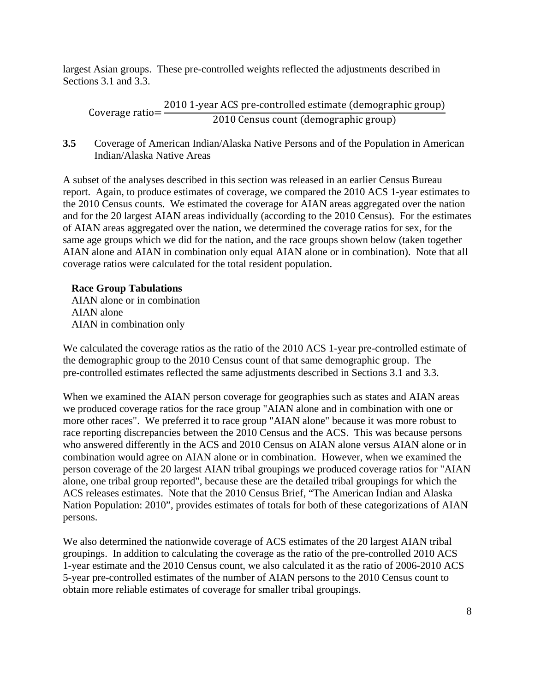largest Asian groups. These pre-controlled weights reflected the adjustments described in Sections 3.1 and 3.3.

Coverage ratioൌ 2010 1 -year ACS pre-controlled estimate ሺdemographic groupሻ 2010 Census count (demographic group)

**3.5** Coverage of American Indian/Alaska Native Persons and of the Population in American Indian/Alaska Native Areas

A subset of the analyses described in this section was released in an earlier Census Bureau report. Again, to produce estimates of coverage, we compared the 2010 ACS 1-year estimates to the 2010 Census counts. We estimated the coverage for AIAN areas aggregated over the nation and for the 20 largest AIAN areas individually (according to the 2010 Census). For the estimates of AIAN areas aggregated over the nation, we determined the coverage ratios for sex, for the same age groups which we did for the nation, and the race groups shown below (taken together AIAN alone and AIAN in combination only equal AIAN alone or in combination). Note that all coverage ratios were calculated for the total resident population.

#### **Race Group Tabulations**

AIAN alone or in combination AIAN alone AIAN in combination only

We calculated the coverage ratios as the ratio of the 2010 ACS 1-year pre-controlled estimate of the demographic group to the 2010 Census count of that same demographic group. The pre-controlled estimates reflected the same adjustments described in Sections 3.1 and 3.3.

When we examined the AIAN person coverage for geographies such as states and AIAN areas we produced coverage ratios for the race group "AIAN alone and in combination with one or more other races". We preferred it to race group "AIAN alone" because it was more robust to race reporting discrepancies between the 2010 Census and the ACS. This was because persons who answered differently in the ACS and 2010 Census on AIAN alone versus AIAN alone or in combination would agree on AIAN alone or in combination. However, when we examined the person coverage of the 20 largest AIAN tribal groupings we produced coverage ratios for "AIAN alone, one tribal group reported", because these are the detailed tribal groupings for which the ACS releases estimates. Note that the 2010 Census Brief, "The American Indian and Alaska Nation Population: 2010", provides estimates of totals for both of these categorizations of AIAN persons.

We also determined the nationwide coverage of ACS estimates of the 20 largest AIAN tribal groupings. In addition to calculating the coverage as the ratio of the pre-controlled 2010 ACS 1-year estimate and the 2010 Census count, we also calculated it as the ratio of 2006-2010 ACS 5-year pre-controlled estimates of the number of AIAN persons to the 2010 Census count to obtain more reliable estimates of coverage for smaller tribal groupings.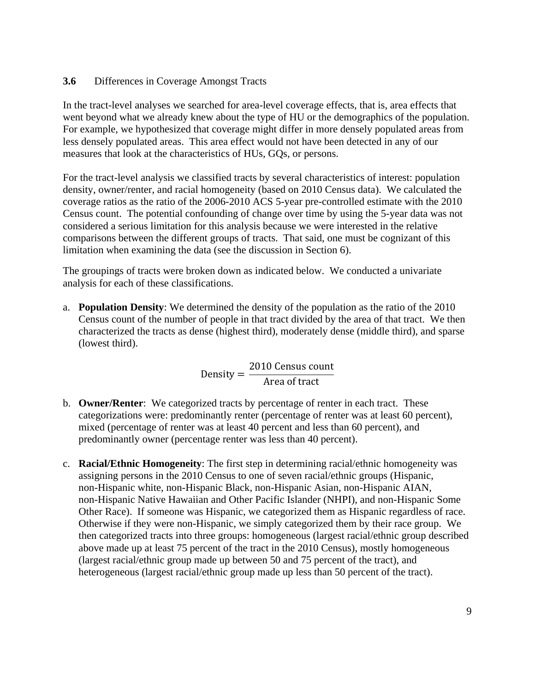#### **3.6** Differences in Coverage Amongst Tracts

In the tract-level analyses we searched for area-level coverage effects, that is, area effects that went beyond what we already knew about the type of HU or the demographics of the population. For example, we hypothesized that coverage might differ in more densely populated areas from less densely populated areas. This area effect would not have been detected in any of our measures that look at the characteristics of HUs, GQs, or persons.

For the tract-level analysis we classified tracts by several characteristics of interest: population density, owner/renter, and racial homogeneity (based on 2010 Census data). We calculated the coverage ratios as the ratio of the 2006-2010 ACS 5-year pre-controlled estimate with the 2010 Census count. The potential confounding of change over time by using the 5-year data was not considered a serious limitation for this analysis because we were interested in the relative comparisons between the different groups of tracts. That said, one must be cognizant of this limitation when examining the data (see the discussion in Section 6).

The groupings of tracts were broken down as indicated below. We conducted a univariate analysis for each of these classifications.

a. **Population Density**: We determined the density of the population as the ratio of the 2010 Census count of the number of people in that tract divided by the area of that tract. We then characterized the tracts as dense (highest third), moderately dense (middle third), and sparse (lowest third).

> Density  $=$ 2010 Census count Area of tract

- b. **Owner/Renter**: We categorized tracts by percentage of renter in each tract. These categorizations were: predominantly renter (percentage of renter was at least 60 percent), mixed (percentage of renter was at least 40 percent and less than 60 percent), and predominantly owner (percentage renter was less than 40 percent).
- c. **Racial/Ethnic Homogeneity**: The first step in determining racial/ethnic homogeneity was assigning persons in the 2010 Census to one of seven racial/ethnic groups (Hispanic, non-Hispanic white, non-Hispanic Black, non-Hispanic Asian, non-Hispanic AIAN, non-Hispanic Native Hawaiian and Other Pacific Islander (NHPI), and non-Hispanic Some Other Race). If someone was Hispanic, we categorized them as Hispanic regardless of race. Otherwise if they were non-Hispanic, we simply categorized them by their race group. We then categorized tracts into three groups: homogeneous (largest racial/ethnic group described above made up at least 75 percent of the tract in the 2010 Census), mostly homogeneous (largest racial/ethnic group made up between 50 and 75 percent of the tract), and heterogeneous (largest racial/ethnic group made up less than 50 percent of the tract).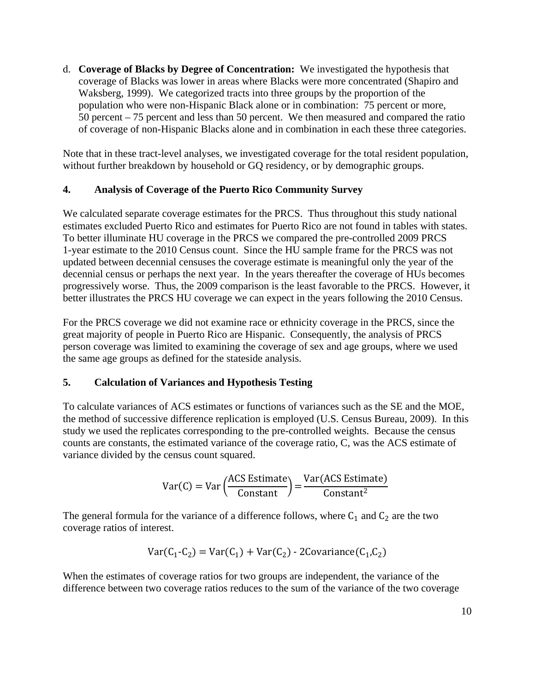d. **Coverage of Blacks by Degree of Concentration:** We investigated the hypothesis that coverage of Blacks was lower in areas where Blacks were more concentrated (Shapiro and Waksberg, 1999). We categorized tracts into three groups by the proportion of the population who were non-Hispanic Black alone or in combination: 75 percent or more, 50 percent – 75 percent and less than 50 percent. We then measured and compared the ratio of coverage of non-Hispanic Blacks alone and in combination in each these three categories.

Note that in these tract-level analyses, we investigated coverage for the total resident population, without further breakdown by household or GQ residency, or by demographic groups.

#### **4. Analysis of Coverage of the Puerto Rico Community Survey**

We calculated separate coverage estimates for the PRCS. Thus throughout this study national estimates excluded Puerto Rico and estimates for Puerto Rico are not found in tables with states. To better illuminate HU coverage in the PRCS we compared the pre-controlled 2009 PRCS 1-year estimate to the 2010 Census count. Since the HU sample frame for the PRCS was not updated between decennial censuses the coverage estimate is meaningful only the year of the decennial census or perhaps the next year. In the years thereafter the coverage of HUs becomes progressively worse. Thus, the 2009 comparison is the least favorable to the PRCS. However, it better illustrates the PRCS HU coverage we can expect in the years following the 2010 Census.

For the PRCS coverage we did not examine race or ethnicity coverage in the PRCS, since the great majority of people in Puerto Rico are Hispanic. Consequently, the analysis of PRCS person coverage was limited to examining the coverage of sex and age groups, where we used the same age groups as defined for the stateside analysis.

## **5. Calculation of Variances and Hypothesis Testing**

To calculate variances of ACS estimates or functions of variances such as the SE and the MOE, the method of successive difference replication is employed (U.S. Census Bureau, 2009). In this study we used the replicates corresponding to the pre-controlled weights. Because the census counts are constants, the estimated variance of the coverage ratio, C, was the ACS estimate of variance divided by the census count squared.

$$
Var(C) = Var\left(\frac{ACS Estimate}{Constant}\right) = \frac{Var(ACS Estimate)}{Constant^2}
$$

The general formula for the variance of a difference follows, where  $C_1$  and  $C_2$  are the two coverage ratios of interest.

$$
Var(C_1-C_2) = Var(C_1) + Var(C_2) - 2Covariance(C_1, C_2)
$$

When the estimates of coverage ratios for two groups are independent, the variance of the difference between two coverage ratios reduces to the sum of the variance of the two coverage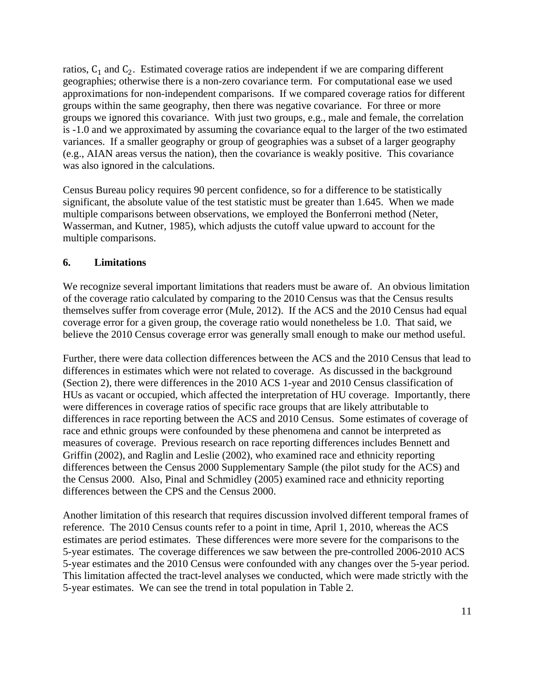ratios,  $C_1$  and  $C_2$ . Estimated coverage ratios are independent if we are comparing different geographies; otherwise there is a non-zero covariance term. For computational ease we used approximations for non-independent comparisons. If we compared coverage ratios for different groups within the same geography, then there was negative covariance. For three or more groups we ignored this covariance. With just two groups, e.g., male and female, the correlation is -1.0 and we approximated by assuming the covariance equal to the larger of the two estimated variances. If a smaller geography or group of geographies was a subset of a larger geography (e.g., AIAN areas versus the nation), then the covariance is weakly positive. This covariance was also ignored in the calculations.

Census Bureau policy requires 90 percent confidence, so for a difference to be statistically significant, the absolute value of the test statistic must be greater than 1.645. When we made multiple comparisons between observations, we employed the Bonferroni method (Neter, Wasserman, and Kutner, 1985), which adjusts the cutoff value upward to account for the multiple comparisons.

#### **6. Limitations**

We recognize several important limitations that readers must be aware of. An obvious limitation of the coverage ratio calculated by comparing to the 2010 Census was that the Census results themselves suffer from coverage error (Mule, 2012). If the ACS and the 2010 Census had equal coverage error for a given group, the coverage ratio would nonetheless be 1.0. That said, we believe the 2010 Census coverage error was generally small enough to make our method useful.

Further, there were data collection differences between the ACS and the 2010 Census that lead to differences in estimates which were not related to coverage. As discussed in the background (Section 2), there were differences in the 2010 ACS 1-year and 2010 Census classification of HUs as vacant or occupied, which affected the interpretation of HU coverage. Importantly, there were differences in coverage ratios of specific race groups that are likely attributable to differences in race reporting between the ACS and 2010 Census. Some estimates of coverage of race and ethnic groups were confounded by these phenomena and cannot be interpreted as measures of coverage. Previous research on race reporting differences includes Bennett and Griffin (2002), and Raglin and Leslie (2002), who examined race and ethnicity reporting differences between the Census 2000 Supplementary Sample (the pilot study for the ACS) and the Census 2000. Also, Pinal and Schmidley (2005) examined race and ethnicity reporting differences between the CPS and the Census 2000.

Another limitation of this research that requires discussion involved different temporal frames of reference. The 2010 Census counts refer to a point in time, April 1, 2010, whereas the ACS estimates are period estimates. These differences were more severe for the comparisons to the 5-year estimates. The coverage differences we saw between the pre-controlled 2006-2010 ACS 5-year estimates and the 2010 Census were confounded with any changes over the 5-year period. This limitation affected the tract-level analyses we conducted, which were made strictly with the 5-year estimates. We can see the trend in total population in Table 2.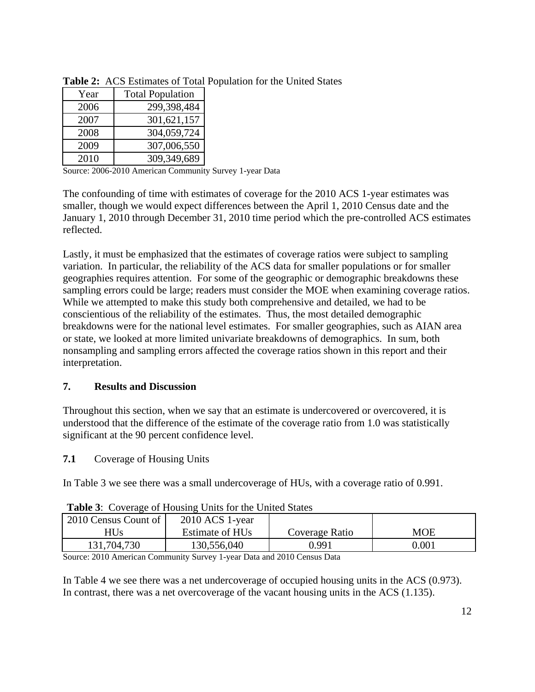| Year | <b>Total Population</b> |
|------|-------------------------|
| 2006 | 299,398,484             |
| 2007 | 301,621,157             |
| 2008 | 304,059,724             |
| 2009 | 307,006,550             |
| 2010 | 309,349,689             |

**Table 2:** ACS Estimates of Total Population for the United States

Source: 2006-2010 American Community Survey 1-year Data

The confounding of time with estimates of coverage for the 2010 ACS 1-year estimates was smaller, though we would expect differences between the April 1, 2010 Census date and the January 1, 2010 through December 31, 2010 time period which the pre-controlled ACS estimates reflected.

Lastly, it must be emphasized that the estimates of coverage ratios were subject to sampling variation. In particular, the reliability of the ACS data for smaller populations or for smaller geographies requires attention. For some of the geographic or demographic breakdowns these sampling errors could be large; readers must consider the MOE when examining coverage ratios. While we attempted to make this study both comprehensive and detailed, we had to be conscientious of the reliability of the estimates. Thus, the most detailed demographic breakdowns were for the national level estimates. For smaller geographies, such as AIAN area or state, we looked at more limited univariate breakdowns of demographics. In sum, both nonsampling and sampling errors affected the coverage ratios shown in this report and their interpretation.

## **7. Results and Discussion**

Throughout this section, when we say that an estimate is undercovered or overcovered, it is understood that the difference of the estimate of the coverage ratio from 1.0 was statistically significant at the 90 percent confidence level.

**7.1** Coverage of Housing Units

In Table 3 we see there was a small undercoverage of HUs, with a coverage ratio of 0.991.

| 2010 Census Count of | 2010 ACS 1-year             |                |           |
|----------------------|-----------------------------|----------------|-----------|
| <b>HUs</b>           | Estimate of HU <sub>s</sub> | Coverage Ratio | MOE       |
| 131,704,730          | 130,556,040                 | 9.991          | $0.001\,$ |

Source: 2010 American Community Survey 1-year Data and 2010 Census Data

In Table 4 we see there was a net undercoverage of occupied housing units in the ACS (0.973). In contrast, there was a net overcoverage of the vacant housing units in the ACS (1.135).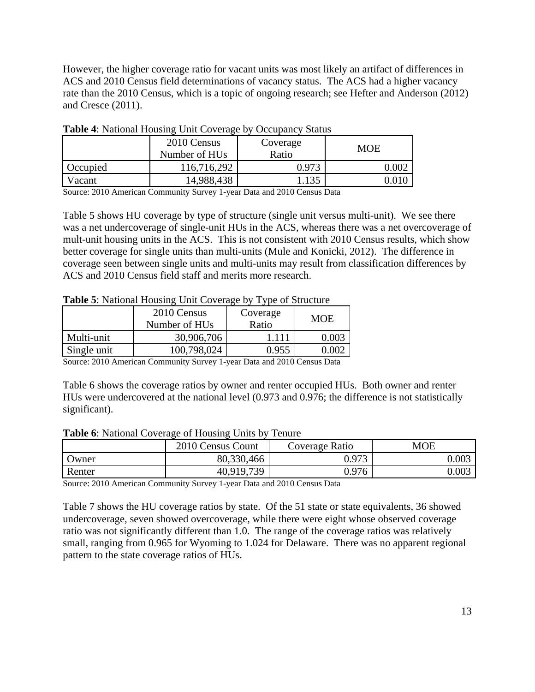However, the higher coverage ratio for vacant units was most likely an artifact of differences in ACS and 2010 Census field determinations of vacancy status. The ACS had a higher vacancy rate than the 2010 Census, which is a topic of ongoing research; see Hefter and Anderson (2012) and Cresce (2011).

|          | 2010 Census<br>Number of HU <sub>s</sub> | Coverage<br>Ratio | <b>MOE</b> |
|----------|------------------------------------------|-------------------|------------|
| Occupied | 116,716,292                              | 0.973             |            |
| Vacant   | 14,988,438                               | 135               | 0.010      |

**Table 4**: National Housing Unit Coverage by Occupancy Status

Source: 2010 American Community Survey 1-year Data and 2010 Census Data

Table 5 shows HU coverage by type of structure (single unit versus multi-unit). We see there was a net undercoverage of single-unit HUs in the ACS, whereas there was a net overcoverage of mult-unit housing units in the ACS. This is not consistent with 2010 Census results, which show better coverage for single units than multi-units (Mule and Konicki, 2012). The difference in coverage seen between single units and multi-units may result from classification differences by ACS and 2010 Census field staff and merits more research.

#### **Table 5**: National Housing Unit Coverage by Type of Structure

|             | 2010 Census<br>Number of HU <sub>s</sub> | Coverage<br>Ratio | <b>MOE</b> |
|-------------|------------------------------------------|-------------------|------------|
| Multi-unit  | 30,906,706                               | 1 1 1 1           | 0.003      |
| Single unit | 100,798,024                              | 0.955             | റ ററാ      |

Source: 2010 American Community Survey 1-year Data and 2010 Census Data

Table 6 shows the coverage ratios by owner and renter occupied HUs. Both owner and renter HUs were undercovered at the national level (0.973 and 0.976; the difference is not statistically significant).

**Table 6**: National Coverage of Housing Units by Tenure

|        | 2010 Census Count | Coverage Ratio | MOE       |
|--------|-------------------|----------------|-----------|
| Owner  | 80,330,466        | 0.973          | 0.003     |
| Renter | 40,919,739        | 0.976          | $0.003\,$ |

Source: 2010 American Community Survey 1-year Data and 2010 Census Data

Table 7 shows the HU coverage ratios by state. Of the 51 state or state equivalents, 36 showed undercoverage, seven showed overcoverage, while there were eight whose observed coverage ratio was not significantly different than 1.0. The range of the coverage ratios was relatively small, ranging from 0.965 for Wyoming to 1.024 for Delaware. There was no apparent regional pattern to the state coverage ratios of HUs.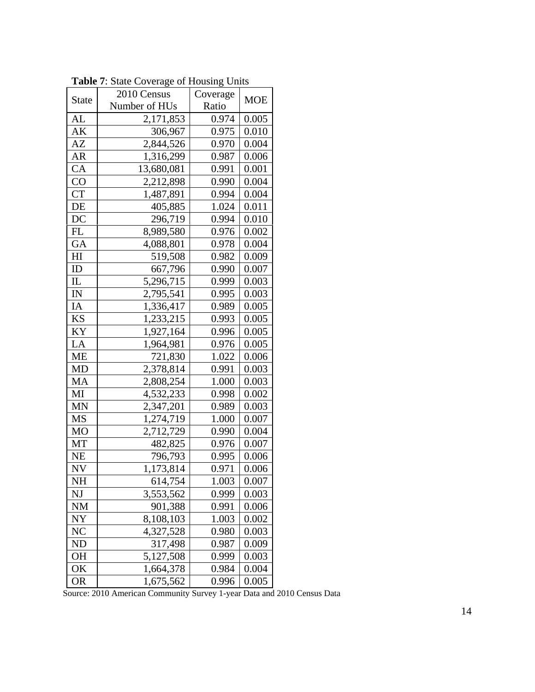|              | <b>rapherent</b> . Branc Coverage of Housing Units |                |            |  |
|--------------|----------------------------------------------------|----------------|------------|--|
| <b>State</b> | 2010 Census                                        | Coverage       | <b>MOE</b> |  |
| AL           | Number of HUs                                      | Ratio<br>0.974 | 0.005      |  |
| AK           | 2,171,853<br>306,967                               | 0.975          | 0.010      |  |
| AZ           | 2,844,526                                          | 0.970          | 0.004      |  |
| AR           | 1,316,299                                          | 0.987          | 0.006      |  |
| CA           | 13,680,081                                         | 0.991          | 0.001      |  |
| CO           | 2,212,898                                          | 0.990          | 0.004      |  |
| <b>CT</b>    | 1,487,891                                          | 0.994          | 0.004      |  |
| DE           | 405,885                                            | 1.024          | 0.011      |  |
| DC           | 296,719                                            | 0.994          | 0.010      |  |
| FL           | 8,989,580                                          | 0.976          | 0.002      |  |
| GA           | 4,088,801                                          | 0.978          | 0.004      |  |
| H            | 519,508                                            | 0.982          | 0.009      |  |
| ID           | 667,796                                            | 0.990          | 0.007      |  |
| IL           | 5,296,715                                          | 0.999          | 0.003      |  |
| IN           | 2,795,541                                          | 0.995          | 0.003      |  |
| IA           | 1,336,417                                          | 0.989          | 0.005      |  |
| KS           | 1,233,215                                          | 0.993          | 0.005      |  |
| KY           | 1,927,164                                          | 0.996          | 0.005      |  |
| LA           | 1,964,981                                          | 0.976          | 0.005      |  |
| ME           | 721,830                                            | 1.022          | 0.006      |  |
| MD           | 2,378,814                                          | 0.991          | 0.003      |  |
| MA           | 2,808,254                                          | 1.000          | 0.003      |  |
| MI           | 4,532,233                                          | 0.998          | 0.002      |  |
| MN           | 2,347,201                                          | 0.989          | 0.003      |  |
| MS           | 1,274,719                                          | 1.000          | 0.007      |  |
| MO           | 2,712,729                                          | 0.990          | 0.004      |  |
| MT           | 482,825                                            | 0.976          | 0.007      |  |
| <b>NE</b>    | 796,793                                            | 0.995          | 0.006      |  |
| <b>NV</b>    | 1,173,814                                          | 0.971          | 0.006      |  |
| NΗ           | 614,754                                            | 1.003          | 0.007      |  |
| NJ           | 3,553,562                                          | 0.999          | 0.003      |  |
| NM           | 901,388                                            | 0.991          | 0.006      |  |
| NY           | 8,108,103                                          | 1.003          | 0.002      |  |
| NC           | 4,327,528                                          | 0.980          | 0.003      |  |
| <b>ND</b>    | 317,498                                            | 0.987          | 0.009      |  |
| <b>OH</b>    | 5,127,508                                          | 0.999          | 0.003      |  |
| OK           | 1,664,378                                          | 0.984          | 0.004      |  |
| <b>OR</b>    | 1,675,562                                          | 0.996          | 0.005      |  |

**Table 7**: State Coverage of Housing Units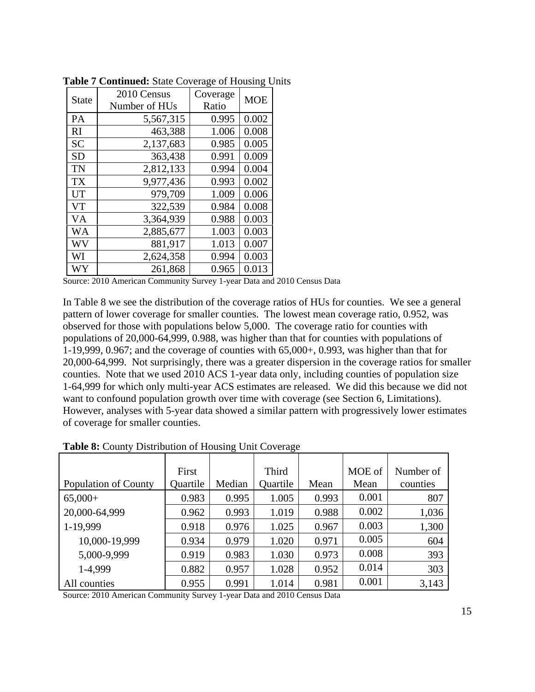| <b>State</b> | 2010 Census               | Coverage | <b>MOE</b> |  |
|--------------|---------------------------|----------|------------|--|
|              | Number of HU <sub>s</sub> | Ratio    |            |  |
| PA           | 5,567,315                 | 0.995    | 0.002      |  |
| RI           | 463,388                   | 1.006    | 0.008      |  |
| <b>SC</b>    | 2,137,683                 | 0.985    | 0.005      |  |
| <b>SD</b>    | 363,438                   | 0.991    | 0.009      |  |
| <b>TN</b>    | 2,812,133                 | 0.994    | 0.004      |  |
| <b>TX</b>    | 9,977,436                 | 0.993    | 0.002      |  |
| <b>UT</b>    | 979,709                   | 1.009    | 0.006      |  |
| <b>VT</b>    | 322,539                   | 0.984    | 0.008      |  |
| VA           | 3,364,939                 | 0.988    | 0.003      |  |
| WA           | 2,885,677                 | 1.003    | 0.003      |  |
| WV           | 881,917                   | 1.013    | 0.007      |  |
| WI           | 2,624,358                 | 0.994    | 0.003      |  |
| WY           | 261,868                   | 0.965    | 0.013      |  |

**Table 7 Continued:** State Coverage of Housing Units

In Table 8 we see the distribution of the coverage ratios of HUs for counties. We see a general pattern of lower coverage for smaller counties. The lowest mean coverage ratio, 0.952, was observed for those with populations below 5,000. The coverage ratio for counties with populations of 20,000-64,999, 0.988, was higher than that for counties with populations of 1-19,999, 0.967; and the coverage of counties with 65,000+, 0.993, was higher than that for 20,000-64,999. Not surprisingly, there was a greater dispersion in the coverage ratios for smaller counties. Note that we used 2010 ACS 1-year data only, including counties of population size 1-64,999 for which only multi-year ACS estimates are released. We did this because we did not want to confound population growth over time with coverage (see Section 6, Limitations). However, analyses with 5-year data showed a similar pattern with progressively lower estimates of coverage for smaller counties.

| Population of County | First<br>Quartile | Median | Third<br>Quartile | Mean  | MOE of<br>Mean | Number of<br>counties |
|----------------------|-------------------|--------|-------------------|-------|----------------|-----------------------|
| $65,000+$            | 0.983             | 0.995  | 1.005             | 0.993 | 0.001          | 807                   |
| 20,000-64,999        | 0.962             | 0.993  | 1.019             | 0.988 | 0.002          | 1,036                 |
| 1-19,999             | 0.918             | 0.976  | 1.025             | 0.967 | 0.003          | 1,300                 |
| 10,000-19,999        | 0.934             | 0.979  | 1.020             | 0.971 | 0.005          | 604                   |
| 5,000-9,999          | 0.919             | 0.983  | 1.030             | 0.973 | 0.008          | 393                   |
| 1-4,999              | 0.882             | 0.957  | 1.028             | 0.952 | 0.014          | 303                   |
| All counties         | 0.955             | 0.991  | 1.014             | 0.981 | 0.001          | 3,143                 |

**Table 8:** County Distribution of Housing Unit Coverage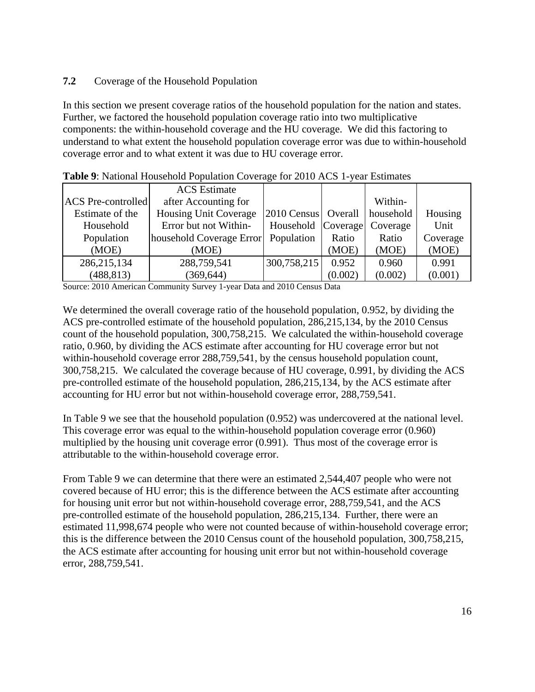## **7.2** Coverage of the Household Population

In this section we present coverage ratios of the household population for the nation and states. Further, we factored the household population coverage ratio into two multiplicative components: the within-household coverage and the HU coverage. We did this factoring to understand to what extent the household population coverage error was due to within-household coverage error and to what extent it was due to HU coverage error.

|                           | <b>ACS</b> Estimate          |                       |         |           |          |  |
|---------------------------|------------------------------|-----------------------|---------|-----------|----------|--|
| <b>ACS</b> Pre-controlled | after Accounting for         |                       |         | Within-   |          |  |
| Estimate of the           | <b>Housing Unit Coverage</b> | 2010 Census   Overall |         | household | Housing  |  |
| Household                 | Error but not Within-        | Household Coverage    |         | Coverage  | Unit     |  |
| Population                | household Coverage Error     | Population            | Ratio   | Ratio     | Coverage |  |
| (MOE)                     | (MOE)                        |                       | (MOE)   | (MOE)     | (MOE)    |  |
| 286, 215, 134             | 288,759,541                  | 300,758,215           | 0.952   | 0.960     | 0.991    |  |
| (488, 813)                | (369, 644)                   |                       | (0.002) | (0.002)   | (0.001)  |  |

| Table 9: National Household Population Coverage for 2010 ACS 1-year Estimates |  |  |
|-------------------------------------------------------------------------------|--|--|
|-------------------------------------------------------------------------------|--|--|

Source: 2010 American Community Survey 1-year Data and 2010 Census Data

We determined the overall coverage ratio of the household population, 0.952, by dividing the ACS pre-controlled estimate of the household population, 286,215,134, by the 2010 Census count of the household population, 300,758,215. We calculated the within-household coverage ratio, 0.960, by dividing the ACS estimate after accounting for HU coverage error but not within-household coverage error 288,759,541, by the census household population count, 300,758,215. We calculated the coverage because of HU coverage, 0.991, by dividing the ACS pre-controlled estimate of the household population, 286,215,134, by the ACS estimate after accounting for HU error but not within-household coverage error, 288,759,541.

In Table 9 we see that the household population (0.952) was undercovered at the national level. This coverage error was equal to the within-household population coverage error (0.960) multiplied by the housing unit coverage error (0.991). Thus most of the coverage error is attributable to the within-household coverage error.

From Table 9 we can determine that there were an estimated 2,544,407 people who were not covered because of HU error; this is the difference between the ACS estimate after accounting for housing unit error but not within-household coverage error, 288,759,541, and the ACS pre-controlled estimate of the household population, 286,215,134. Further, there were an estimated 11,998,674 people who were not counted because of within-household coverage error; this is the difference between the 2010 Census count of the household population, 300,758,215, the ACS estimate after accounting for housing unit error but not within-household coverage error, 288,759,541.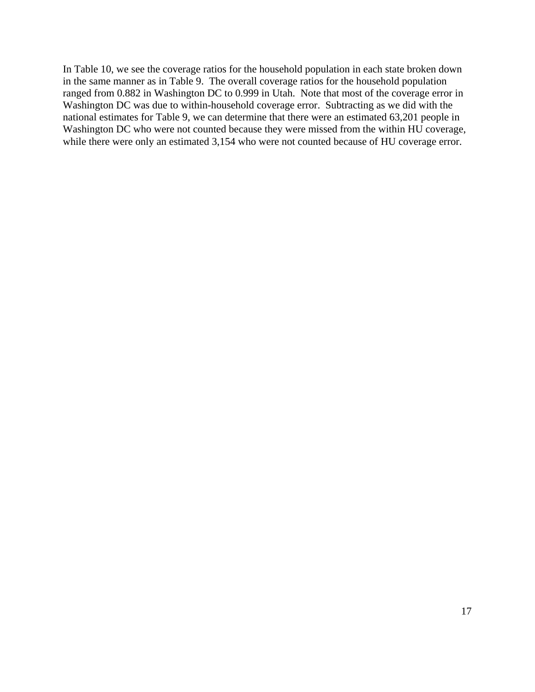In Table 10, we see the coverage ratios for the household population in each state broken down in the same manner as in Table 9. The overall coverage ratios for the household population ranged from 0.882 in Washington DC to 0.999 in Utah. Note that most of the coverage error in Washington DC was due to within-household coverage error. Subtracting as we did with the national estimates for Table 9, we can determine that there were an estimated 63,201 people in Washington DC who were not counted because they were missed from the within HU coverage, while there were only an estimated 3,154 who were not counted because of HU coverage error.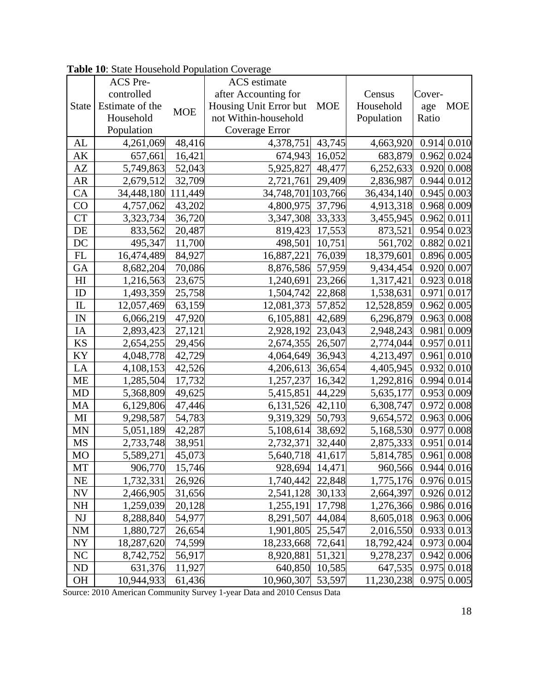|                | ACS Pre-        |            | <b>ACS</b> estimate    |                |                     |             |                  |
|----------------|-----------------|------------|------------------------|----------------|---------------------|-------------|------------------|
|                | controlled      |            | after Accounting for   |                | Census              | Cover-      |                  |
| <b>State</b>   | Estimate of the | <b>MOE</b> | Housing Unit Error but | <b>MOE</b>     | Household           | age         | <b>MOE</b>       |
|                | Household       |            | not Within-household   |                | Population          | Ratio       |                  |
|                | Population      |            | Coverage Error         |                |                     |             |                  |
| AL             | 4,261,069       | 48,416     | 4,378,751              | 43,745         | 4,663,920           |             | $0.914$ 0.010    |
| AK             | 657,661         | 16,421     |                        | 674,943 16,052 | 683,879             |             | $0.962$ 0.024    |
| AZ             | 5,749,863       | 52,043     | 5,925,827 48,477       |                | 6,252,633           |             | 0.920 0.008      |
| AR             | 2,679,512       | 32,709     | 2,721,761              | 29,409         | 2,836,987           |             | $0.944 \, 0.012$ |
| CA             | 34,448,180      | 111,449    | 34,748,701 103,766     |                | 36,434,140          |             | $0.945$ 0.003    |
| CO             | 4,757,062       | 43,202     | 4,800,975 37,796       |                | 4,913,318           |             | 0.968 0.009      |
| <b>CT</b>      | 3,323,734       | 36,720     | 3,347,308 33,333       |                | 3,455,945           |             | 0.962   0.011    |
| DE             | 833,562         | 20,487     |                        | 819,423 17,553 | 873,521             |             | $0.954$ 0.023    |
| DC             | 495,347         | 11,700     | 498,501                | 10,751         | 561,702             |             | 0.882 0.021      |
| FL             | 16,474,489      | 84,927     | 16,887,221             | 76,039         | 18,379,601          |             | 0.896 0.005      |
| GA             | 8,682,204       | 70,086     | 8,876,586              | 57,959         | 9,434,454           |             | 0.920 0.007      |
| H <sub>I</sub> | 1,216,563       | 23,675     | 1,240,691              | 23,266         | 1,317,421           |             | 0.923   0.018    |
| ID             | 1,493,359       | 25,758     | 1,504,742              | 22,868         | 1,538,631           |             | $0.971$ 0.017    |
| IL             | 12,057,469      | 63,159     | 12,081,373 57,852      |                | 12,528,859          |             | $0.962$ 0.005    |
| IN             | 6,066,219       | 47,920     | 6,105,881              | 42,689         | 6,296,879           |             | 0.963   0.008    |
| IA             | 2,893,423       | 27,121     | 2,928,192              | 23,043         | 2,948,243           |             | 0.981 0.009      |
| KS             | 2,654,255       | 29,456     | 2,674,355              | 26,507         | 2,774,044           |             | $0.957 \, 0.011$ |
| KY             | 4,048,778       | 42,729     | 4,064,649 36,943       |                | 4,213,497           |             | $0.961$ 0.010    |
| LA             | 4,108,153       | 42,526     | 4,206,613 36,654       |                | 4,405,945           |             | $0.932$ 0.010    |
| ME             | 1,285,504       | 17,732     | 1,257,237              | 16,342         | 1,292,816           |             | $0.994$ 0.014    |
| MD             | 5,368,809       | 49,625     | 5,415,851              | 44,229         | 5,635,177           |             | $0.953$ 0.009    |
| MA             | 6,129,806       | 47,446     | 6,131,526 42,110       |                | 6,308,747           |             | 0.972 0.008      |
| MI             | 9,298,587       | 54,783     | 9,319,329 50,793       |                | 9,654,572           |             | $0.963$ 0.006    |
| MN             | 5,051,189       | 42,287     | 5,108,614              | 38,692         | 5,168,530           |             | 0.977 0.008      |
| MS             | 2,733,748       | 38,951     | 2,732,371              | 32,440         | 2,875,333           |             | $0.951$ 0.014    |
| <b>MO</b>      | 5,589,271       | 45,073     | 5,640,718 41,617       |                | 5,814,785           | 0.961 0.008 |                  |
| $\rm{MT}$      | 906,770         | 15,746     |                        | 928,694 14,471 | 960,566 0.944 0.016 |             |                  |
| <b>NE</b>      | 1,732,331       | 26,926     | 1,740,442              | 22,848         | 1,775,176           |             | $0.976$ 0.015    |
| <b>NV</b>      | 2,466,905       | 31,656     | 2,541,128 30,133       |                | 2,664,397           |             | 0.926 0.012      |
| NH             | 1,259,039       | 20,128     | 1,255,191              | 17,798         | 1,276,366           |             | 0.986 0.016      |
| NJ             | 8,288,840       | 54,977     | 8,291,507              | 44,084         | 8,605,018           |             | $0.963$ 0.006    |
| <b>NM</b>      | 1,880,727       | 26,654     | 1,901,805 25,547       |                | 2,016,550           |             | 0.933   0.013    |
| <b>NY</b>      | 18,287,620      | 74,599     | 18,233,668 72,641      |                | 18,792,424          |             | $0.973$ 0.004    |
| NC             | 8,742,752       | 56,917     | 8,920,881              | 51,321         | 9,278,237           |             | 0.942 0.006      |
| ND             | 631,376         | 11,927     |                        | 640,850 10,585 | 647,535             |             | $0.975$ 0.018    |
| <b>OH</b>      | 10,944,933      | 61,436     | 10,960,307             | 53,597         | 11,230,238          |             | $0.975$ 0.005    |

**Table 10**: State Household Population Coverage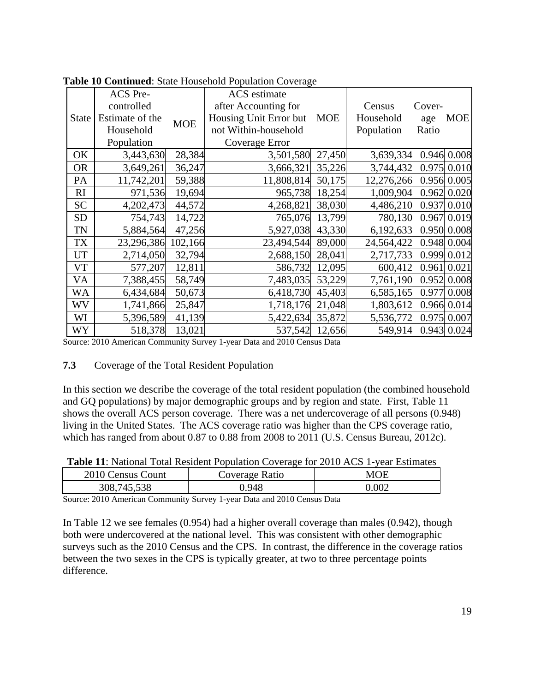|              | ACS Pre-        |            | <b>ACS</b> estimate    |            |            |        |               |
|--------------|-----------------|------------|------------------------|------------|------------|--------|---------------|
|              | controlled      |            | after Accounting for   |            | Census     | Cover- |               |
| <b>State</b> | Estimate of the | <b>MOE</b> | Housing Unit Error but | <b>MOE</b> | Household  | age    | <b>MOE</b>    |
|              | Household       |            | not Within-household   |            | Population | Ratio  |               |
|              | Population      |            | Coverage Error         |            |            |        |               |
| OK           | 3,443,630       | 28,384     | 3,501,580              | 27,450     | 3,639,334  |        | 0.946 0.008   |
| <b>OR</b>    | 3,649,261       | 36,247     | 3,666,321              | 35,226     | 3,744,432  |        | $0.975$ 0.010 |
| PA           | 11,742,201      | 59,388     | 11,808,814 50,175      |            | 12,276,266 |        | 0.956 0.005   |
| RI           | 971,536         | 19,694     | 965,738                | 18,254     | 1,009,904  |        | $0.962$ 0.020 |
| <b>SC</b>    | 4,202,473       | 44,572     | 4,268,821              | 38,030     | 4,486,210  |        | 0.937 0.010   |
| <b>SD</b>    | 754,743         | 14,722     | 765,076 13,799         |            | 780,130    |        | $0.967$ 0.019 |
| <b>TN</b>    | 5,884,564       | 47,256     | 5,927,038              | 43,330     | 6,192,633  |        | 0.950 0.008   |
| TX           | 23,296,386      | 102,166    | 23,494,544 89,000      |            | 24,564,422 |        | $0.948$ 0.004 |
| <b>UT</b>    | 2,714,050       | 32,794     | 2,688,150 28,041       |            | 2,717,733  |        | 0.999 0.012   |
| <b>VT</b>    | 577,207         | 12,811     | 586,732                | 12,095     | 600,412    |        | 0.961   0.021 |
| VA           | 7,388,455       | 58,749     | 7,483,035              | 53,229     | 7,761,190  |        | 0.952 0.008   |
| WA           | 6,434,684       | 50,673     | 6,418,730 45,403       |            | 6,585,165  |        | 0.977 0.008   |
| WV           | 1,741,866       | 25,847     | 1,718,176 21,048       |            | 1,803,612  |        | 0.966 0.014   |
| WI           | 5,396,589       | 41,139     | 5,422,634 35,872       |            | 5,536,772  |        | $0.975$ 0.007 |
| WY           | 518,378         | 13,021     | 537,542 12,656         |            | 549,914    |        | 0.943   0.024 |

**Table 10 Continued**: State Household Population Coverage

#### **7.3** Coverage of the Total Resident Population

In this section we describe the coverage of the total resident population (the combined household and GQ populations) by major demographic groups and by region and state. First, Table 11 shows the overall ACS person coverage. There was a net undercoverage of all persons (0.948) living in the United States. The ACS coverage ratio was higher than the CPS coverage ratio, which has ranged from about 0.87 to 0.88 from 2008 to 2011 (U.S. Census Bureau, 2012c).

**Table 11**: National Total Resident Population Coverage for 2010 ACS 1-year Estimates

| 2010 Census Count | Coverage Ratio | MOE   |
|-------------------|----------------|-------|
| 308,745,538       | ).948          | 0.002 |

Source: 2010 American Community Survey 1-year Data and 2010 Census Data

In Table 12 we see females (0.954) had a higher overall coverage than males (0.942), though both were undercovered at the national level. This was consistent with other demographic surveys such as the 2010 Census and the CPS. In contrast, the difference in the coverage ratios between the two sexes in the CPS is typically greater, at two to three percentage points difference.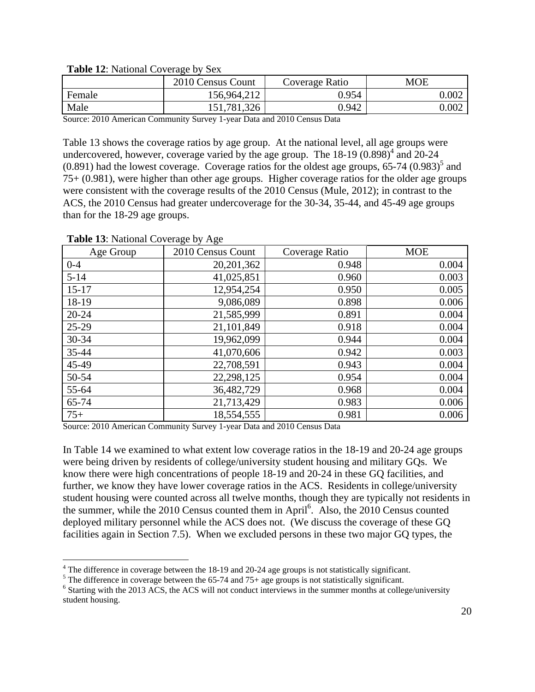| $-$ , $-$ , $-$ , $-$ , $-$ , $-$ , $-$ , $-$ , $-$ , $-$ , $-$ , $-$ , $-$ , $-$ , $-$ , $-$ , $-$<br>----- |                   |                |            |  |  |
|--------------------------------------------------------------------------------------------------------------|-------------------|----------------|------------|--|--|
|                                                                                                              | 2010 Census Count | Coverage Ratio | <b>MOE</b> |  |  |
| Female                                                                                                       | 156,964,212       | 0.954          | 0.002      |  |  |
| Male                                                                                                         | 151,781,326       | 0.942          | 0.002      |  |  |

**Table 12**: National Coverage by Sex

Table 13 shows the coverage ratios by age group. At the national level, all age groups were undercovered, however, coverage varied by the age group. The  $18-19$   $(0.898)^4$  and  $20-24$  $(0.891)$  had the lowest coverage. Coverage ratios for the oldest age groups, 65-74  $(0.983)^5$  and 75+ (0.981), were higher than other age groups. Higher coverage ratios for the older age groups were consistent with the coverage results of the 2010 Census (Mule, 2012); in contrast to the ACS, the 2010 Census had greater undercoverage for the 30-34, 35-44, and 45-49 age groups than for the 18-29 age groups.

| Age Group | 2010 Census Count | Coverage Ratio | <b>MOE</b> |
|-----------|-------------------|----------------|------------|
| $0 - 4$   | 20, 201, 362      | 0.948          | 0.004      |
| $5 - 14$  | 41,025,851        | 0.960          | 0.003      |
| $15-17$   | 12,954,254        | 0.950          | 0.005      |
| 18-19     | 9,086,089         | 0.898          | 0.006      |
| $20 - 24$ | 21,585,999        | 0.891          | 0.004      |
| $25-29$   | 21,101,849        | 0.918          | 0.004      |
| 30-34     | 19,962,099        | 0.944          | 0.004      |
| 35-44     | 41,070,606        | 0.942          | 0.003      |
| 45-49     | 22,708,591        | 0.943          | 0.004      |
| 50-54     | 22,298,125        | 0.954          | 0.004      |
| 55-64     | 36,482,729        | 0.968          | 0.004      |
| 65-74     | 21,713,429        | 0.983          | 0.006      |
| $75+$     | 18,554,555        | 0.981          | 0.006      |

**Table 13**: National Coverage by Age

 $\overline{a}$ 

Source: 2010 American Community Survey 1-year Data and 2010 Census Data

In Table 14 we examined to what extent low coverage ratios in the 18-19 and 20-24 age groups were being driven by residents of college/university student housing and military GQs. We know there were high concentrations of people 18-19 and 20-24 in these GQ facilities, and further, we know they have lower coverage ratios in the ACS. Residents in college/university student housing were counted across all twelve months, though they are typically not residents in the summer, while the 2010 Census counted them in April<sup>6</sup>. Also, the 2010 Census counted deployed military personnel while the ACS does not. (We discuss the coverage of these GQ facilities again in Section 7.5). When we excluded persons in these two major GQ types, the

<sup>&</sup>lt;sup>4</sup> The difference in coverage between the 18-19 and 20-24 age groups is not statistically significant.

<sup>&</sup>lt;sup>5</sup>The difference in coverage between the 65-74 and 75+ age groups is not statistically significant.

<sup>&</sup>lt;sup>6</sup> Starting with the 2013 ACS, the ACS will not conduct interviews in the summer months at college/university student housing.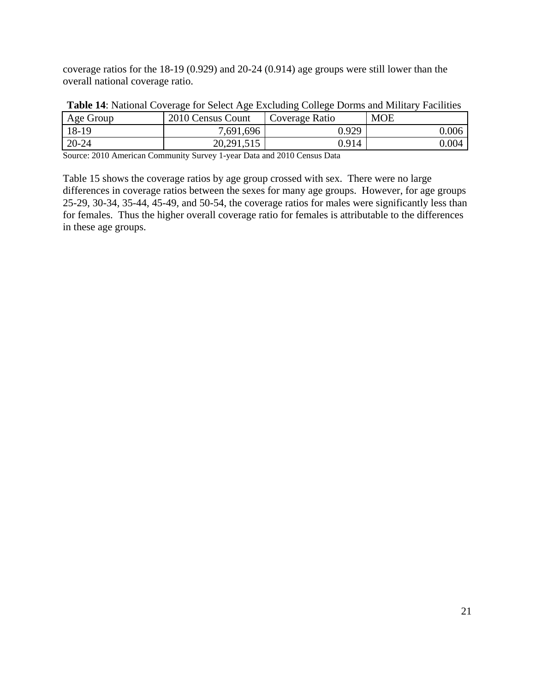coverage ratios for the 18-19 (0.929) and 20-24 (0.914) age groups were still lower than the overall national coverage ratio.

| Age Group | 2010 Census Count | Coverage Ratio | <b>MOE</b> |
|-----------|-------------------|----------------|------------|
| 18-19     | 7,691,696         | 0.929          | $0.006\,$  |
| $20 - 24$ | 20,291,515        | 0.914          | $0.004\,$  |

| Table 14: National Coverage for Select Age Excluding College Dorms and Military Facilities |  |  |
|--------------------------------------------------------------------------------------------|--|--|
|                                                                                            |  |  |

Source: 2010 American Community Survey 1-year Data and 2010 Census Data

Table 15 shows the coverage ratios by age group crossed with sex. There were no large differences in coverage ratios between the sexes for many age groups. However, for age groups 25-29, 30-34, 35-44, 45-49, and 50-54, the coverage ratios for males were significantly less than for females. Thus the higher overall coverage ratio for females is attributable to the differences in these age groups.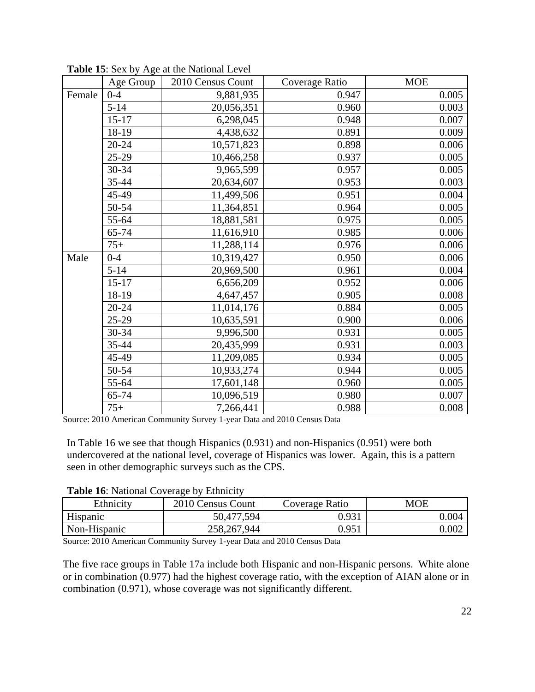|        | Age Group | 2010 Census Count | Coverage Ratio | <b>MOE</b> |
|--------|-----------|-------------------|----------------|------------|
| Female | $0 - 4$   | 9,881,935         | 0.947          | 0.005      |
|        | $5 - 14$  | 20,056,351        | 0.960          | 0.003      |
|        | $15 - 17$ | 6,298,045         | 0.948          | 0.007      |
|        | 18-19     | 4,438,632         | 0.891          | 0.009      |
|        | $20 - 24$ | 10,571,823        | 0.898          | 0.006      |
|        | $25-29$   | 10,466,258        | 0.937          | 0.005      |
|        | 30-34     | 9,965,599         | 0.957          | 0.005      |
|        | 35-44     | 20,634,607        | 0.953          | 0.003      |
|        | 45-49     | 11,499,506        | 0.951          | 0.004      |
|        | 50-54     | 11,364,851        | 0.964          | 0.005      |
|        | 55-64     | 18,881,581        | 0.975          | 0.005      |
|        | $65 - 74$ | 11,616,910        | 0.985          | 0.006      |
|        | $75+$     | 11,288,114        | 0.976          | 0.006      |
| Male   | $0 - 4$   | 10,319,427        | 0.950          | 0.006      |
|        | $5 - 14$  | 20,969,500        | 0.961          | 0.004      |
|        | $15 - 17$ | 6,656,209         | 0.952          | 0.006      |
|        | 18-19     | 4,647,457         | 0.905          | 0.008      |
|        | $20 - 24$ | 11,014,176        | 0.884          | 0.005      |
|        | $25-29$   | 10,635,591        | 0.900          | 0.006      |
|        | 30-34     | 9,996,500         | 0.931          | 0.005      |
|        | 35-44     | 20,435,999        | 0.931          | 0.003      |
|        | 45-49     | 11,209,085        | 0.934          | 0.005      |
|        | 50-54     | 10,933,274        | 0.944          | 0.005      |
|        | 55-64     | 17,601,148        | 0.960          | 0.005      |
|        | 65-74     | 10,096,519        | 0.980          | 0.007      |
|        | $75+$     | 7,266,441         | 0.988          | 0.008      |

**Table 15**: Sex by Age at the National Level

In Table 16 we see that though Hispanics (0.931) and non-Hispanics (0.951) were both undercovered at the national level, coverage of Hispanics was lower. Again, this is a pattern seen in other demographic surveys such as the CPS.

| Ethnicity    | 2010 Census Count | Coverage Ratio | MOE   |
|--------------|-------------------|----------------|-------|
| Hispanic     | 50,477,594        | 0.931          | 0.004 |
| Non-Hispanic | 258, 267, 944     | 0.951          | 0.002 |

**Table 16**: National Coverage by Ethnicity

Source: 2010 American Community Survey 1-year Data and 2010 Census Data

The five race groups in Table 17a include both Hispanic and non-Hispanic persons. White alone or in combination (0.977) had the highest coverage ratio, with the exception of AIAN alone or in combination (0.971), whose coverage was not significantly different.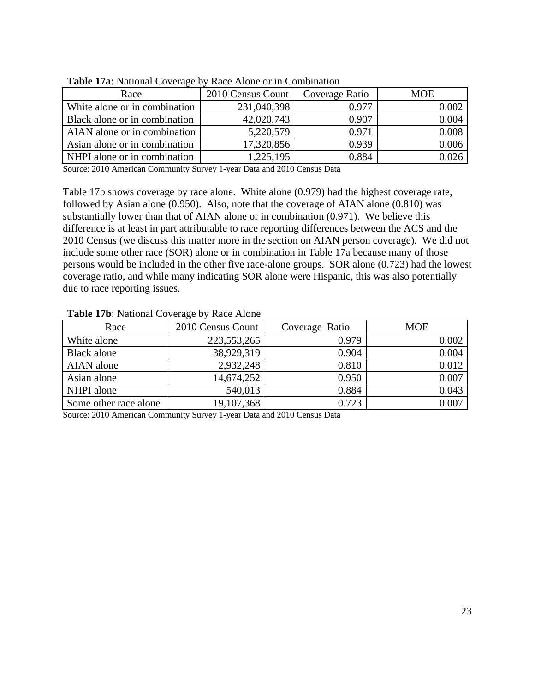| Race                          | 2010 Census Count | Coverage Ratio | <b>MOE</b> |
|-------------------------------|-------------------|----------------|------------|
| White alone or in combination | 231,040,398       | 0.977          | 0.002      |
| Black alone or in combination | 42,020,743        | 0.907          | 0.004      |
| AIAN alone or in combination  | 5,220,579         | 0.971          | 0.008      |
| Asian alone or in combination | 17,320,856        | 0.939          | 0.006      |
| NHPI alone or in combination  | 1,225,195         | 0.884          |            |

**Table 17a**: National Coverage by Race Alone or in Combination

Table 17b shows coverage by race alone. White alone (0.979) had the highest coverage rate, followed by Asian alone (0.950). Also, note that the coverage of AIAN alone (0.810) was substantially lower than that of AIAN alone or in combination (0.971). We believe this difference is at least in part attributable to race reporting differences between the ACS and the 2010 Census (we discuss this matter more in the section on AIAN person coverage). We did not include some other race (SOR) alone or in combination in Table 17a because many of those persons would be included in the other five race-alone groups. SOR alone (0.723) had the lowest coverage ratio, and while many indicating SOR alone were Hispanic, this was also potentially due to race reporting issues.

| $200121$ $\mu$ and $2000$ $\mu$ and $200$ $\mu$ and $200$ |                   |                |            |  |  |
|-----------------------------------------------------------|-------------------|----------------|------------|--|--|
| Race                                                      | 2010 Census Count | Coverage Ratio | <b>MOE</b> |  |  |
| White alone                                               | 223, 553, 265     | 0.979          | 0.002      |  |  |
| Black alone                                               | 38,929,319        | 0.904          | 0.004      |  |  |
| AIAN alone                                                | 2,932,248         | 0.810          | 0.012      |  |  |
| Asian alone                                               | 14,674,252        | 0.950          | 0.007      |  |  |
| NHPI alone                                                | 540,013           | 0.884          | 0.043      |  |  |
| Some other race alone                                     | 19,107,368        | 0.723          | 0.007      |  |  |

#### **Table 17b**: National Coverage by Race Alone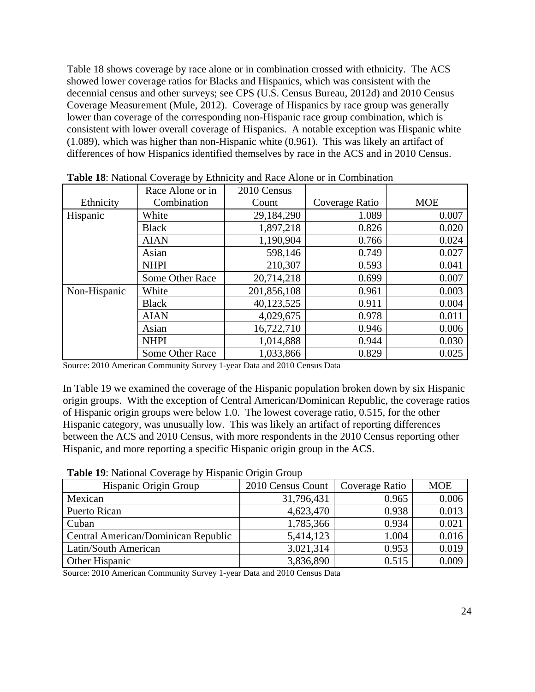Table 18 shows coverage by race alone or in combination crossed with ethnicity. The ACS showed lower coverage ratios for Blacks and Hispanics, which was consistent with the decennial census and other surveys; see CPS (U.S. Census Bureau, 2012d) and 2010 Census Coverage Measurement (Mule, 2012). Coverage of Hispanics by race group was generally lower than coverage of the corresponding non-Hispanic race group combination, which is consistent with lower overall coverage of Hispanics. A notable exception was Hispanic white (1.089), which was higher than non-Hispanic white (0.961). This was likely an artifact of differences of how Hispanics identified themselves by race in the ACS and in 2010 Census.

|              | Race Alone or in | 2010 Census |                |            |
|--------------|------------------|-------------|----------------|------------|
| Ethnicity    | Combination      | Count       | Coverage Ratio | <b>MOE</b> |
| Hispanic     | White            | 29,184,290  | 1.089          | 0.007      |
|              | <b>Black</b>     | 1,897,218   | 0.826          | 0.020      |
|              | <b>AIAN</b>      | 1,190,904   | 0.766          | 0.024      |
|              | Asian            | 598,146     | 0.749          | 0.027      |
|              | <b>NHPI</b>      | 210,307     | 0.593          | 0.041      |
|              | Some Other Race  | 20,714,218  | 0.699          | 0.007      |
| Non-Hispanic | White            | 201,856,108 | 0.961          | 0.003      |
|              | <b>Black</b>     | 40,123,525  | 0.911          | 0.004      |
|              | <b>AIAN</b>      | 4,029,675   | 0.978          | 0.011      |
|              | Asian            | 16,722,710  | 0.946          | 0.006      |
|              | <b>NHPI</b>      | 1,014,888   | 0.944          | 0.030      |
|              | Some Other Race  | 1,033,866   | 0.829          | 0.025      |

**Table 18**: National Coverage by Ethnicity and Race Alone or in Combination

Source: 2010 American Community Survey 1-year Data and 2010 Census Data

In Table 19 we examined the coverage of the Hispanic population broken down by six Hispanic origin groups. With the exception of Central American/Dominican Republic, the coverage ratios of Hispanic origin groups were below 1.0. The lowest coverage ratio, 0.515, for the other Hispanic category, was unusually low. This was likely an artifact of reporting differences between the ACS and 2010 Census, with more respondents in the 2010 Census reporting other Hispanic, and more reporting a specific Hispanic origin group in the ACS.

| Table 19: National Coverage by Hispanic Origin Group |  |
|------------------------------------------------------|--|
|------------------------------------------------------|--|

| Hispanic Origin Group               | 2010 Census Count | Coverage Ratio | <b>MOE</b> |
|-------------------------------------|-------------------|----------------|------------|
| Mexican                             | 31,796,431        | 0.965          | 0.006      |
| Puerto Rican                        | 4,623,470         | 0.938          | 0.013      |
| Cuban                               | 1,785,366         | 0.934          | 0.021      |
| Central American/Dominican Republic | 5,414,123         | 1.004          | 0.016      |
| Latin/South American                | 3,021,314         | 0.953          | 0.019      |
| Other Hispanic                      | 3,836,890         | 0.515          | 0.009      |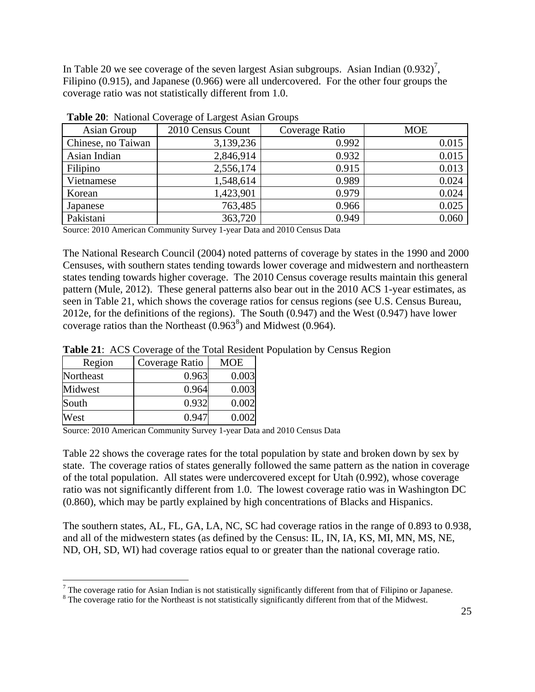In Table 20 we see coverage of the seven largest Asian subgroups. Asian Indian  $(0.932)^7$ , Filipino (0.915), and Japanese (0.966) were all undercovered. For the other four groups the coverage ratio was not statistically different from 1.0.

| Asian Group        | 2010 Census Count | Coverage Ratio | <b>MOE</b> |  |  |  |  |  |  |
|--------------------|-------------------|----------------|------------|--|--|--|--|--|--|
| Chinese, no Taiwan | 3,139,236         | 0.992          | 0.015      |  |  |  |  |  |  |
| Asian Indian       | 2,846,914         | 0.932          | 0.015      |  |  |  |  |  |  |
| Filipino           | 2,556,174         | 0.915          | 0.013      |  |  |  |  |  |  |
| Vietnamese         | 1,548,614         | 0.989          | 0.024      |  |  |  |  |  |  |
| Korean             | 1,423,901         | 0.979          | 0.024      |  |  |  |  |  |  |
| Japanese           | 763,485           | 0.966          | 0.025      |  |  |  |  |  |  |
| Pakistani          | 363,720           | 0.949          | 0.060      |  |  |  |  |  |  |

**Table 20**: National Coverage of Largest Asian Groups

Source: 2010 American Community Survey 1-year Data and 2010 Census Data

The National Research Council (2004) noted patterns of coverage by states in the 1990 and 2000 Censuses, with southern states tending towards lower coverage and midwestern and northeastern states tending towards higher coverage. The 2010 Census coverage results maintain this general pattern (Mule, 2012). These general patterns also bear out in the 2010 ACS 1-year estimates, as seen in Table 21, which shows the coverage ratios for census regions (see U.S. Census Bureau, 2012e, for the definitions of the regions). The South (0.947) and the West (0.947) have lower coverage ratios than the Northeast  $(0.963^8)$  and Midwest  $(0.964)$ .

**Table 21**: ACS Coverage of the Total Resident Population by Census Region

| Region    | Coverage Ratio | <b>MOE</b> |
|-----------|----------------|------------|
| Northeast | 0.963          | 0.003      |
| Midwest   | 0.964          | 0.003      |
| South     | 0.932          | 0.002      |
| West      | 0.947          | 0.002      |

 $\overline{a}$ 

Source: 2010 American Community Survey 1-year Data and 2010 Census Data

Table 22 shows the coverage rates for the total population by state and broken down by sex by state. The coverage ratios of states generally followed the same pattern as the nation in coverage of the total population. All states were undercovered except for Utah (0.992), whose coverage ratio was not significantly different from 1.0. The lowest coverage ratio was in Washington DC (0.860), which may be partly explained by high concentrations of Blacks and Hispanics.

The southern states, AL, FL, GA, LA, NC, SC had coverage ratios in the range of 0.893 to 0.938, and all of the midwestern states (as defined by the Census: IL, IN, IA, KS, MI, MN, MS, NE, ND, OH, SD, WI) had coverage ratios equal to or greater than the national coverage ratio.

The coverage ratio for Asian Indian is not statistically significantly different from that of Filipino or Japanese.

<sup>&</sup>lt;sup>8</sup> The coverage ratio for the Northeast is not statistically significantly different from that of the Midwest.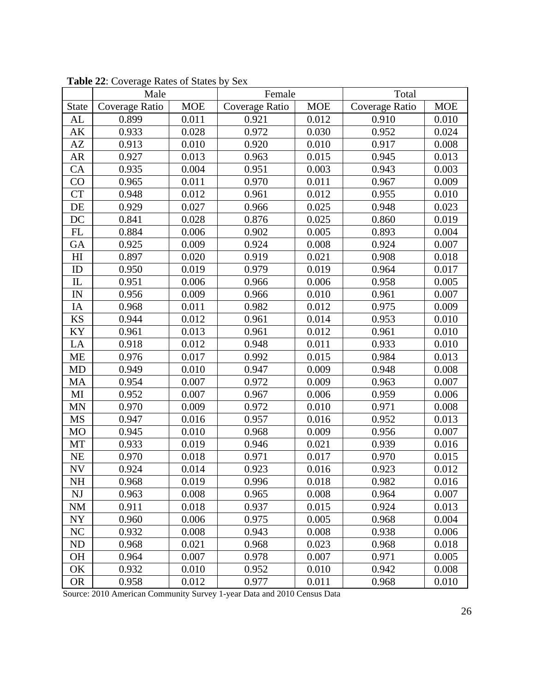|                        | Male           |            | Female         |            | Total          |            |
|------------------------|----------------|------------|----------------|------------|----------------|------------|
| <b>State</b>           | Coverage Ratio | <b>MOE</b> | Coverage Ratio | <b>MOE</b> | Coverage Ratio | <b>MOE</b> |
| AL                     | 0.899          | 0.011      | 0.921          | 0.012      | 0.910          | 0.010      |
| AK                     | 0.933          | 0.028      | 0.972          | 0.030      | 0.952          | 0.024      |
| AZ                     | 0.913          | 0.010      | 0.920          | 0.010      | 0.917          | 0.008      |
| AR                     | 0.927          | 0.013      | 0.963          | 0.015      | 0.945          | 0.013      |
| CA                     | 0.935          | 0.004      | 0.951          | 0.003      | 0.943          | 0.003      |
| CO                     | 0.965          | 0.011      | 0.970          | 0.011      | 0.967          | 0.009      |
| <b>CT</b>              | 0.948          | 0.012      | 0.961          | 0.012      | 0.955          | 0.010      |
| DE                     | 0.929          | 0.027      | 0.966          | 0.025      | 0.948          | 0.023      |
| DC                     | 0.841          | 0.028      | 0.876          | 0.025      | 0.860          | 0.019      |
| FL                     | 0.884          | 0.006      | 0.902          | 0.005      | 0.893          | 0.004      |
| GA                     | 0.925          | 0.009      | 0.924          | 0.008      | 0.924          | 0.007      |
| H <sub>I</sub>         | 0.897          | 0.020      | 0.919          | 0.021      | 0.908          | 0.018      |
| ID                     | 0.950          | 0.019      | 0.979          | 0.019      | 0.964          | 0.017      |
| $\mathop{\mathrm{IL}}$ | 0.951          | 0.006      | 0.966          | 0.006      | 0.958          | 0.005      |
| $\mathbf{IN}$          | 0.956          | 0.009      | 0.966          | $0.010\,$  | 0.961          | 0.007      |
| IA                     | 0.968          | 0.011      | 0.982          | 0.012      | 0.975          | 0.009      |
| <b>KS</b>              | 0.944          | 0.012      | 0.961          | 0.014      | 0.953          | 0.010      |
| KY                     | 0.961          | 0.013      | 0.961          | 0.012      | 0.961          | 0.010      |
| LA                     | 0.918          | 0.012      | 0.948          | 0.011      | 0.933          | 0.010      |
| <b>ME</b>              | 0.976          | 0.017      | 0.992          | 0.015      | 0.984          | 0.013      |
| MD                     | 0.949          | 0.010      | 0.947          | 0.009      | 0.948          | 0.008      |
| MA                     | 0.954          | 0.007      | 0.972          | 0.009      | 0.963          | 0.007      |
| MI                     | 0.952          | 0.007      | 0.967          | 0.006      | 0.959          | 0.006      |
| <b>MN</b>              | 0.970          | 0.009      | 0.972          | 0.010      | 0.971          | 0.008      |
| MS                     | 0.947          | 0.016      | 0.957          | 0.016      | 0.952          | 0.013      |
| <b>MO</b>              | 0.945          | 0.010      | 0.968          | 0.009      | 0.956          | 0.007      |
| MT                     | 0.933          | 0.019      | 0.946          | 0.021      | 0.939          | 0.016      |
| NE                     | 0.970          | 0.018      | 0.971          | 0.017      | 0.970          | 0.015      |
| <b>NV</b>              | 0.924          | 0.014      | 0.923          | 0.016      | 0.923          | 0.012      |
| <b>NH</b>              | 0.968          | 0.019      | 0.996          | 0.018      | 0.982          | 0.016      |
| NJ                     | 0.963          | 0.008      | 0.965          | 0.008      | 0.964          | 0.007      |
| <b>NM</b>              | 0.911          | 0.018      | 0.937          | 0.015      | 0.924          | 0.013      |
| NY                     | 0.960          | 0.006      | 0.975          | 0.005      | 0.968          | 0.004      |
| NC                     | 0.932          | 0.008      | 0.943          | 0.008      | 0.938          | 0.006      |
| ND                     | 0.968          | 0.021      | 0.968          | 0.023      | 0.968          | 0.018      |
| OH                     | 0.964          | 0.007      | 0.978          | 0.007      | 0.971          | 0.005      |
| OK                     | 0.932          | 0.010      | 0.952          | 0.010      | 0.942          | 0.008      |
| <b>OR</b>              | 0.958          | 0.012      | 0.977          | 0.011      | 0.968          | 0.010      |

**Table 22**: Coverage Rates of States by Sex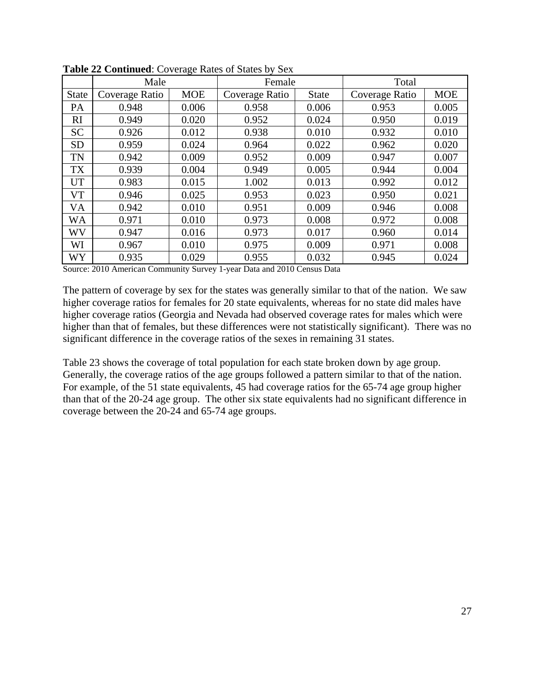|              | Male           | . پ        | Female         |              | Total          |            |
|--------------|----------------|------------|----------------|--------------|----------------|------------|
| <b>State</b> | Coverage Ratio | <b>MOE</b> | Coverage Ratio | <b>State</b> | Coverage Ratio | <b>MOE</b> |
| PA           | 0.948          | 0.006      | 0.958          | 0.006        | 0.953          | 0.005      |
| RI           | 0.949          | 0.020      | 0.952          | 0.024        | 0.950          | 0.019      |
| <b>SC</b>    | 0.926          | 0.012      | 0.938          | 0.010        | 0.932          | 0.010      |
| <b>SD</b>    | 0.959          | 0.024      | 0.964          | 0.022        | 0.962          | 0.020      |
| <b>TN</b>    | 0.942          | 0.009      | 0.952          | 0.009        | 0.947          | 0.007      |
| TX           | 0.939          | 0.004      | 0.949          | 0.005        | 0.944          | 0.004      |
| <b>UT</b>    | 0.983          | 0.015      | 1.002          | 0.013        | 0.992          | 0.012      |
| VT           | 0.946          | 0.025      | 0.953          | 0.023        | 0.950          | 0.021      |
| VA           | 0.942          | 0.010      | 0.951          | 0.009        | 0.946          | 0.008      |
| WA           | 0.971          | 0.010      | 0.973          | 0.008        | 0.972          | 0.008      |
| <b>WV</b>    | 0.947          | 0.016      | 0.973          | 0.017        | 0.960          | 0.014      |
| WI           | 0.967          | 0.010      | 0.975          | 0.009        | 0.971          | 0.008      |
| WY           | 0.935          | 0.029      | 0.955          | 0.032        | 0.945          | 0.024      |

**Table 22 Continued**: Coverage Rates of States by Sex

The pattern of coverage by sex for the states was generally similar to that of the nation. We saw higher coverage ratios for females for 20 state equivalents, whereas for no state did males have higher coverage ratios (Georgia and Nevada had observed coverage rates for males which were higher than that of females, but these differences were not statistically significant). There was no significant difference in the coverage ratios of the sexes in remaining 31 states.

Table 23 shows the coverage of total population for each state broken down by age group. Generally, the coverage ratios of the age groups followed a pattern similar to that of the nation. For example, of the 51 state equivalents, 45 had coverage ratios for the 65-74 age group higher than that of the 20-24 age group. The other six state equivalents had no significant difference in coverage between the 20-24 and 65-74 age groups.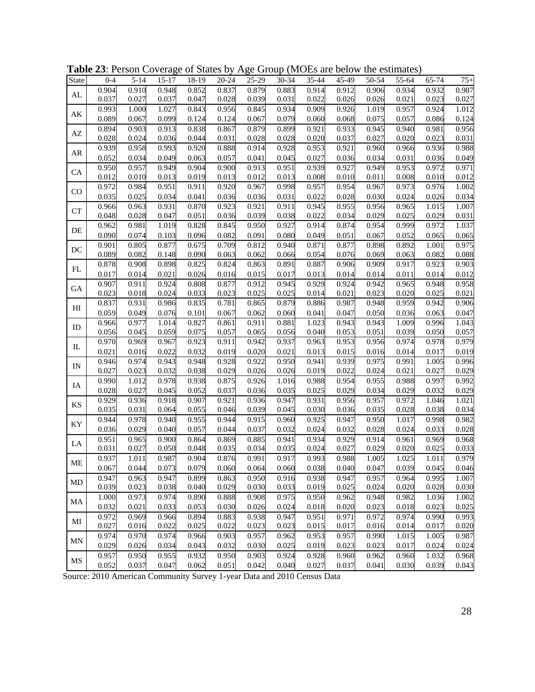| State                  | $0 - 4$ | $5 - 14$ | $15 - 17$ | 18-19 | $20 - 24$ | 25-29 | 30-34 | 35-44 | 45-49 | 50-54 | 55-64 | $65 - 74$ | $75+$ |
|------------------------|---------|----------|-----------|-------|-----------|-------|-------|-------|-------|-------|-------|-----------|-------|
| AL                     | 0.904   | 0.910    | 0.948     | 0.852 | 0.837     | 0.879 | 0.883 | 0.914 | 0.912 | 0.906 | 0.934 | 0.932     | 0.987 |
|                        | 0.037   | 0.027    | 0.037     | 0.047 | 0.028     | 0.039 | 0.031 | 0.022 | 0.026 | 0.026 | 0.021 | 0.023     | 0.027 |
| $\mathbf{A}\mathbf{K}$ | 0.993   | 1.000    | 1.027     | 0.843 | 0.956     | 0.845 | 0.934 | 0.909 | 0.926 | 1.019 | 0.957 | 0.924     | 1.012 |
|                        | 0.089   | 0.067    | 0.099     | 0.124 | 0.124     | 0.067 | 0.079 | 0.060 | 0.068 | 0.075 | 0.057 | 0.086     | 0.124 |
| $\mathbf{A}\mathbf{Z}$ | 0.894   | 0.903    | 0.913     | 0.838 | 0.867     | 0.879 | 0.899 | 0.921 | 0.933 | 0.945 | 0.940 | 0.981     | 0.956 |
|                        | 0.028   | 0.024    | 0.036     | 0.044 | 0.031     | 0.028 | 0.028 | 0.020 | 0.037 | 0.027 | 0.020 | 0.023     | 0.031 |
|                        | 0.939   | 0.958    | 0.993     | 0.920 | 0.888     | 0.914 | 0.928 | 0.953 | 0.921 | 0.960 | 0.966 | 0.936     | 0.988 |
| AR                     | 0.052   | 0.034    | 0.049     | 0.063 | 0.057     | 0.041 | 0.045 | 0.027 | 0.036 | 0.034 | 0.031 | 0.036     | 0.049 |
| <b>CA</b>              | 0.950   | 0.957    | 0.949     | 0.904 | 0.900     | 0.913 | 0.951 | 0.939 | 0.927 | 0.949 | 0.953 | 0.972     | 0.971 |
|                        | 0.012   | 0.010    | 0.013     | 0.019 | 0.013     | 0.012 | 0.013 | 0.008 | 0.010 | 0.011 | 0.008 | 0.010     | 0.012 |
| CO                     | 0.972   | 0.984    | 0.951     | 0.911 | 0.920     | 0.967 | 0.998 | 0.957 | 0.954 | 0.967 | 0.973 | 0.976     | 1.002 |
|                        | 0.035   | 0.025    | 0.034     | 0.041 | 0.036     | 0.036 | 0.031 | 0.022 | 0.028 | 0.030 | 0.024 | 0.026     | 0.034 |
| ${\cal C}{\cal T}$     | 0.966   | 0.963    | 0.931     | 0.870 | 0.923     | 0.921 | 0.911 | 0.945 | 0.955 | 0.956 | 0.965 | 1.015     | 1.007 |
|                        | 0.048   | 0.028    | 0.047     | 0.051 | 0.036     | 0.039 | 0.038 | 0.022 | 0.034 | 0.029 | 0.025 | 0.029     | 0.031 |
| DE                     | 0.962   | 0.981    | 1.019     | 0.828 | 0.845     | 0.950 | 0.927 | 0.914 | 0.874 | 0.954 | 0.999 | 0.972     | 1.037 |
|                        | 0.090   | 0.074    | 0.103     | 0.096 | 0.082     | 0.091 | 0.080 | 0.049 | 0.051 | 0.067 | 0.052 | 0.065     | 0.065 |
| $\rm DC$               | 0.901   | 0.805    | 0.877     | 0.675 | 0.709     | 0.812 | 0.940 | 0.871 | 0.877 | 0.898 | 0.892 | 1.001     | 0.975 |
|                        | 0.089   | 0.082    | 0.148     | 0.090 | 0.063     | 0.062 | 0.066 | 0.054 | 0.076 | 0.069 | 0.063 | 0.082     | 0.088 |
| FL                     | 0.878   | 0.908    | 0.898     | 0.825 | 0.824     | 0.863 | 0.891 | 0.887 | 0.906 | 0.909 | 0.917 | 0.923     | 0.903 |
|                        | 0.017   | 0.014    | 0.021     | 0.026 | 0.016     | 0.015 | 0.017 | 0.013 | 0.014 | 0.014 | 0.011 | 0.014     | 0.012 |
| GA                     | 0.907   | 0.911    | 0.924     | 0.808 | 0.877     | 0.912 | 0.945 | 0.929 | 0.924 | 0.942 | 0.965 | 0.948     | 0.958 |
|                        | 0.023   | 0.018    | 0.024     | 0.033 | 0.023     | 0.025 | 0.025 | 0.014 | 0.021 | 0.023 | 0.020 | 0.025     | 0.021 |
| H                      | 0.837   | 0.931    | 0.986     | 0.835 | 0.781     | 0.865 | 0.879 | 0.886 | 0.987 | 0.948 | 0.959 | 0.942     | 0.906 |
|                        | 0.059   | 0.049    | 0.076     | 0.101 | 0.067     | 0.062 | 0.060 | 0.041 | 0.047 | 0.050 | 0.036 | 0.063     | 0.047 |
| ID                     | 0.966   | 0.977    | 1.014     | 0.827 | 0.861     | 0.911 | 0.881 | 1.023 | 0.943 | 0.943 | 1.009 | 0.996     | 1.043 |
|                        | 0.056   | 0.045    | 0.059     | 0.075 | 0.057     | 0.065 | 0.056 | 0.040 | 0.053 | 0.051 | 0.039 | 0.050     | 0.057 |
| IL                     | 0.970   | 0.969    | 0.967     | 0.923 | 0.911     | 0.942 | 0.937 | 0.963 | 0.953 | 0.956 | 0.974 | 0.978     | 0.979 |
|                        | 0.021   | 0.016    | 0.022     | 0.032 | 0.019     | 0.020 | 0.021 | 0.013 | 0.015 | 0.016 | 0.014 | 0.017     | 0.019 |
| IN                     | 0.946   | 0.974    | 0.943     | 0.948 | 0.928     | 0.922 | 0.950 | 0.941 | 0.939 | 0.975 | 0.991 | 1.005     | 0.996 |
|                        | 0.027   | 0.023    | 0.032     | 0.038 | 0.029     | 0.026 | 0.026 | 0.019 | 0.022 | 0.024 | 0.021 | 0.027     | 0.029 |
| IA                     | 0.990   | 1.012    | 0.978     | 0.938 | 0.875     | 0.926 | 1.016 | 0.988 | 0.954 | 0.955 | 0.988 | 0.997     | 0.992 |
|                        | 0.028   | 0.027    | 0.045     | 0.052 | 0.037     | 0.036 | 0.035 | 0.025 | 0.029 | 0.034 | 0.029 | 0.032     | 0.029 |
| KS                     | 0.929   | 0.936    | 0.918     | 0.907 | 0.921     | 0.936 | 0.947 | 0.931 | 0.956 | 0.957 | 0.972 | 1.046     | 1.021 |
|                        | 0.035   | 0.031    | 0.064     | 0.055 | 0.046     | 0.039 | 0.045 | 0.030 | 0.036 | 0.035 | 0.028 | 0.038     | 0.034 |
| KY                     | 0.944   | 0.978    | 0.940     | 0.955 | 0.944     | 0.915 | 0.960 | 0.925 | 0.947 | 0.950 | 1.017 | 0.998     | 0.982 |
|                        | 0.036   | 0.029    | 0.040     | 0.057 | 0.044     | 0.037 | 0.032 | 0.024 | 0.032 | 0.028 | 0.024 | 0.033     | 0.028 |
| LA                     | 0.951   | 0.965    | 0.900     | 0.864 | 0.869     | 0.885 | 0.941 | 0.934 | 0.929 | 0.914 | 0.961 | 0.969     | 0.968 |
|                        | 0.031   | 0.027    | 0.050     | 0.048 | 0.035     | 0.034 | 0.035 | 0.024 | 0.027 | 0.029 | 0.020 | 0.025     | 0.033 |
| ME                     | 0.937   | 1.011    | 0.987     | 0.904 | 0.876     | 0.991 | 0.917 | 0.993 | 0.988 | 1.005 | 1.025 | 1.011     | 0.979 |
|                        | 0.067   | 0.044    | 0.073     | 0.079 | 0.060     | 0.064 | 0.060 | 0.038 | 0.040 | 0.047 | 0.039 | 0.045     | 0.046 |
| MD                     | 0.947   | 0.963    | 0.947     | 0.899 | 0.863     | 0.950 | 0.916 | 0.938 | 0.947 | 0.957 | 0.964 | 0.995     | 1.007 |
|                        | 0.039   | 0.023    | 0.038     | 0.040 | 0.029     | 0.030 | 0.033 | 0.019 | 0.025 | 0.024 | 0.020 | 0.028     | 0.030 |
| MA                     | 1.000   | 0.973    | 0.974     | 0.890 | 0.888     | 0.908 | 0.975 | 0.950 | 0.962 | 0.948 | 0.982 | 1.036     | 1.002 |
|                        | 0.032   | 0.021    | 0.033     | 0.053 | 0.030     | 0.026 | 0.024 | 0.018 | 0.020 | 0.023 | 0.018 | 0.023     | 0.025 |
|                        | 0.972   | 0.969    | 0.966     | 0.894 | 0.883     | 0.938 | 0.947 | 0.951 | 0.971 | 0.972 | 0.974 | 0.990     | 0.993 |
| MI                     | 0.027   | 0.016    | 0.022     | 0.025 | 0.022     | 0.023 | 0.023 | 0.015 | 0.017 | 0.016 | 0.014 | 0.017     | 0.020 |
| <b>MN</b>              | 0.974   | 0.970    | 0.974     | 0.966 | 0.903     | 0.957 | 0.962 | 0.953 | 0.957 | 0.990 | 1.015 | 1.005     | 0.987 |
|                        | 0.029   | 0.026    | 0.034     | 0.043 | 0.032     | 0.030 | 0.025 | 0.019 | 0.023 | 0.023 | 0.017 | 0.024     | 0.024 |
| $\rm MS$               | 0.957   | 0.950    | 0.955     | 0.932 | 0.950     | 0.903 | 0.924 | 0.928 | 0.960 | 0.962 | 0.960 | 1.032     | 0.968 |
|                        | 0.052   | 0.037    | 0.047     | 0.062 | 0.051     | 0.042 | 0.040 | 0.027 | 0.037 | 0.041 | 0.030 | 0.039     | 0.043 |

**Table 23**: Person Coverage of States by Age Group (MOEs are below the estimates)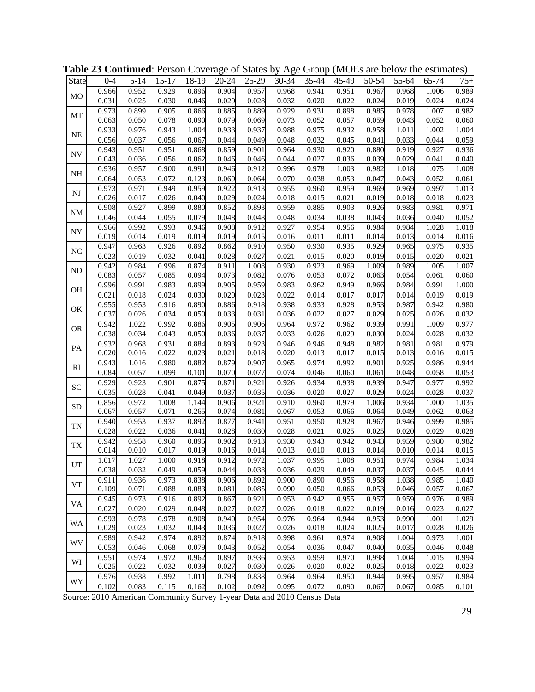| <b>State</b>   | $0 - 4$        | $5 - 14$       | $15 - 17$      | 18-19          | $20 - 24$          | 25-29          | 30-34          | 35-44          | 45-49          | 50-54          | 55-64          | 65-74          | $75+$          |
|----------------|----------------|----------------|----------------|----------------|--------------------|----------------|----------------|----------------|----------------|----------------|----------------|----------------|----------------|
| M <sub>O</sub> | 0.966          | 0.952          | 0.929          | 0.896          | 0.904              | 0.957          | 0.968          | 0.941          | 0.951          | 0.967          | 0.968          | 1.006          | 0.989          |
|                | 0.031          | 0.025          | 0.030          | 0.046          | 0.029              | 0.028          | 0.032          | 0.020          | 0.022          | 0.024          | 0.019          | 0.024          | 0.024          |
| MT             | 0.973          | 0.899          | 0.905          | 0.866          | 0.885              | 0.889          | 0.929          | 0.931          | 0.898          | 0.985          | 0.978          | 1.007          | 0.982          |
|                | 0.063          | 0.050          | 0.078          | 0.090          | 0.079              | 0.069          | 0.073          | 0.052          | 0.057          | 0.059          | 0.043          | 0.052          | 0.060          |
| <b>NE</b>      | 0.933          | 0.976          | 0.943          | 1.004          | 0.933              | 0.937          | 0.988          | 0.975          | 0.932          | 0.958          | 1.011          | 1.002          | 1.004          |
|                | 0.056          | 0.037          | 0.056          | 0.067          | 0.044              | 0.049          | 0.048          | 0.032          | 0.045          | 0.041          | 0.033          | 0.044          | 0.059          |
| <b>NV</b>      | 0.943          | 0.951          | 0.951          | 0.868          | 0.859              | 0.901          | 0.964          | 0.930          | 0.920          | 0.880          | 0.919          | 0.927          | 0.936          |
|                | 0.043          | 0.036          | 0.056          | 0.062          | 0.046              | 0.046          | 0.044          | 0.027          | 0.036          | 0.039          | 0.029          | 0.041          | 0.040          |
| <b>NH</b>      | 0.936          | 0.957          | 0.900          | 0.991          | 0.946              | 0.912          | 0.996          | 0.978          | 1.003          | 0.982          | 1.018          | 1.075          | 1.008          |
|                | 0.064          | 0.053          | 0.072          | 0.123          | 0.069              | 0.064          | 0.070          | 0.038          | 0.053          | 0.047          | 0.043          | 0.052          | 0.061          |
| <b>NJ</b>      | 0.973          | 0.971          | 0.949          | 0.959          | 0.922              | 0.913          | 0.955          | 0.960          | 0.959          | 0.969          | 0.969          | 0.997          | 1.013          |
|                | 0.026          | 0.017          | 0.026          | 0.040          | 0.029              | 0.024          | 0.018          | 0.015          | 0.021          | 0.019          | 0.018          | 0.018          | 0.023          |
| NM             | 0.908          | 0.927          | 0.899          | 0.880          | 0.852              | 0.893          | 0.959          | 0.885          | 0.903          | 0.926          | 0.983          | 0.981          | 0.971          |
|                | 0.046          | 0.044          | 0.055          | 0.079          | 0.048              | 0.048          | 0.048          | 0.034          | 0.038          | 0.043          | 0.036          | 0.040          | 0.052          |
| NY             | 0.966          | 0.992          | 0.993          | 0.946          | 0.908              | 0.912          | 0.927          | 0.954          | 0.956          | 0.984          | 0.984          | 1.028<br>0.014 | 1.018          |
|                | 0.019<br>0.947 | 0.014<br>0.963 | 0.019<br>0.926 | 0.019<br>0.892 | 0.019<br>0.862     | 0.015<br>0.910 | 0.016<br>0.950 | 0.011<br>0.930 | 0.011<br>0.935 | 0.014<br>0.929 | 0.013<br>0.965 | 0.975          | 0.016<br>0.935 |
| $\rm NC$       | 0.023          | 0.019          | 0.032          | 0.041          | 0.028              | 0.027          | 0.021          | 0.015          | 0.020          | 0.019          | 0.015          | 0.020          | 0.021          |
|                | 0.942          | 0.984          | 0.996          | 0.874          | 0.911              | 1.008          | 0.930          | 0.923          | 0.969          | 1.009          | 0.989          | 1.005          | 1.007          |
| <b>ND</b>      | 0.083          | 0.057          | 0.085          | 0.094          | 0.073              | 0.082          | 0.076          | 0.053          | 0.072          | 0.063          | 0.054          | 0.061          | 0.060          |
|                | 0.996          | 0.991          | 0.983          | 0.899          | 0.905              | 0.959          | 0.983          | 0.962          | 0.949          | 0.966          | 0.984          | 0.991          | 1.000          |
| <b>OH</b>      | 0.021          | 0.018          | 0.024          | 0.030          | 0.020              | 0.023          | 0.022          | 0.014          | 0.017          | 0.017          | 0.014          | 0.019          | 0.019          |
|                | 0.955          | 0.953          | 0.916          | 0.890          | 0.886              | 0.918          | 0.938          | 0.933          | 0.928          | 0.953          | 0.987          | 0.942          | 0.980          |
| OK             | 0.037          | 0.026          | 0.034          | 0.050          | 0.033              | 0.031          | 0.036          | 0.022          | 0.027          | 0.029          | 0.025          | 0.026          | 0.032          |
|                | 0.942          | 1.022          | 0.992          | 0.886          | 0.905              | 0.906          | 0.964          | 0.972          | 0.962          | 0.939          | 0.991          | 1.009          | 0.977          |
| <b>OR</b>      | 0.038          | 0.034          | 0.043          | 0.050          | 0.036              | 0.037          | 0.033          | 0.026          | 0.029          | 0.030          | 0.024          | 0.028          | 0.032          |
|                | 0.932          | 0.968          | 0.931          | 0.884          | 0.893              | 0.923          | 0.946          | 0.946          | 0.948          | 0.982          | 0.981          | 0.981          | 0.979          |
| PA             | 0.020          | 0.016          | 0.022          | 0.023          | 0.021              | 0.018          | 0.020          | 0.013          | 0.017          | 0.015          | 0.013          | 0.016          | 0.015          |
|                | 0.943          | 1.016          | 0.980          | 0.882          | 0.879              | 0.907          | 0.965          | 0.974          | 0.992          | 0.901          | 0.925          | 0.986          | 0.944          |
| RI             | 0.084          | 0.057          | 0.099          | 0.101          | 0.070              | 0.077          | 0.074          | 0.046          | 0.060          | 0.061          | 0.048          | 0.058          | 0.053          |
| ${\rm SC}$     | 0.929          | 0.923          | 0.901          | 0.875          | 0.871              | 0.921          | 0.926          | 0.934          | 0.938          | 0.939          | 0.947          | 0.977          | 0.992          |
|                | 0.035          | 0.028          | 0.041          | 0.049          | 0.037              | 0.035          | 0.036          | 0.020          | 0.027          | 0.029          | 0.024          | 0.028          | 0.037          |
| <b>SD</b>      | 0.856          | 0.972          | 1.008          | 1.144          | 0.906              | 0.921          | 0.910          | 0.960          | 0.979          | 1.006          | 0.934          | 1.000          | 1.035          |
|                | 0.067          | 0.057          | 0.071          | 0.265          | 0.074              | 0.081          | 0.067          | 0.053          | 0.066          | 0.064          | 0.049          | 0.062          | 0.063          |
| <b>TN</b>      | 0.940          | 0.953          | 0.937          | 0.892          | 0.877              | 0.941          | 0.951          | 0.950          | 0.928          | 0.967          | 0.946          | 0.999          | 0.985          |
|                | 0.028          | 0.022          | 0.036          | 0.041          | 0.028              | 0.030          | 0.028          | 0.021          | 0.025          | 0.025          | 0.020          | 0.029          | 0.028          |
| TX             | 0.942          | 0.958          | 0.960          | 0.895          | 0.902              | 0.913          | 0.930          | 0.943          | 0.942          | 0.943          | 0.959          | 0.980          | 0.982          |
|                | 0.014          | 0.010          | 0.017          | 0.019          | 0.016              | 0.014          | 0.013          | 0.010          | 0.013          | 0.014          | 0.010          | 0.014          | 0.015          |
| UT             | 1.017          | 1.027          | 1.000          | 0.918          | $\overline{0.912}$ | 0.972          | 1.037          | 0.995          | 1.008          | 0.951          | 0.974          | 0.984          | 1.034          |
|                | 0.038          | 0.032          | 0.049          | 0.059          | 0.044              | 0.038          | 0.036          | 0.029          | 0.049          | 0.037          | 0.037          | 0.045          | 0.044          |
| <b>VT</b>      | 0.911          | 0.936          | 0.973          | 0.838          | 0.906              | 0.892          | 0.900          | 0.890          | 0.956          | 0.958          | 1.038          | 0.985          | 1.040          |
|                | 0.109          | 0.071          | 0.088          | 0.083          | 0.081              | 0.085          | 0.090          | 0.050          | 0.066          | 0.053          | 0.046          | 0.057          | 0.067          |
| VA             | 0.945          | 0.973          | 0.916          | 0.892          | 0.867              | 0.921          | 0.953          | 0.942          | 0.955          | 0.957          | 0.959          | 0.976          | 0.989          |
|                | 0.027          | 0.020          | 0.029          | 0.048          | 0.027              | 0.027          | 0.026          | 0.018          | 0.022          | 0.019          | 0.016          | 0.023          | 0.027          |
| WA             | 0.993<br>0.029 | 0.978<br>0.023 | 0.978<br>0.032 | 0.908<br>0.043 | 0.940<br>0.036     | 0.954<br>0.027 | 0.976<br>0.026 | 0.964<br>0.018 | 0.944<br>0.024 | 0.953<br>0.025 | 0.990<br>0.017 | 1.001<br>0.028 | 1.029<br>0.026 |
|                | 0.989          | 0.942          | 0.974          | 0.892          | 0.874              | 0.918          | 0.998          | 0.961          | 0.974          | 0.908          | 1.004          | 0.973          | 1.001          |
| WV             | 0.053          | 0.046          | 0.068          | 0.079          | 0.043              | 0.052          | 0.054          | 0.036          | 0.047          | 0.040          | 0.035          | 0.046          | 0.048          |
|                | 0.951          | 0.974          | 0.972          | 0.962          | 0.897              | 0.936          | 0.953          | 0.959          | 0.970          | 0.998          | 1.004          | 1.015          | 0.994          |
| WI             | 0.025          | 0.022          | 0.032          | 0.039          | 0.027              | 0.030          | 0.026          | 0.020          | 0.022          | 0.025          | 0.018          | 0.022          | 0.023          |
|                | 0.976          | 0.938          | 0.992          | 1.011          | 0.798              | 0.838          | 0.964          | 0.964          | 0.950          | 0.944          | 0.995          | 0.957          | 0.984          |
| WY             | 0.102          | 0.083          | 0.115          | 0.162          | 0.102              | 0.092          | 0.095          | 0.072          | 0.090          | 0.067          | 0.067          | 0.085          | 0.101          |

**Table 23 Continued**: Person Coverage of States by Age Group (MOEs are below the estimates)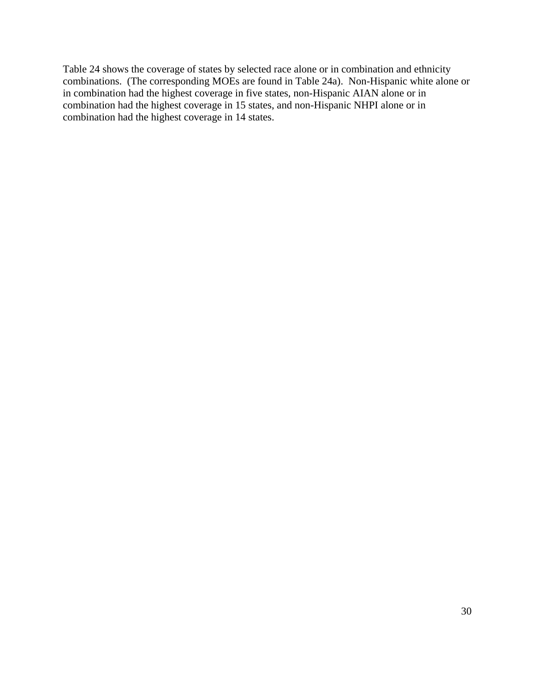Table 24 shows the coverage of states by selected race alone or in combination and ethnicity combinations. (The corresponding MOEs are found in Table 24a). Non-Hispanic white alone or in combination had the highest coverage in five states, non-Hispanic AIAN alone or in combination had the highest coverage in 15 states, and non-Hispanic NHPI alone or in combination had the highest coverage in 14 states.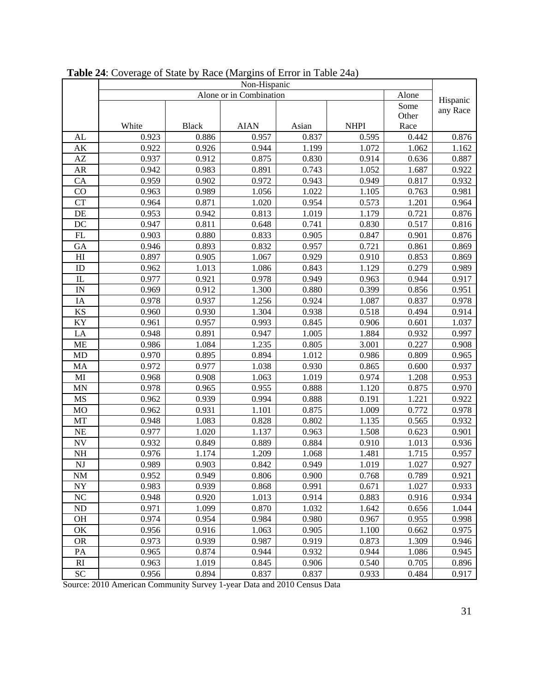|                          | Non-Hispanic |              |                         |       |             |       |          |  |  |
|--------------------------|--------------|--------------|-------------------------|-------|-------------|-------|----------|--|--|
|                          |              |              | Alone or in Combination |       |             | Alone |          |  |  |
|                          |              |              |                         |       |             | Some  | Hispanic |  |  |
|                          |              |              |                         |       |             | Other | any Race |  |  |
|                          | White        | <b>Black</b> | <b>AIAN</b>             | Asian | <b>NHPI</b> | Race  |          |  |  |
| AL                       | 0.923        | 0.886        | 0.957                   | 0.837 | 0.595       | 0.442 | 0.876    |  |  |
| $\mathbf{A}\mathbf{K}$   | 0.922        | 0.926        | 0.944                   | 1.199 | 1.072       | 1.062 | 1.162    |  |  |
| $\mathbf{A}\mathbf{Z}$   | 0.937        | 0.912        | 0.875                   | 0.830 | 0.914       | 0.636 | 0.887    |  |  |
| ${\sf AR}$               | 0.942        | 0.983        | 0.891                   | 0.743 | 1.052       | 1.687 | 0.922    |  |  |
| CA                       | 0.959        | 0.902        | 0.972                   | 0.943 | 0.949       | 0.817 | 0.932    |  |  |
| CO                       | 0.963        | 0.989        | 1.056                   | 1.022 | 1.105       | 0.763 | 0.981    |  |  |
| $\overline{\text{CT}}$   | 0.964        | 0.871        | 1.020                   | 0.954 | 0.573       | 1.201 | 0.964    |  |  |
| DE                       | 0.953        | 0.942        | 0.813                   | 1.019 | 1.179       | 0.721 | 0.876    |  |  |
| DC                       | 0.947        | 0.811        | 0.648                   | 0.741 | 0.830       | 0.517 | 0.816    |  |  |
| ${\rm FL}$               | 0.903        | 0.880        | 0.833                   | 0.905 | 0.847       | 0.901 | 0.876    |  |  |
| GA                       | 0.946        | 0.893        | 0.832                   | 0.957 | 0.721       | 0.861 | 0.869    |  |  |
| H <sub>I</sub>           | 0.897        | 0.905        | 1.067                   | 0.929 | 0.910       | 0.853 | 0.869    |  |  |
| ID                       | 0.962        | 1.013        | 1.086                   | 0.843 | 1.129       | 0.279 | 0.989    |  |  |
| $\rm IL$                 | 0.977        | 0.921        | 0.978                   | 0.949 | 0.963       | 0.944 | 0.917    |  |  |
| IN                       | 0.969        | 0.912        | 1.300                   | 0.880 | 0.399       | 0.856 | 0.951    |  |  |
| IA                       | 0.978        | 0.937        | 1.256                   | 0.924 | 1.087       | 0.837 | 0.978    |  |  |
| KS                       | 0.960        | 0.930        | 1.304                   | 0.938 | 0.518       | 0.494 | 0.914    |  |  |
| KY                       | 0.961        | 0.957        | 0.993                   | 0.845 | 0.906       | 0.601 | 1.037    |  |  |
| LA                       | 0.948        | 0.891        | 0.947                   | 1.005 | 1.884       | 0.932 | 0.997    |  |  |
| <b>ME</b>                | 0.986        | 1.084        | 1.235                   | 0.805 | 3.001       | 0.227 | 0.908    |  |  |
| MD                       | 0.970        | 0.895        | 0.894                   | 1.012 | 0.986       | 0.809 | 0.965    |  |  |
| MA                       | 0.972        | 0.977        | 1.038                   | 0.930 | 0.865       | 0.600 | 0.937    |  |  |
| $\mathbf{M}\mathbf{I}$   | 0.968        | 0.908        | 1.063                   | 1.019 | 0.974       | 1.208 | 0.953    |  |  |
| $\mbox{MN}$              | 0.978        | 0.965        | 0.955                   | 0.888 | 1.120       | 0.875 | 0.970    |  |  |
| $\rm MS$                 | 0.962        | 0.939        | 0.994                   | 0.888 | 0.191       | 1.221 | 0.922    |  |  |
| MO                       | 0.962        | 0.931        | 1.101                   | 0.875 | 1.009       | 0.772 | 0.978    |  |  |
| MT                       | 0.948        | 1.083        | 0.828                   | 0.802 | 1.135       | 0.565 | 0.932    |  |  |
| $\rm NE$                 | 0.977        | 1.020        | 1.137                   | 0.963 | 1.508       | 0.623 | 0.901    |  |  |
| $\ensuremath{\text{NV}}$ | 0.932        | 0.849        | 0.889                   | 0.884 | 0.910       | 1.013 | 0.936    |  |  |
| $\rm NH$                 | 0.976        | 1.174        | 1.209                   | 1.068 | 1.481       | 1.715 | 0.957    |  |  |
| NJ                       | 0.989        | 0.903        | 0.842                   | 0.949 | 1.019       | 1.027 | 0.927    |  |  |
| <b>NM</b>                | 0.952        | 0.949        | 0.806                   | 0.900 | 0.768       | 0.789 | 0.921    |  |  |
| $\ensuremath{\text{NY}}$ | 0.983        | 0.939        | 0.868                   | 0.991 | 0.671       | 1.027 | 0.933    |  |  |
| $\rm NC$                 | 0.948        | 0.920        | 1.013                   | 0.914 | 0.883       | 0.916 | 0.934    |  |  |
| $\rm ND$                 | 0.971        | 1.099        | 0.870                   | 1.032 | 1.642       | 0.656 | 1.044    |  |  |
| OH                       | 0.974        | 0.954        | 0.984                   | 0.980 | 0.967       | 0.955 | 0.998    |  |  |
| OK                       | 0.956        | 0.916        | 1.063                   | 0.905 | 1.100       | 0.662 | 0.975    |  |  |
| <b>OR</b>                | 0.973        | 0.939        | 0.987                   | 0.919 | 0.873       | 1.309 | 0.946    |  |  |
| PA                       | 0.965        | 0.874        | 0.944                   | 0.932 | 0.944       | 1.086 | 0.945    |  |  |
| RI                       | 0.963        | 1.019        | 0.845                   | 0.906 | 0.540       | 0.705 | 0.896    |  |  |
| ${\rm SC}$               | 0.956        | 0.894        | 0.837                   | 0.837 | 0.933       | 0.484 | 0.917    |  |  |

**Table 24**: Coverage of State by Race (Margins of Error in Table 24a)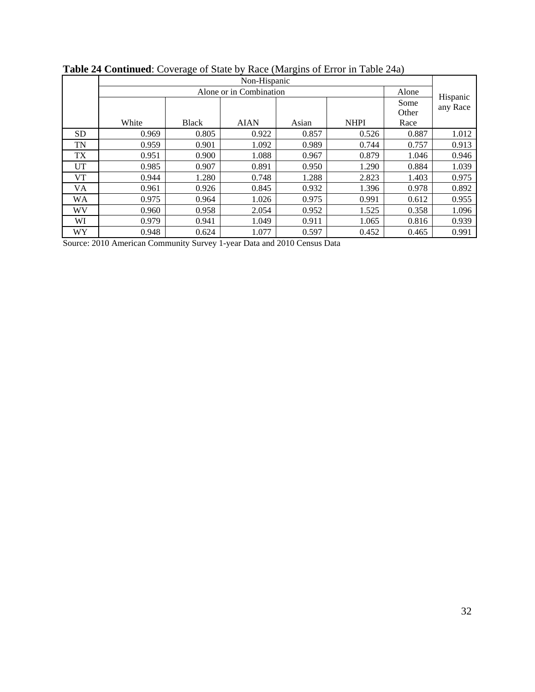|           | Non-Hispanic |              |             |       |             |       |                      |  |  |  |
|-----------|--------------|--------------|-------------|-------|-------------|-------|----------------------|--|--|--|
|           |              | Alone        |             |       |             |       |                      |  |  |  |
|           |              |              |             |       |             | Some  | Hispanic<br>any Race |  |  |  |
|           |              |              |             |       |             | Other |                      |  |  |  |
|           | White        | <b>Black</b> | <b>AIAN</b> | Asian | <b>NHPI</b> | Race  |                      |  |  |  |
| <b>SD</b> | 0.969        | 0.805        | 0.922       | 0.857 | 0.526       | 0.887 | 1.012                |  |  |  |
| TN        | 0.959        | 0.901        | 1.092       | 0.989 | 0.744       | 0.757 | 0.913                |  |  |  |
| TX        | 0.951        | 0.900        | 1.088       | 0.967 | 0.879       | 1.046 | 0.946                |  |  |  |
| UT        | 0.985        | 0.907        | 0.891       | 0.950 | 1.290       | 0.884 | 1.039                |  |  |  |
| VT        | 0.944        | 1.280        | 0.748       | 1.288 | 2.823       | 1.403 | 0.975                |  |  |  |
| VA        | 0.961        | 0.926        | 0.845       | 0.932 | 1.396       | 0.978 | 0.892                |  |  |  |
| WA        | 0.975        | 0.964        | 1.026       | 0.975 | 0.991       | 0.612 | 0.955                |  |  |  |
| WV        | 0.960        | 0.958        | 2.054       | 0.952 | 1.525       | 0.358 | 1.096                |  |  |  |
| WI        | 0.979        | 0.941        | 1.049       | 0.911 | 1.065       | 0.816 | 0.939                |  |  |  |
| WY        | 0.948        | 0.624        | 1.077       | 0.597 | 0.452       | 0.465 | 0.991                |  |  |  |

## **Table 24 Continued**: Coverage of State by Race (Margins of Error in Table 24a)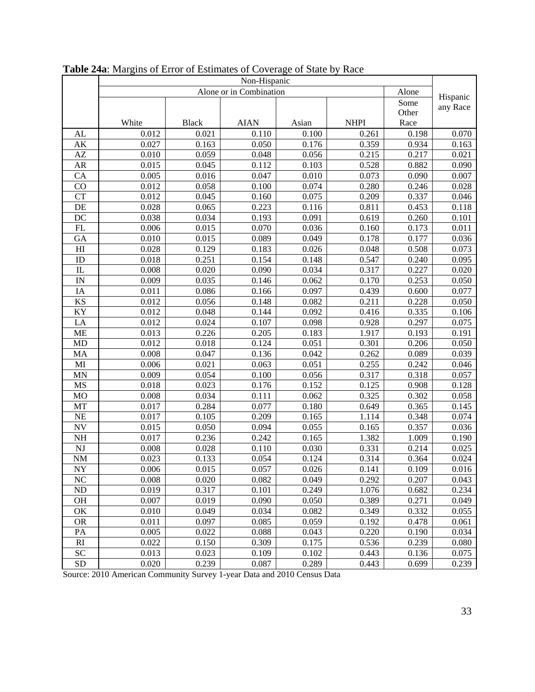|                            | Non-Hispanic |              |                         |       |             |       |                      |  |  |  |
|----------------------------|--------------|--------------|-------------------------|-------|-------------|-------|----------------------|--|--|--|
|                            |              |              | Alone or in Combination |       |             | Alone |                      |  |  |  |
|                            |              |              |                         |       |             | Some  | Hispanic<br>any Race |  |  |  |
|                            |              |              |                         |       |             | Other |                      |  |  |  |
|                            | White        | <b>Black</b> | <b>AIAN</b>             | Asian | <b>NHPI</b> | Race  |                      |  |  |  |
| AL                         | 0.012        | 0.021        | 0.110                   | 0.100 | 0.261       | 0.198 | 0.070                |  |  |  |
| $\mathbf{A}\mathbf{K}$     | 0.027        | 0.163        | 0.050                   | 0.176 | 0.359       | 0.934 | 0.163                |  |  |  |
| $\mathbf{A}\mathbf{Z}$     | 0.010        | 0.059        | 0.048                   | 0.056 | 0.215       | 0.217 | 0.021                |  |  |  |
| ${\sf AR}$                 | 0.015        | 0.045        | 0.112                   | 0.103 | 0.528       | 0.882 | 0.090                |  |  |  |
| CA                         | 0.005        | 0.016        | 0.047                   | 0.010 | 0.073       | 0.090 | 0.007                |  |  |  |
| CO                         | 0.012        | 0.058        | 0.100                   | 0.074 | 0.280       | 0.246 | 0.028                |  |  |  |
| <b>CT</b>                  | 0.012        | 0.045        | 0.160                   | 0.075 | 0.209       | 0.337 | 0.046                |  |  |  |
| DE                         | 0.028        | 0.065        | 0.223                   | 0.116 | 0.811       | 0.453 | 0.118                |  |  |  |
| DC                         | 0.038        | 0.034        | 0.193                   | 0.091 | 0.619       | 0.260 | 0.101                |  |  |  |
| $\mathop{\rm FL}\nolimits$ | 0.006        | 0.015        | 0.070                   | 0.036 | 0.160       | 0.173 | 0.011                |  |  |  |
| GA                         | 0.010        | 0.015        | 0.089                   | 0.049 | 0.178       | 0.177 | 0.036                |  |  |  |
| H <sub>I</sub>             | 0.028        | 0.129        | 0.183                   | 0.026 | 0.048       | 0.508 | 0.073                |  |  |  |
| ID                         | 0.018        | 0.251        | 0.154                   | 0.148 | 0.547       | 0.240 | 0.095                |  |  |  |
| $\rm IL$                   | 0.008        | 0.020        | 0.090                   | 0.034 | 0.317       | 0.227 | 0.020                |  |  |  |
| IN                         | 0.009        | 0.035        | 0.146                   | 0.062 | 0.170       | 0.253 | 0.050                |  |  |  |
| IA                         | 0.011        | 0.086        | 0.166                   | 0.097 | 0.439       | 0.600 | 0.077                |  |  |  |
| $\mathbf{K}\mathbf{S}$     | 0.012        | 0.056        | 0.148                   | 0.082 | 0.211       | 0.228 | 0.050                |  |  |  |
| KY                         | 0.012        | 0.048        | 0.144                   | 0.092 | 0.416       | 0.335 | 0.106                |  |  |  |
| LA                         | 0.012        | 0.024        | 0.107                   | 0.098 | 0.928       | 0.297 | 0.075                |  |  |  |
| <b>ME</b>                  | 0.013        | 0.226        | 0.205                   | 0.183 | 1.917       | 0.193 | 0.191                |  |  |  |
| MD                         | 0.012        | 0.018        | 0.124                   | 0.051 | 0.301       | 0.206 | 0.050                |  |  |  |
| MA                         | 0.008        | 0.047        | 0.136                   | 0.042 | 0.262       | 0.089 | 0.039                |  |  |  |
| MI                         | 0.006        | 0.021        | 0.063                   | 0.051 | 0.255       | 0.242 | 0.046                |  |  |  |
| $\mbox{MN}$                | 0.009        | 0.054        | 0.100                   | 0.056 | 0.317       | 0.318 | 0.057                |  |  |  |
| MS                         | 0.018        | 0.023        | 0.176                   | 0.152 | 0.125       | 0.908 | 0.128                |  |  |  |
| <b>MO</b>                  | 0.008        | 0.034        | 0.111                   | 0.062 | 0.325       | 0.302 | 0.058                |  |  |  |
| MT                         | 0.017        | 0.284        | 0.077                   | 0.180 | 0.649       | 0.365 | 0.145                |  |  |  |
| NE                         | 0.017        | 0.105        | 0.209                   | 0.165 | 1.114       | 0.348 | 0.074                |  |  |  |
| $\ensuremath{\text{NV}}$   | 0.015        | 0.050        | 0.094                   | 0.055 | 0.165       | 0.357 | 0.036                |  |  |  |
| NH                         | 0.017        | 0.236        | 0.242                   | 0.165 | 1.382       | 1.009 | 0.190                |  |  |  |
| NJ                         | 0.008        | 0.028        | 0.110                   | 0.030 | 0.331       | 0.214 | 0.025                |  |  |  |
| $\rm{NM}$                  | 0.023        | 0.133        | 0.054                   | 0.124 | 0.314       | 0.364 | 0.024                |  |  |  |
| NY                         | 0.006        | 0.015        | 0.057                   | 0.026 | 0.141       | 0.109 | 0.016                |  |  |  |
| NC                         | 0.008        | 0.020        | 0.082                   | 0.049 | 0.292       | 0.207 | 0.043                |  |  |  |
| ND                         | 0.019        | 0.317        | 0.101                   | 0.249 | 1.076       | 0.682 | 0.234                |  |  |  |
| OH                         | 0.007        | 0.019        | 0.090                   | 0.050 | 0.389       | 0.271 | 0.049                |  |  |  |
| OK                         | 0.010        | 0.049        | 0.034                   | 0.082 | 0.349       | 0.332 | 0.055                |  |  |  |
| <b>OR</b>                  | 0.011        | 0.097        | 0.085                   | 0.059 | 0.192       | 0.478 | 0.061                |  |  |  |
| PA                         | 0.005        | 0.022        | 0.088                   | 0.043 | 0.220       | 0.190 | 0.034                |  |  |  |
| RI                         | 0.022        | 0.150        | 0.309                   | 0.175 | 0.536       | 0.239 | 0.080                |  |  |  |
| <b>SC</b>                  | 0.013        | 0.023        | 0.109                   | 0.102 | 0.443       | 0.136 | 0.075                |  |  |  |
| ${\rm SD}$                 | 0.020        | 0.239        | 0.087                   | 0.289 | 0.443       | 0.699 | 0.239                |  |  |  |

**Table 24a**: Margins of Error of Estimates of Coverage of State by Race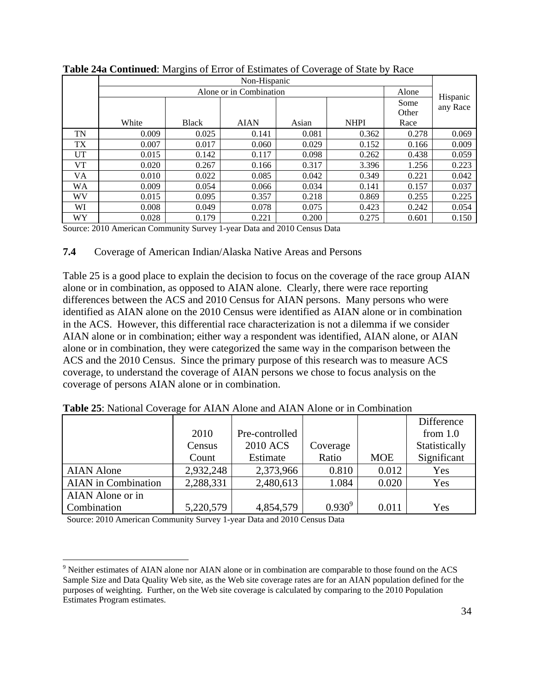|           |       |              | Non-Hispanic            |       |             |       |                      |
|-----------|-------|--------------|-------------------------|-------|-------------|-------|----------------------|
|           |       |              | Alone or in Combination |       |             | Alone |                      |
|           |       |              |                         |       |             | Some  | Hispanic<br>any Race |
|           |       |              |                         |       |             | Other |                      |
|           | White | <b>Black</b> | <b>AIAN</b>             | Asian | <b>NHPI</b> | Race  |                      |
| TN        | 0.009 | 0.025        | 0.141                   | 0.081 | 0.362       | 0.278 | 0.069                |
| <b>TX</b> | 0.007 | 0.017        | 0.060                   | 0.029 | 0.152       | 0.166 | 0.009                |
| UT        | 0.015 | 0.142        | 0.117                   | 0.098 | 0.262       | 0.438 | 0.059                |
| VT        | 0.020 | 0.267        | 0.166                   | 0.317 | 3.396       | 1.256 | 0.223                |
| VA        | 0.010 | 0.022        | 0.085                   | 0.042 | 0.349       | 0.221 | 0.042                |
| WА        | 0.009 | 0.054        | 0.066                   | 0.034 | 0.141       | 0.157 | 0.037                |
| WV        | 0.015 | 0.095        | 0.357                   | 0.218 | 0.869       | 0.255 | 0.225                |
| WI        | 0.008 | 0.049        | 0.078                   | 0.075 | 0.423       | 0.242 | 0.054                |
| WY        | 0.028 | 0.179        | 0.221                   | 0.200 | 0.275       | 0.601 | 0.150                |

**Table 24a Continued**: Margins of Error of Estimates of Coverage of State by Race

## **7.4** Coverage of American Indian/Alaska Native Areas and Persons

Table 25 is a good place to explain the decision to focus on the coverage of the race group AIAN alone or in combination, as opposed to AIAN alone. Clearly, there were race reporting differences between the ACS and 2010 Census for AIAN persons. Many persons who were identified as AIAN alone on the 2010 Census were identified as AIAN alone or in combination in the ACS. However, this differential race characterization is not a dilemma if we consider AIAN alone or in combination; either way a respondent was identified, AIAN alone, or AIAN alone or in combination, they were categorized the same way in the comparison between the ACS and the 2010 Census. Since the primary purpose of this research was to measure ACS coverage, to understand the coverage of AIAN persons we chose to focus analysis on the coverage of persons AIAN alone or in combination.

|                            |           |                |             |            | Difference    |
|----------------------------|-----------|----------------|-------------|------------|---------------|
|                            | 2010      | Pre-controlled |             |            | from $1.0$    |
|                            | Census    | 2010 ACS       | Coverage    |            | Statistically |
|                            | Count     | Estimate       | Ratio       | <b>MOE</b> | Significant   |
| <b>AIAN Alone</b>          | 2,932,248 | 2,373,966      | 0.810       | 0.012      | Yes           |
| <b>AIAN</b> in Combination | 2,288,331 | 2,480,613      | 1.084       | 0.020      | Yes           |
| AIAN Alone or in           |           |                |             |            |               |
| <b>Combination</b>         | 5,220,579 | 4,854,579      | $0.930^{9}$ | 0.011      | Yes           |

**Table 25**: National Coverage for AIAN Alone and AIAN Alone or in Combination

 $\overline{a}$ <sup>9</sup> Neither estimates of AIAN alone nor AIAN alone or in combination are comparable to those found on the ACS Sample Size and Data Quality Web site, as the Web site coverage rates are for an AIAN population defined for the purposes of weighting. Further, on the Web site coverage is calculated by comparing to the 2010 Population Estimates Program estimates.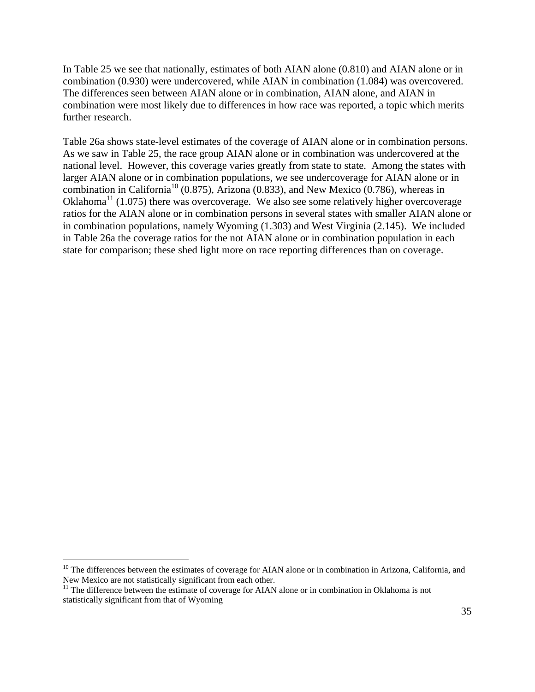In Table 25 we see that nationally, estimates of both AIAN alone (0.810) and AIAN alone or in combination (0.930) were undercovered, while AIAN in combination (1.084) was overcovered. The differences seen between AIAN alone or in combination, AIAN alone, and AIAN in combination were most likely due to differences in how race was reported, a topic which merits further research.

Table 26a shows state-level estimates of the coverage of AIAN alone or in combination persons. As we saw in Table 25, the race group AIAN alone or in combination was undercovered at the national level. However, this coverage varies greatly from state to state. Among the states with larger AIAN alone or in combination populations, we see undercoverage for AIAN alone or in combination in California<sup>10</sup> (0.875), Arizona (0.833), and New Mexico (0.786), whereas in Oklahoma<sup>11</sup> (1.075) there was overcoverage. We also see some relatively higher overcoverage ratios for the AIAN alone or in combination persons in several states with smaller AIAN alone or in combination populations, namely Wyoming (1.303) and West Virginia (2.145). We included in Table 26a the coverage ratios for the not AIAN alone or in combination population in each state for comparison; these shed light more on race reporting differences than on coverage.

1

 $10$  The differences between the estimates of coverage for AIAN alone or in combination in Arizona, California, and New Mexico are not statistically significant from each other.

 $<sup>11</sup>$  The difference between the estimate of coverage for AIAN alone or in combination in Oklahoma is not</sup> statistically significant from that of Wyoming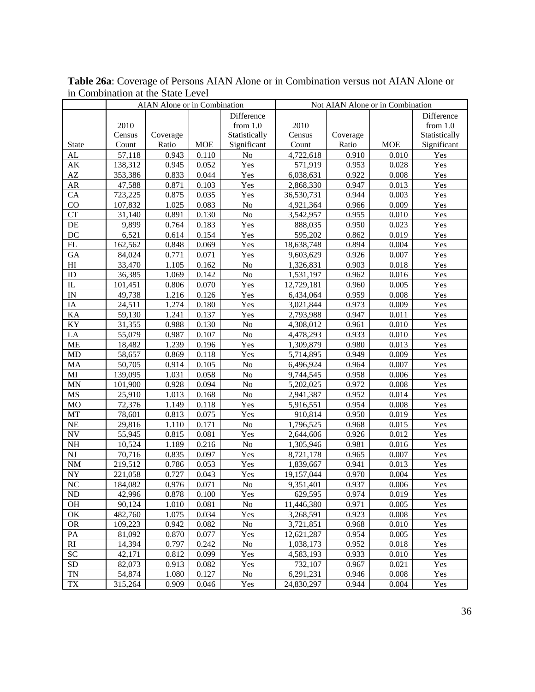|                          | AIAN Alone or in Combination |          |            | Not AIAN Alone or in Combination |                        |          |            |                   |
|--------------------------|------------------------------|----------|------------|----------------------------------|------------------------|----------|------------|-------------------|
|                          |                              |          |            | Difference                       |                        |          |            | Difference        |
|                          | 2010                         |          |            | from $1.0$                       | 2010                   |          |            | from $1.0$        |
|                          | Census                       | Coverage |            | Statistically                    | Census                 | Coverage |            | Statistically     |
| <b>State</b>             | Count                        | Ratio    | <b>MOE</b> | Significant                      | Count                  | Ratio    | <b>MOE</b> | Significant       |
| AL                       | 57,118                       | 0.943    | 0.110      | $\rm No$                         | 4,722,618              | 0.910    | 0.010      | Yes               |
| $\mathbf{A}\mathbf{K}$   | 138,312                      | 0.945    | 0.052      | Yes                              | 571,919                | 0.953    | 0.028      | Yes               |
| $\mathbf{A}\mathbf{Z}$   | 353,386                      | 0.833    | 0.044      | Yes                              | $\overline{6,}038,631$ | 0.922    | 0.008      | Yes               |
| AR                       | 47,588                       | 0.871    | 0.103      | Yes                              | 2,868,330              | 0.947    | 0.013      | Yes               |
| CA                       | 723,225                      | 0.875    | 0.035      | Yes                              | 36,530,731             | 0.944    | 0.003      | Yes               |
| CO                       | 107,832                      | 1.025    | 0.083      | $\rm No$                         | 4,921,364              | 0.966    | 0.009      | Yes               |
| <b>CT</b>                | 31,140                       | 0.891    | 0.130      | $\rm No$                         | 3,542,957              | 0.955    | 0.010      | Yes               |
| DE                       | 9,899                        | 0.764    | 0.183      | Yes                              | 888,035                | 0.950    | 0.023      | Yes               |
| DC                       | 6,521                        | 0.614    | 0.154      | Yes                              | 595,202                | 0.862    | 0.019      | Yes               |
| FL                       | 162,562                      | 0.848    | 0.069      | Yes                              | 18,638,748             | 0.894    | 0.004      | Yes               |
| GA                       | 84,024                       | 0.771    | 0.071      | Yes                              | 9,603,629              | 0.926    | 0.007      | Yes               |
| H                        | 33,470                       | 1.105    | 0.162      | $\rm No$                         | 1,326,831              | 0.903    | 0.018      | Yes               |
| ID                       | 36,385                       | 1.069    | 0.142      | $\rm No$                         | 1,531,197              | 0.962    | 0.016      | Yes               |
| IL                       | 101,451                      | 0.806    | 0.070      | Yes                              | 12,729,181             | 0.960    | 0.005      | Yes               |
| $\ensuremath{\text{IN}}$ | 49,738                       | 1.216    | 0.126      | Yes                              | 6,434,064              | 0.959    | 0.008      | Yes               |
| IA                       | 24,511                       | 1.274    | 0.180      | Yes                              | 3,021,844              | 0.973    | 0.009      | Yes               |
| KA                       | 59,130                       | 1.241    | 0.137      | Yes                              | 2,793,988              | 0.947    | 0.011      | Yes               |
| KY                       | 31,355                       | 0.988    | 0.130      | $\rm No$                         | 4,308,012              | 0.961    | 0.010      | Yes               |
| LA                       | 55,079                       | 0.987    | 0.107      | No                               | 4,478,293              | 0.933    | 0.010      | Yes               |
| <b>ME</b>                | 18,482                       | 1.239    | 0.196      | Yes                              | 1,309,879              | 0.980    | 0.013      | Yes               |
| MD                       | 58,657                       | 0.869    | 0.118      | Yes                              | 5,714,895              | 0.949    | 0.009      | Yes               |
| MA                       | 50,705                       | 0.914    | 0.105      | No                               | 6,496,924              | 0.964    | 0.007      | Yes               |
| MI                       | 139,095                      | 1.031    | 0.058      | $\rm No$                         | 9,744,545              | 0.958    | 0.006      | $\overline{Y}$ es |
| <b>MN</b>                | 101,900                      | 0.928    | 0.094      | No                               | 5,202,025              | 0.972    | 0.008      | Yes               |
| MS                       | 25,910                       | 1.013    | 0.168      | $\rm No$                         | 2,941,387              | 0.952    | 0.014      | Yes               |
| MO                       | 72,376                       | 1.149    | 0.118      | Yes                              | 5,916,551              | 0.954    | 0.008      | Yes               |
| MT                       | 78,601                       | 0.813    | 0.075      | Yes                              | 910,814                | 0.950    | 0.019      | Yes               |
| NE                       | 29,816                       | 1.110    | 0.171      | $\rm No$                         | 1,796,525              | 0.968    | 0.015      | Yes               |
| <b>NV</b>                | 55,945                       | 0.815    | 0.081      | Yes                              | 2,644,606              | 0.926    | 0.012      | Yes               |
| $\rm NH$                 | 10,524                       | 1.189    | 0.216      | $\rm No$                         | 1,305,946              | 0.981    | 0.016      | Yes               |
| NJ                       | 70,716                       | 0.835    | 0.097      | Yes                              | 8,721,178              | 0.965    | 0.007      | Yes               |
| $\rm{NM}$                | 219,512                      | 0.786    | 0.053      | Yes                              | 1,839,667              | 0.941    | 0.013      | Yes               |
| ${\rm NY}$               | 221,058                      | 0.727    | 0.043      | Yes                              | 19,157,044             | 0.970    | 0.004      | Yes               |
| NC                       | 184,082                      | 0.976    | 0.071      | No                               | 9,351,401              | 0.937    | 0.006      | Yes               |
| ND                       | 42,996                       | 0.878    | 0.100      | Yes                              | 629,595                | 0.974    | 0.019      | Yes               |
| OH                       | 90,124                       | 1.010    | 0.081      | N <sub>0</sub>                   | 11,446,380             | 0.971    | 0.005      | Yes               |
| OK                       | 482,760                      | 1.075    | 0.034      | Yes                              | 3,268,591              | 0.923    | 0.008      | Yes               |
| <b>OR</b>                | 109,223                      | 0.942    | 0.082      | N <sub>0</sub>                   | 3,721,851              | 0.968    | 0.010      | Yes               |
| PA                       | 81,092                       | 0.870    | 0.077      | Yes                              | 12,621,287             | 0.954    | 0.005      | Yes               |
| RI                       | 14,394                       | 0.797    | 0.242      | $\rm No$                         | 1,038,173              | 0.952    | 0.018      | Yes               |
| <b>SC</b>                | 42,171                       | 0.812    | 0.099      | Yes                              | 4,583,193              | 0.933    | 0.010      | Yes               |
| SD                       | 82,073                       | 0.913    | 0.082      | Yes                              | 732,107                | 0.967    | 0.021      | Yes               |
| <b>TN</b>                | 54,874                       | 1.080    | 0.127      | No                               | 6,291,231              | 0.946    | 0.008      | Yes               |
| TX                       | 315,264                      | 0.909    | 0.046      | Yes                              | 24,830,297             | 0.944    | 0.004      | Yes               |

**Table 26a**: Coverage of Persons AIAN Alone or in Combination versus not AIAN Alone or in Combination at the State Level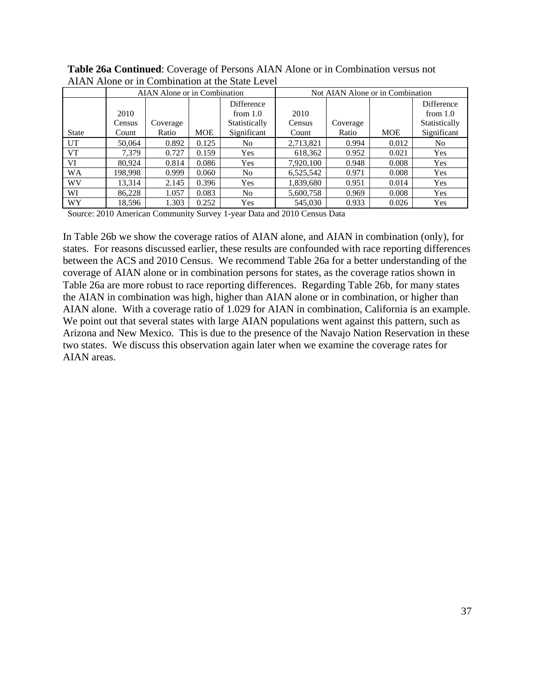|              |         | AIAN Alone or in Combination |       |               | Not AIAN Alone or in Combination |          |            |               |  |
|--------------|---------|------------------------------|-------|---------------|----------------------------------|----------|------------|---------------|--|
|              |         |                              |       | Difference    |                                  |          |            | Difference    |  |
|              | 2010    |                              |       | from $1.0$    | 2010                             |          |            | from $1.0$    |  |
|              | Census  | Coverage                     |       | Statistically | Census                           | Coverage |            | Statistically |  |
| <b>State</b> | Count   | Ratio                        | MOE   | Significant   | Count                            | Ratio    | <b>MOE</b> | Significant   |  |
| UT           | 50.064  | 0.892                        | 0.125 | No            | 2,713,821                        | 0.994    | 0.012      | No            |  |
| <b>VT</b>    | 7.379   | 0.727                        | 0.159 | Yes           | 618,362                          | 0.952    | 0.021      | Yes           |  |
| VI           | 80,924  | 0.814                        | 0.086 | Yes           | 7,920,100                        | 0.948    | 0.008      | Yes           |  |
| <b>WA</b>    | 198,998 | 0.999                        | 0.060 | No            | 6,525,542                        | 0.971    | 0.008      | Yes           |  |
| WV           | 13,314  | 2.145                        | 0.396 | Yes           | 1,839,680                        | 0.951    | 0.014      | Yes           |  |
| WI           | 86,228  | 1.057                        | 0.083 | No            | 5,600,758                        | 0.969    | 0.008      | Yes           |  |
| WY           | 18,596  | 1.303                        | 0.252 | Yes           | 545,030                          | 0.933    | 0.026      | Yes           |  |

**Table 26a Continued**: Coverage of Persons AIAN Alone or in Combination versus not AIAN Alone or in Combination at the State Level

In Table 26b we show the coverage ratios of AIAN alone, and AIAN in combination (only), for states. For reasons discussed earlier, these results are confounded with race reporting differences between the ACS and 2010 Census. We recommend Table 26a for a better understanding of the coverage of AIAN alone or in combination persons for states, as the coverage ratios shown in Table 26a are more robust to race reporting differences. Regarding Table 26b, for many states the AIAN in combination was high, higher than AIAN alone or in combination, or higher than AIAN alone. With a coverage ratio of 1.029 for AIAN in combination, California is an example. We point out that several states with large AIAN populations went against this pattern, such as Arizona and New Mexico. This is due to the presence of the Navajo Nation Reservation in these two states. We discuss this observation again later when we examine the coverage rates for AIAN areas.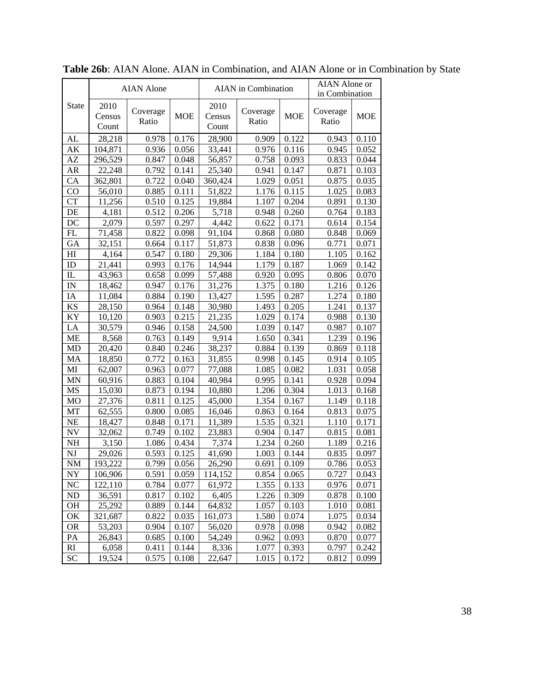|             |                         | <b>AIAN</b> Alone |            | <b>AIAN</b> in Combination |                   |            | AIAN Alone or<br>in Combination |            |
|-------------|-------------------------|-------------------|------------|----------------------------|-------------------|------------|---------------------------------|------------|
| State       | 2010<br>Census<br>Count | Coverage<br>Ratio | <b>MOE</b> | 2010<br>Census<br>Count    | Coverage<br>Ratio | <b>MOE</b> | Coverage<br>Ratio               | <b>MOE</b> |
| AL          | 28,218                  | 0.978             | 0.176      | 28,900                     | 0.909             | 0.122      | 0.943                           | 0.110      |
| AК          | 104,871                 | 0.936             | 0.056      | 33,441                     | 0.976             | 0.116      | 0.945                           | 0.052      |
| AZ          | 296,529                 | 0.847             | 0.048      | 56,857                     | 0.758             | 0.093      | 0.833                           | 0.044      |
| AR          | 22,248                  | 0.792             | 0.141      | 25,340                     | 0.941             | 0.147      | 0.871                           | 0.103      |
| CA          | 362,801                 | 0.722             | 0.040      | 360,424                    | 1.029             | 0.051      | 0.875                           | 0.035      |
| CO          | 56,010                  | 0.885             | 0.111      | 51,822                     | 1.176             | 0.115      | 1.025                           | 0.083      |
| <b>CT</b>   | 11,256                  | 0.510             | 0.125      | 19,884                     | 1.107             | 0.204      | 0.891                           | 0.130      |
| DE          | 4,181                   | 0.512             | 0.206      | 5,718                      | 0.948             | 0.260      | 0.764                           | 0.183      |
| DC          | 2,079                   | 0.597             | 0.297      | 4,442                      | 0.622             | 0.171      | 0.614                           | 0.154      |
| FL          | 71,458                  | 0.822             | 0.098      | 91,104                     | 0.868             | 0.080      | 0.848                           | 0.069      |
| GA          | 32,151                  | 0.664             | 0.117      | 51,873                     | 0.838             | 0.096      | 0.771                           | 0.071      |
| HI          | 4,164                   | 0.547             | 0.180      | 29,306                     | 1.184             | 0.180      | 1.105                           | 0.162      |
| ID          | 21,441                  | 0.993             | 0.176      | 14,944                     | 1.179             | 0.187      | 1.069                           | 0.142      |
| IL          | 43,963                  | 0.658             | 0.099      | 57,488                     | 0.920             | 0.095      | 0.806                           | 0.070      |
| $_{\rm IN}$ | 18,462                  | 0.947             | 0.176      | 31,276                     | 1.375             | 0.180      | 1.216                           | 0.126      |
| IA          | 11,084                  | 0.884             | 0.190      | 13,427                     | 1.595             | 0.287      | 1.274                           | 0.180      |
| KS          | 28,150                  | 0.964             | 0.148      | 30,980                     | 1.493             | 0.205      | 1.241                           | 0.137      |
| KY          | 10,120                  | 0.903             | 0.215      | 21,235                     | 1.029             | 0.174      | 0.988                           | 0.130      |
| LA          | 30,579                  | 0.946             | 0.158      | 24,500                     | 1.039             | 0.147      | 0.987                           | 0.107      |
| МE          | 8,568                   | 0.763             | 0.149      | 9,914                      | 1.650             | 0.341      | 1.239                           | 0.196      |
| MD          | 20,420                  | 0.840             | 0.246      | 38,237                     | 0.884             | 0.139      | 0.869                           | 0.118      |
| MA          | 18,850                  | 0.772             | 0.163      | 31,855                     | 0.998             | 0.145      | 0.914                           | 0.105      |
| MI          | 62,007                  | 0.963             | 0.077      | 77,088                     | 1.085             | 0.082      | 1.031                           | 0.058      |
| MN          | 60,916                  | 0.883             | 0.104      | 40,984                     | 0.995             | 0.141      | 0.928                           | 0.094      |
| MS          | 15,030                  | 0.873             | 0.194      | 10,880                     | 1.206             | 0.304      | 1.013                           | 0.168      |
| MO          | 27,376                  | 0.811             | 0.125      | 45,000                     | 1.354             | 0.167      | 1.149                           | 0.118      |
| MT          | 62,555                  | 0.800             | 0.085      | 16,046                     | 0.863             | 0.164      | 0.813                           | 0.075      |
| NE          | 18,427                  | 0.848             | 0.171      | 11,389                     | 1.535             | 0.321      | 1.110                           | 0.171      |
| NV          | 32,062                  | 0.749             | 0.102      | 23,883                     | 0.904             | 0.147      | 0.815                           | 0.081      |
| NH          | 3,150                   | 1.086             | 0.434      | 7,374                      | 1.234             | 0.260      | 1.189                           | 0.216      |
| NJ          | 29,026                  | 0.593             | 0.125      | 41,690                     | 1.003             | 0.144      | 0.835                           | 0.097      |
| <b>NM</b>   | 193,222                 | 0.799             | 0.056      | 26,290                     | 0.691             | 0.109      | 0.786                           | 0.053      |
| NY          | 106,906                 | 0.591             | 0.059      | 114,152                    | 0.854             | 0.065      | 0.727                           | 0.043      |
| NC          | 122,110                 | 0.784             | 0.077      | 61,972                     | 1.355             | 0.133      | 0.976                           | 0.071      |
| ND          | 36,591                  | 0.817             | 0.102      | 6,405                      | 1.226             | 0.309      | 0.878                           | 0.100      |
| <b>OH</b>   | 25,292                  | 0.889             | 0.144      | 64,832                     | 1.057             | 0.103      | 1.010                           | 0.081      |
| OK          | 321,687                 | 0.822             | 0.035      | 161,073                    | 1.580             | 0.074      | 1.075                           | 0.034      |
| <b>OR</b>   | 53,203                  | 0.904             | 0.107      | 56,020                     | 0.978             | 0.098      | 0.942                           | 0.082      |
| PA          | 26,843                  | 0.685             | 0.100      | 54,249                     | 0.962             | 0.093      | 0.870                           | 0.077      |
| RI          | 6,058                   | 0.411             | 0.144      | 8,336                      | 1.077             | 0.393      | 0.797                           | 0.242      |
| <b>SC</b>   | 19,524                  | 0.575             | 0.108      | 22,647                     | 1.015             | 0.172      | 0.812                           | 0.099      |

**Table 26b**: AIAN Alone. AIAN in Combination, and AIAN Alone or in Combination by State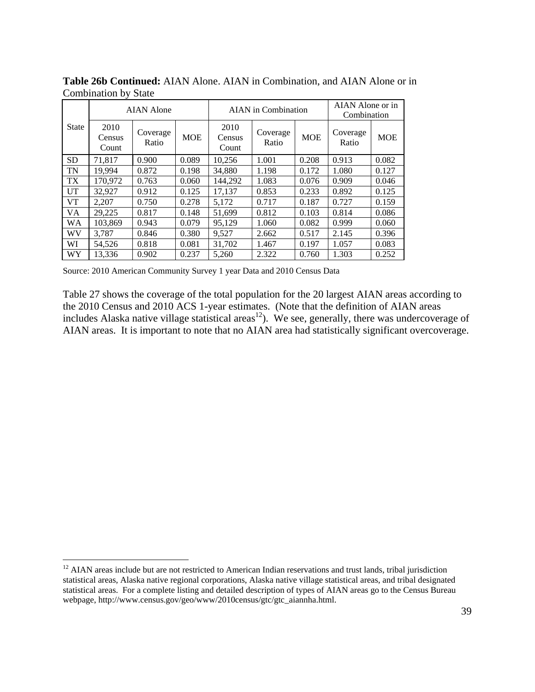|              | <b>AIAN Alone</b>       |                   |            |                         | AIAN in Combination |            | AIAN Alone or in<br>Combination |            |
|--------------|-------------------------|-------------------|------------|-------------------------|---------------------|------------|---------------------------------|------------|
| <b>State</b> | 2010<br>Census<br>Count | Coverage<br>Ratio | <b>MOE</b> | 2010<br>Census<br>Count | Coverage<br>Ratio   | <b>MOE</b> | Coverage<br>Ratio               | <b>MOE</b> |
| <b>SD</b>    | 71.817                  | 0.900             | 0.089      | 10,256                  | 1.001               | 0.208      | 0.913                           | 0.082      |
| TN           | 19.994                  | 0.872             | 0.198      | 34,880                  | 1.198               | 0.172      | 1.080                           | 0.127      |
| TX           | 170,972                 | 0.763             | 0.060      | 144.292                 | 1.083               | 0.076      | 0.909                           | 0.046      |
| <b>UT</b>    | 32,927                  | 0.912             | 0.125      | 17,137                  | 0.853               | 0.233      | 0.892                           | 0.125      |
| <b>VT</b>    | 2.207                   | 0.750             | 0.278      | 5.172                   | 0.717               | 0.187      | 0.727                           | 0.159      |
| VA.          | 29,225                  | 0.817             | 0.148      | 51.699                  | 0.812               | 0.103      | 0.814                           | 0.086      |
| WA           | 103.869                 | 0.943             | 0.079      | 95.129                  | 1.060               | 0.082      | 0.999                           | 0.060      |
| WV           | 3.787                   | 0.846             | 0.380      | 9.527                   | 2.662               | 0.517      | 2.145                           | 0.396      |
| WI           | 54.526                  | 0.818             | 0.081      | 31.702                  | 1.467               | 0.197      | 1.057                           | 0.083      |
| WY           | 13,336                  | 0.902             | 0.237      | 5,260                   | 2.322               | 0.760      | 1.303                           | 0.252      |

**Table 26b Continued:** AIAN Alone. AIAN in Combination, and AIAN Alone or in Combination by State

1

Table 27 shows the coverage of the total population for the 20 largest AIAN areas according to the 2010 Census and 2010 ACS 1-year estimates. (Note that the definition of AIAN areas includes Alaska native village statistical areas<sup>12</sup>). We see, generally, there was undercoverage of AIAN areas. It is important to note that no AIAN area had statistically significant overcoverage.

 $12$  AIAN areas include but are not restricted to American Indian reservations and trust lands, tribal jurisdiction statistical areas, Alaska native regional corporations, Alaska native village statistical areas, and tribal designated statistical areas. For a complete listing and detailed description of types of AIAN areas go to the Census Bureau webpage, http://www.census.gov/geo/www/2010census/gtc/gtc\_aiannha.html.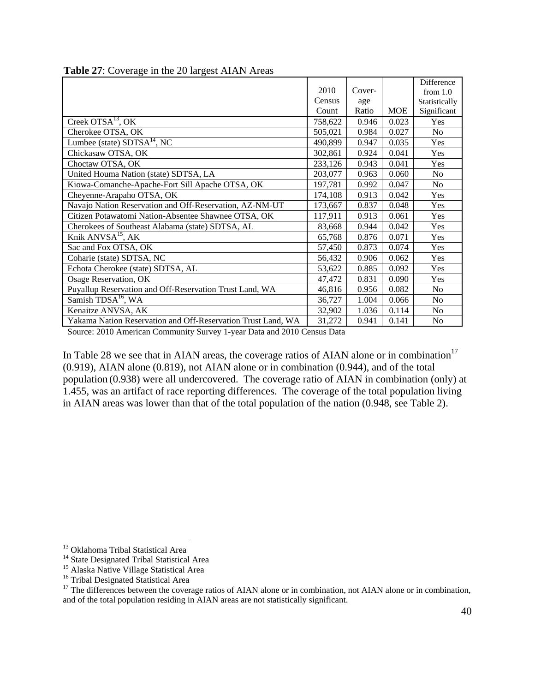|                                                              |         |        |            | Difference     |
|--------------------------------------------------------------|---------|--------|------------|----------------|
|                                                              | 2010    | Cover- |            | from $1.0$     |
|                                                              | Census  | age    |            | Statistically  |
|                                                              | Count   | Ratio  | <b>MOE</b> | Significant    |
| Creek OTS $A^{13}$ , OK                                      | 758,622 | 0.946  | 0.023      | Yes            |
| Cherokee OTSA, OK                                            | 505,021 | 0.984  | 0.027      | N <sub>o</sub> |
| Lumbee (state) $SDTSA^{14}$ , NC                             | 490,899 | 0.947  | 0.035      | Yes            |
| Chickasaw OTSA, OK                                           | 302,861 | 0.924  | 0.041      | Yes            |
| Choctaw OTSA, OK                                             | 233,126 | 0.943  | 0.041      | Yes            |
| United Houma Nation (state) SDTSA, LA                        | 203,077 | 0.963  | 0.060      | N <sub>o</sub> |
| Kiowa-Comanche-Apache-Fort Sill Apache OTSA, OK              | 197,781 | 0.992  | 0.047      | N <sub>o</sub> |
| Cheyenne-Arapaho OTSA, OK                                    | 174,108 | 0.913  | 0.042      | Yes            |
| Navajo Nation Reservation and Off-Reservation, AZ-NM-UT      | 173,667 | 0.837  | 0.048      | Yes            |
| Citizen Potawatomi Nation-Absentee Shawnee OTSA, OK          | 117,911 | 0.913  | 0.061      | Yes            |
| Cherokees of Southeast Alabama (state) SDTSA, AL             | 83,668  | 0.944  | 0.042      | Yes            |
| Knik ANVSA <sup>15</sup> , AK                                | 65,768  | 0.876  | 0.071      | Yes            |
| Sac and Fox OTSA, OK                                         | 57,450  | 0.873  | 0.074      | Yes            |
| Coharie (state) SDTSA, NC                                    | 56,432  | 0.906  | 0.062      | Yes            |
| Echota Cherokee (state) SDTSA, AL                            | 53,622  | 0.885  | 0.092      | Yes            |
| Osage Reservation, OK                                        | 47,472  | 0.831  | 0.090      | Yes            |
| Puyallup Reservation and Off-Reservation Trust Land, WA      | 46,816  | 0.956  | 0.082      | No             |
| Samish TDSA <sup>16</sup> , WA                               | 36,727  | 1.004  | 0.066      | N <sub>o</sub> |
| Kenaitze ANVSA, AK                                           | 32,902  | 1.036  | 0.114      | N <sub>o</sub> |
| Yakama Nation Reservation and Off-Reservation Trust Land, WA | 31,272  | 0.941  | 0.141      | No             |

**Table 27**: Coverage in the 20 largest AIAN Areas

In Table 28 we see that in AIAN areas, the coverage ratios of AIAN alone or in combination<sup>17</sup> (0.919), AIAN alone (0.819), not AIAN alone or in combination (0.944), and of the total population (0.938) were all undercovered. The coverage ratio of AIAN in combination (only) at 1.455, was an artifact of race reporting differences. The coverage of the total population living in AIAN areas was lower than that of the total population of the nation (0.948, see Table 2).

 $\overline{a}$ 

<sup>&</sup>lt;sup>13</sup> Oklahoma Tribal Statistical Area

<sup>&</sup>lt;sup>14</sup> State Designated Tribal Statistical Area

<sup>&</sup>lt;sup>15</sup> Alaska Native Village Statistical Area

<sup>&</sup>lt;sup>16</sup> Tribal Designated Statistical Area

<sup>&</sup>lt;sup>17</sup> The differences between the coverage ratios of AIAN alone or in combination, not AIAN alone or in combination, and of the total population residing in AIAN areas are not statistically significant.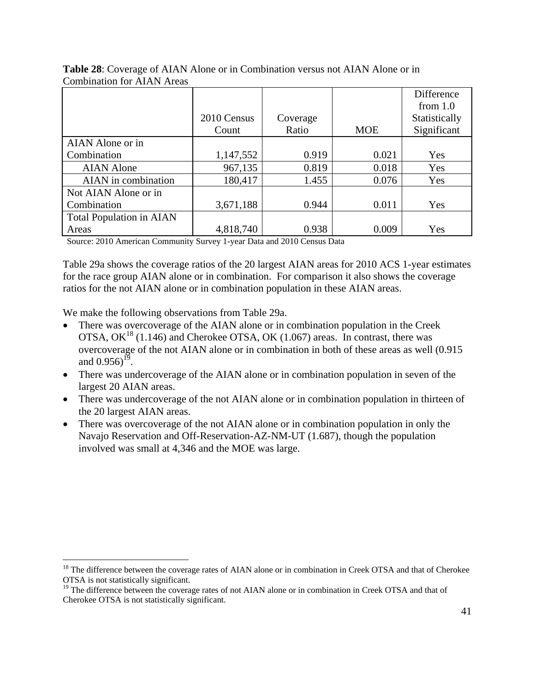|                                 |             |          |            | Difference    |
|---------------------------------|-------------|----------|------------|---------------|
|                                 |             |          |            | from $1.0$    |
|                                 | 2010 Census | Coverage |            | Statistically |
|                                 | Count       | Ratio    | <b>MOE</b> | Significant   |
| AIAN Alone or in                |             |          |            |               |
| Combination                     | 1,147,552   | 0.919    | 0.021      | Yes           |
| <b>AIAN</b> Alone               | 967,135     | 0.819    | 0.018      | Yes           |
| AIAN in combination             | 180,417     | 1.455    | 0.076      | Yes           |
| Not AIAN Alone or in            |             |          |            |               |
| Combination                     | 3,671,188   | 0.944    | 0.011      | Yes           |
| <b>Total Population in AIAN</b> |             |          |            |               |
| Areas                           | 4,818,740   | 0.938    | 0.009      | Yes           |

**Table 28**: Coverage of AIAN Alone or in Combination versus not AIAN Alone or in Combination for AIAN Areas

Source: 2010 American Community Survey 1-year Data and 2010 Census Data

Table 29a shows the coverage ratios of the 20 largest AIAN areas for 2010 ACS 1-year estimates for the race group AIAN alone or in combination. For comparison it also shows the coverage ratios for the not AIAN alone or in combination population in these AIAN areas.

We make the following observations from Table 29a.

 $\overline{a}$ 

- There was overcoverage of the AIAN alone or in combination population in the Creek OTSA,  $OK^{18}$  (1.146) and Cherokee OTSA, OK (1.067) areas. In contrast, there was overcoverage of the not AIAN alone or in combination in both of these areas as well (0.915 and  $0.956$ <sup>19</sup>.
- There was undercoverage of the AIAN alone or in combination population in seven of the largest 20 AIAN areas.
- There was undercoverage of the not AIAN alone or in combination population in thirteen of the 20 largest AIAN areas.
- There was overcoverage of the not AIAN alone or in combination population in only the Navajo Reservation and Off-Reservation-AZ-NM-UT (1.687), though the population involved was small at 4,346 and the MOE was large.

<sup>&</sup>lt;sup>18</sup> The difference between the coverage rates of AIAN alone or in combination in Creek OTSA and that of Cherokee OTSA is not statistically significant.

<sup>&</sup>lt;sup>19</sup> The difference between the coverage rates of not AIAN alone or in combination in Creek OTSA and that of Cherokee OTSA is not statistically significant.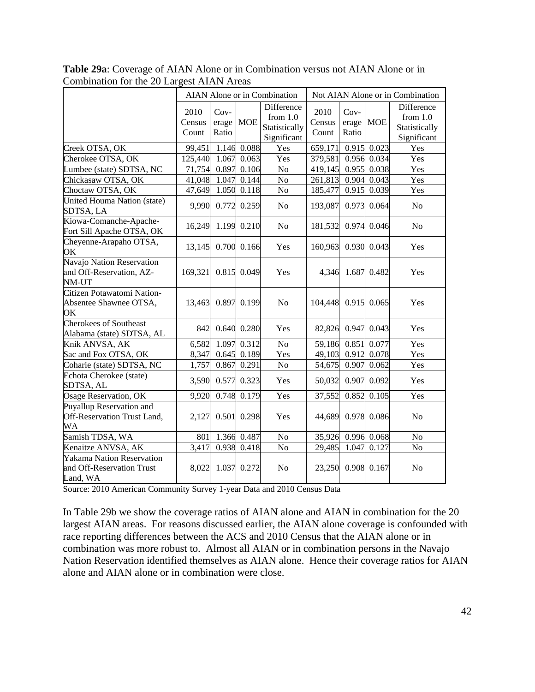|                                                                    |                         |                                |               | AIAN Alone or in Combination                                    | Not AIAN Alone or in Combination |                                |             |                                                          |
|--------------------------------------------------------------------|-------------------------|--------------------------------|---------------|-----------------------------------------------------------------|----------------------------------|--------------------------------|-------------|----------------------------------------------------------|
|                                                                    | 2010<br>Census<br>Count | $Cov-$<br>erage   MOE<br>Ratio |               | <b>Difference</b><br>from $1.0$<br>Statistically<br>Significant | 2010<br>Census<br>Count          | $Cov-$<br>erage   MOE<br>Ratio |             | Difference<br>from $1.0$<br>Statistically<br>Significant |
| Creek OTSA, OK                                                     | 99,451                  |                                | 1.146 0.088   | Yes                                                             | 659,171                          |                                | 0.915 0.023 | Yes                                                      |
| Cherokee OTSA, OK                                                  | 125,440                 |                                | 1.067 0.063   | Yes                                                             | 379,581                          |                                | 0.956 0.034 | Yes                                                      |
| Lumbee (state) SDTSA, NC                                           | 71,754                  | 0.897                          | 0.106         | No                                                              | 419,145                          |                                | 0.955 0.038 | Yes                                                      |
| Chickasaw OTSA, OK                                                 | 41,048                  | 1.047                          | 0.144         | No                                                              | 261,813                          |                                | 0.904 0.043 | Yes                                                      |
| Choctaw OTSA, OK                                                   | 47,649                  |                                | 1.050 0.118   | No                                                              | 185,477                          |                                | 0.915 0.039 | Yes                                                      |
| United Houma Nation (state)<br>SDTSA, LA                           | 9,990                   |                                | 0.772 0.259   | N <sub>o</sub>                                                  | 193,087                          |                                | 0.973 0.064 | No                                                       |
| Kiowa-Comanche-Apache-<br>Fort Sill Apache OTSA, OK                | 16,249                  |                                | 1.199 0.210   | No                                                              | 181,532                          |                                | 0.974 0.046 | No                                                       |
| Cheyenne-Arapaho OTSA,<br>OK                                       | 13,145                  |                                | 0.700 0.166   | Yes                                                             | 160,963                          |                                | 0.930 0.043 | Yes                                                      |
| Navajo Nation Reservation<br>and Off-Reservation, AZ-<br>NM-UT     | 169,321                 |                                | 0.815 0.049   | Yes                                                             | 4,346                            |                                | 1.687 0.482 | Yes                                                      |
| Citizen Potawatomi Nation-<br>Absentee Shawnee OTSA,<br>OK         | 13,463                  |                                | 0.897 0.199   | N <sub>o</sub>                                                  | 104,448                          |                                | 0.915 0.065 | Yes                                                      |
| <b>Cherokees of Southeast</b><br>Alabama (state) SDTSA, AL         | 842                     |                                | 0.640 0.280   | Yes                                                             | 82,826                           |                                | 0.947 0.043 | Yes                                                      |
| Knik ANVSA, AK                                                     | 6,582                   |                                | 1.097 0.312   | No                                                              | 59,186                           | 0.851                          | 0.077       | Yes                                                      |
| Sac and Fox OTSA, OK                                               | 8,347                   |                                | $0.645$ 0.189 | Yes                                                             | 49,103                           |                                | 0.912 0.078 | Yes                                                      |
| Coharie (state) SDTSA, NC                                          | 1,757                   |                                | 0.867 0.291   | No                                                              | 54,675                           | 0.907                          | 0.062       | Yes                                                      |
| Echota Cherokee (state)<br>SDTSA, AL                               | 3,590                   |                                | 0.577 0.323   | Yes                                                             | 50,032                           |                                | 0.907 0.092 | Yes                                                      |
| Osage Reservation, OK                                              | 9,920                   |                                | 0.748 0.179   | Yes                                                             | 37,552                           |                                | 0.852 0.105 | Yes                                                      |
| Puyallup Reservation and<br>Off-Reservation Trust Land,<br>WA      | 2,127                   |                                | 0.501 0.298   | Yes                                                             | 44,689                           |                                | 0.978 0.086 | No                                                       |
| Samish TDSA, WA                                                    | 801                     |                                | 1.366 0.487   | No                                                              | 35,926                           |                                | 0.996 0.068 | No                                                       |
| Kenaitze ANVSA, AK                                                 | 3,417                   |                                | 0.938 0.418   | $\rm No$                                                        | 29,485                           | 1.047                          | 0.127       | No                                                       |
| Yakama Nation Reservation<br>and Off-Reservation Trust<br>Land, WA | 8,022                   |                                | 1.037 0.272   | N <sub>o</sub>                                                  | 23,250                           |                                | 0.908 0.167 | N <sub>o</sub>                                           |

**Table 29a**: Coverage of AIAN Alone or in Combination versus not AIAN Alone or in Combination for the 20 Largest AIAN Areas

In Table 29b we show the coverage ratios of AIAN alone and AIAN in combination for the 20 largest AIAN areas. For reasons discussed earlier, the AIAN alone coverage is confounded with race reporting differences between the ACS and 2010 Census that the AIAN alone or in combination was more robust to. Almost all AIAN or in combination persons in the Navajo Nation Reservation identified themselves as AIAN alone. Hence their coverage ratios for AIAN alone and AIAN alone or in combination were close.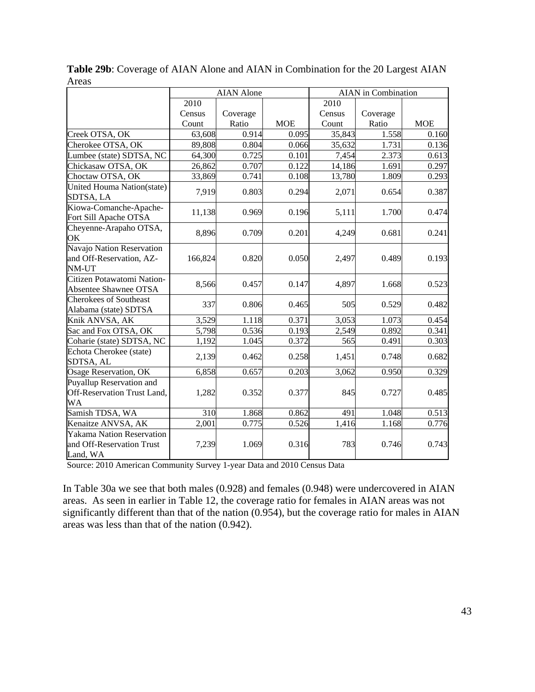|                                                                    |         | <b>AIAN</b> Alone |            |        | <b>AIAN</b> in Combination |            |
|--------------------------------------------------------------------|---------|-------------------|------------|--------|----------------------------|------------|
|                                                                    | 2010    |                   |            | 2010   |                            |            |
|                                                                    | Census  | Coverage          |            | Census | Coverage                   |            |
|                                                                    | Count   | Ratio             | <b>MOE</b> | Count  | Ratio                      | <b>MOE</b> |
| Creek OTSA, OK                                                     | 63,608  | 0.914             | 0.095      | 35,843 | 1.558                      | 0.160      |
| Cherokee OTSA, OK                                                  | 89,808  | 0.804             | 0.066      | 35,632 | 1.731                      | 0.136      |
| Lumbee (state) SDTSA, NC                                           | 64,300  | 0.725             | 0.101      | 7,454  | 2.373                      | 0.613      |
| Chickasaw OTSA, OK                                                 | 26,862  | 0.707             | 0.122      | 14,186 | 1.691                      | 0.297      |
| Choctaw OTSA, OK                                                   | 33,869  | 0.741             | 0.108      | 13,780 | 1.809                      | 0.293      |
| United Houma Nation(state)<br>SDTSA, LA                            | 7,919   | 0.803             | 0.294      | 2,071  | 0.654                      | 0.387      |
| Kiowa-Comanche-Apache-<br>Fort Sill Apache OTSA                    | 11,138  | 0.969             | 0.196      | 5,111  | 1.700                      | 0.474      |
| Cheyenne-Arapaho OTSA,<br>OK                                       | 8,896   | 0.709             | 0.201      | 4,249  | 0.681                      | 0.241      |
| Navajo Nation Reservation<br>and Off-Reservation, AZ-<br>NM-UT     | 166,824 | 0.820             | 0.050      | 2,497  | 0.489                      | 0.193      |
| Citizen Potawatomi Nation-<br>Absentee Shawnee OTSA                | 8,566   | 0.457             | 0.147      | 4,897  | 1.668                      | 0.523      |
| <b>Cherokees of Southeast</b><br>Alabama (state) SDTSA             | 337     | 0.806             | 0.465      | 505    | 0.529                      | 0.482      |
| Knik ANVSA, AK                                                     | 3,529   | 1.118             | 0.371      | 3,053  | 1.073                      | 0.454      |
| Sac and Fox OTSA, OK                                               | 5,798   | 0.536             | 0.193      | 2,549  | 0.892                      | 0.341      |
| Coharie (state) SDTSA, NC                                          | 1,192   | 1.045             | 0.372      | 565    | 0.491                      | 0.303      |
| Echota Cherokee (state)<br>SDTSA, AL                               | 2,139   | 0.462             | 0.258      | 1,451  | 0.748                      | 0.682      |
| Osage Reservation, OK                                              | 6,858   | 0.657             | 0.203      | 3,062  | 0.950                      | 0.329      |
| Puyallup Reservation and<br>Off-Reservation Trust Land,<br>WA      | 1,282   | 0.352             | 0.377      | 845    | 0.727                      | 0.485      |
| Samish TDSA, WA                                                    | 310     | 1.868             | 0.862      | 491    | 1.048                      | 0.513      |
| Kenaitze ANVSA, AK                                                 | 2,001   | 0.775             | 0.526      | 1,416  | 1.168                      | 0.776      |
| Yakama Nation Reservation<br>and Off-Reservation Trust<br>Land, WA | 7,239   | 1.069             | 0.316      | 783    | 0.746                      | 0.743      |

**Table 29b**: Coverage of AIAN Alone and AIAN in Combination for the 20 Largest AIAN Areas

In Table 30a we see that both males (0.928) and females (0.948) were undercovered in AIAN areas. As seen in earlier in Table 12, the coverage ratio for females in AIAN areas was not significantly different than that of the nation (0.954), but the coverage ratio for males in AIAN areas was less than that of the nation (0.942).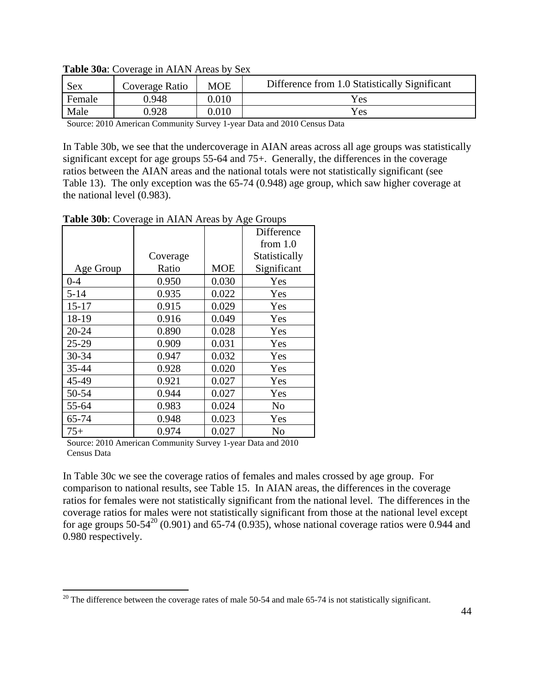| Sex    | Coverage Ratio | <b>MOE</b> | Difference from 1.0 Statistically Significant |
|--------|----------------|------------|-----------------------------------------------|
| Female | 0.948          | $0.010\,$  | Yes                                           |
| Male   | 0.928          | 0.010      | Yes                                           |

**Table 30a**: Coverage in AIAN Areas by Sex

In Table 30b, we see that the undercoverage in AIAN areas across all age groups was statistically significant except for age groups 55-64 and 75+. Generally, the differences in the coverage ratios between the AIAN areas and the national totals were not statistically significant (see Table 13). The only exception was the 65-74 (0.948) age group, which saw higher coverage at the national level (0.983).

Age Group Coverage Ratio | MOE Difference from 1.0 Statistically Significant 0-4 0.950 0.030 Yes 5-14 0.935 0.022 Yes 15-17 0.915 0.029 Yes 18-19 | 0.916 | 0.049 | Yes 20-24 | 0.890 | 0.028 | Yes 25-29 0.909 0.031 Yes 30-34 0.947 0.032 Yes 35-44 0.928 0.020 Yes 45-49 0.921 0.027 Yes 50-54 0.944 0.027 Yes 55-64 0.983 0.024 No 65-74 0.948 0.023 Yes 75+ 0.974 0.027 No

**Table 30b**: Coverage in AIAN Areas by Age Groups

Source: 2010 American Community Survey 1-year Data and 2010 Census Data

 $\overline{a}$ 

In Table 30c we see the coverage ratios of females and males crossed by age group. For comparison to national results, see Table 15. In AIAN areas, the differences in the coverage ratios for females were not statistically significant from the national level. The differences in the coverage ratios for males were not statistically significant from those at the national level except for age groups 50-54<sup>20</sup> (0.901) and 65-74 (0.935), whose national coverage ratios were 0.944 and 0.980 respectively.

 $20$  The difference between the coverage rates of male 50-54 and male 65-74 is not statistically significant.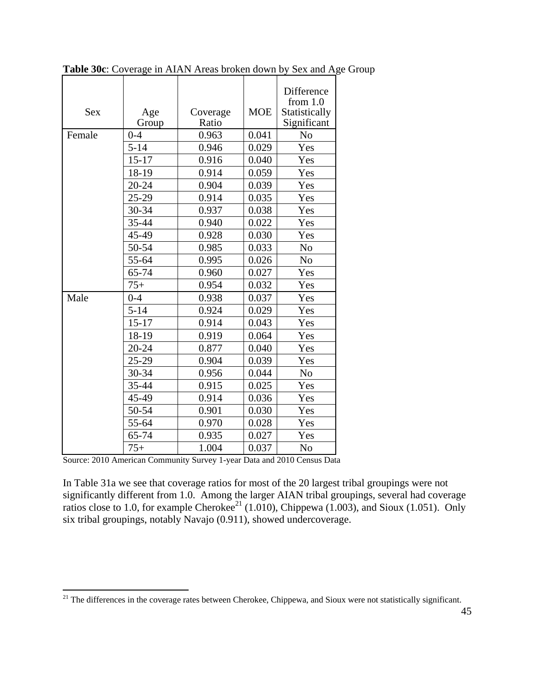| <b>Sex</b> | Age<br>Group | Coverage<br>Ratio | <b>MOE</b> | Difference<br>from $1.0$<br>Statistically<br>Significant |
|------------|--------------|-------------------|------------|----------------------------------------------------------|
| Female     | $0 - 4$      | 0.963             | 0.041      | N <sub>o</sub>                                           |
|            | $5 - 14$     | 0.946             | 0.029      | Yes                                                      |
|            | $15 - 17$    | 0.916             | 0.040      | Yes                                                      |
|            | 18-19        | 0.914             | 0.059      | Yes                                                      |
|            | 20-24        | 0.904             | 0.039      | Yes                                                      |
|            | $25-29$      | 0.914             | 0.035      | Yes                                                      |
|            | 30-34        | 0.937             | 0.038      | Yes                                                      |
|            | 35-44        | 0.940             | 0.022      | Yes                                                      |
|            | 45-49        | 0.928             | 0.030      | Yes                                                      |
|            | 50-54        | 0.985             | 0.033      | N <sub>o</sub>                                           |
|            | 55-64        | 0.995             | 0.026      | N <sub>o</sub>                                           |
|            | 65-74        | 0.960             | 0.027      | Yes                                                      |
|            | $75+$        | 0.954             | 0.032      | Yes                                                      |
| Male       | $0 - 4$      | 0.938             | 0.037      | Yes                                                      |
|            | $5 - 14$     | 0.924             | 0.029      | Yes                                                      |
|            | $15 - 17$    | 0.914             | 0.043      | Yes                                                      |
|            | 18-19        | 0.919             | 0.064      | Yes                                                      |
|            | 20-24        | 0.877             | 0.040      | Yes                                                      |
|            | 25-29        | 0.904             | 0.039      | Yes                                                      |
|            | 30-34        | 0.956             | 0.044      | N <sub>o</sub>                                           |
|            | 35-44        | 0.915             | 0.025      | Yes                                                      |
|            | 45-49        | 0.914             | 0.036      | Yes                                                      |
|            | 50-54        | 0.901             | 0.030      | Yes                                                      |
|            | 55-64        | 0.970             | 0.028      | Yes                                                      |
|            | 65-74        | 0.935             | 0.027      | Yes                                                      |
|            | $75+$        | 1.004             | 0.037      | N <sub>o</sub>                                           |

**Table 30c**: Coverage in AIAN Areas broken down by Sex and Age Group

1

In Table 31a we see that coverage ratios for most of the 20 largest tribal groupings were not significantly different from 1.0. Among the larger AIAN tribal groupings, several had coverage ratios close to 1.0, for example Cherokee<sup>21</sup> (1.010), Chippewa (1.003), and Sioux (1.051). Only six tribal groupings, notably Navajo (0.911), showed undercoverage.

 $21$  The differences in the coverage rates between Cherokee, Chippewa, and Sioux were not statistically significant.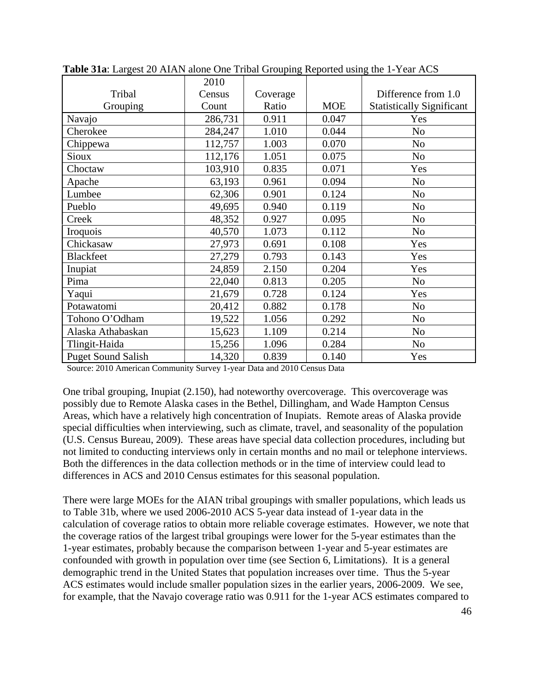|                           | 2010    |          |            |                                  |
|---------------------------|---------|----------|------------|----------------------------------|
| Tribal                    | Census  | Coverage |            | Difference from 1.0              |
| Grouping                  | Count   | Ratio    | <b>MOE</b> | <b>Statistically Significant</b> |
| Navajo                    | 286,731 | 0.911    | 0.047      | Yes                              |
| Cherokee                  | 284,247 | 1.010    | 0.044      | N <sub>o</sub>                   |
| Chippewa                  | 112,757 | 1.003    | 0.070      | N <sub>o</sub>                   |
| Sioux                     | 112,176 | 1.051    | 0.075      | N <sub>o</sub>                   |
| Choctaw                   | 103,910 | 0.835    | 0.071      | Yes                              |
| Apache                    | 63,193  | 0.961    | 0.094      | N <sub>o</sub>                   |
| Lumbee                    | 62,306  | 0.901    | 0.124      | N <sub>o</sub>                   |
| Pueblo                    | 49,695  | 0.940    | 0.119      | N <sub>o</sub>                   |
| Creek                     | 48,352  | 0.927    | 0.095      | N <sub>o</sub>                   |
| Iroquois                  | 40,570  | 1.073    | 0.112      | N <sub>o</sub>                   |
| Chickasaw                 | 27,973  | 0.691    | 0.108      | Yes                              |
| <b>Blackfeet</b>          | 27,279  | 0.793    | 0.143      | Yes                              |
| Inupiat                   | 24,859  | 2.150    | 0.204      | Yes                              |
| Pima                      | 22,040  | 0.813    | 0.205      | N <sub>0</sub>                   |
| Yaqui                     | 21,679  | 0.728    | 0.124      | Yes                              |
| Potawatomi                | 20,412  | 0.882    | 0.178      | N <sub>o</sub>                   |
| Tohono O'Odham            | 19,522  | 1.056    | 0.292      | N <sub>o</sub>                   |
| Alaska Athabaskan         | 15,623  | 1.109    | 0.214      | N <sub>o</sub>                   |
| Tlingit-Haida             | 15,256  | 1.096    | 0.284      | N <sub>o</sub>                   |
| <b>Puget Sound Salish</b> | 14,320  | 0.839    | 0.140      | Yes                              |

**Table 31a**: Largest 20 AIAN alone One Tribal Grouping Reported using the 1-Year ACS

One tribal grouping, Inupiat (2.150), had noteworthy overcoverage. This overcoverage was possibly due to Remote Alaska cases in the Bethel, Dillingham, and Wade Hampton Census Areas, which have a relatively high concentration of Inupiats. Remote areas of Alaska provide special difficulties when interviewing, such as climate, travel, and seasonality of the population (U.S. Census Bureau, 2009). These areas have special data collection procedures, including but not limited to conducting interviews only in certain months and no mail or telephone interviews. Both the differences in the data collection methods or in the time of interview could lead to differences in ACS and 2010 Census estimates for this seasonal population.

There were large MOEs for the AIAN tribal groupings with smaller populations, which leads us to Table 31b, where we used 2006-2010 ACS 5-year data instead of 1-year data in the calculation of coverage ratios to obtain more reliable coverage estimates. However, we note that the coverage ratios of the largest tribal groupings were lower for the 5-year estimates than the 1-year estimates, probably because the comparison between 1-year and 5-year estimates are confounded with growth in population over time (see Section 6, Limitations). It is a general demographic trend in the United States that population increases over time. Thus the 5-year ACS estimates would include smaller population sizes in the earlier years, 2006-2009. We see, for example, that the Navajo coverage ratio was 0.911 for the 1-year ACS estimates compared to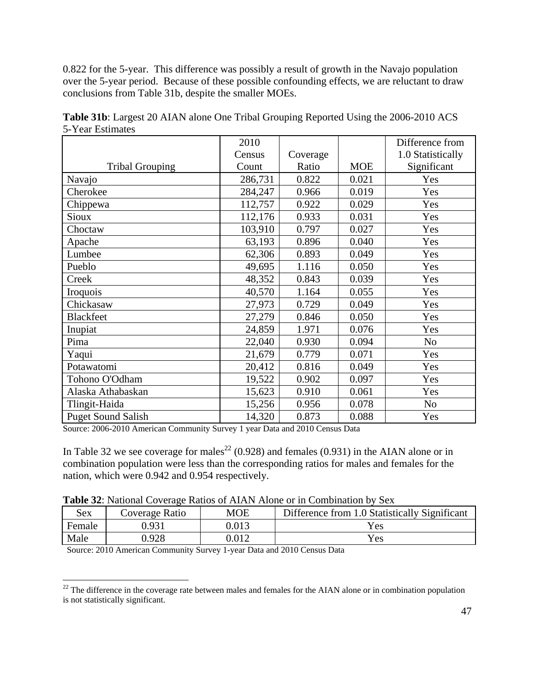0.822 for the 5-year. This difference was possibly a result of growth in the Navajo population over the 5-year period. Because of these possible confounding effects, we are reluctant to draw conclusions from Table 31b, despite the smaller MOEs.

|                           | 2010    |          |            | Difference from   |
|---------------------------|---------|----------|------------|-------------------|
|                           | Census  | Coverage |            | 1.0 Statistically |
| <b>Tribal Grouping</b>    | Count   | Ratio    | <b>MOE</b> | Significant       |
| Navajo                    | 286,731 | 0.822    | 0.021      | Yes               |
| Cherokee                  | 284,247 | 0.966    | 0.019      | Yes               |
| Chippewa                  | 112,757 | 0.922    | 0.029      | Yes               |
| <b>Sioux</b>              | 112,176 | 0.933    | 0.031      | Yes               |
| Choctaw                   | 103,910 | 0.797    | 0.027      | Yes               |
| Apache                    | 63,193  | 0.896    | 0.040      | Yes               |
| Lumbee                    | 62,306  | 0.893    | 0.049      | Yes               |
| Pueblo                    | 49,695  | 1.116    | 0.050      | Yes               |
| Creek                     | 48,352  | 0.843    | 0.039      | Yes               |
| Iroquois                  | 40,570  | 1.164    | 0.055      | Yes               |
| Chickasaw                 | 27,973  | 0.729    | 0.049      | Yes               |
| <b>Blackfeet</b>          | 27,279  | 0.846    | 0.050      | Yes               |
| Inupiat                   | 24,859  | 1.971    | 0.076      | Yes               |
| Pima                      | 22,040  | 0.930    | 0.094      | N <sub>o</sub>    |
| Yaqui                     | 21,679  | 0.779    | 0.071      | Yes               |
| Potawatomi                | 20,412  | 0.816    | 0.049      | Yes               |
| Tohono O'Odham            | 19,522  | 0.902    | 0.097      | Yes               |
| Alaska Athabaskan         | 15,623  | 0.910    | 0.061      | Yes               |
| Tlingit-Haida             | 15,256  | 0.956    | 0.078      | N <sub>o</sub>    |
| <b>Puget Sound Salish</b> | 14,320  | 0.873    | 0.088      | Yes               |

**Table 31b**: Largest 20 AIAN alone One Tribal Grouping Reported Using the 2006-2010 ACS 5-Year Estimates

Source: 2006-2010 American Community Survey 1 year Data and 2010 Census Data

In Table 32 we see coverage for males<sup>22</sup> (0.928) and females (0.931) in the AIAN alone or in combination population were less than the corresponding ratios for males and females for the nation, which were 0.942 and 0.954 respectively.

**Table 32**: National Coverage Ratios of AIAN Alone or in Combination by Sex

| Sex    | Coverage Ratio | <b>MOE</b> | Difference from 1.0 Statistically Significant |
|--------|----------------|------------|-----------------------------------------------|
| Female | 0.931          | 0.013      | Yes                                           |
| Male   | .928           | 0.012      | Yes                                           |

Source: 2010 American Community Survey 1-year Data and 2010 Census Data

 $\overline{a}$ 

 $^{22}$  The difference in the coverage rate between males and females for the AIAN alone or in combination population is not statistically significant.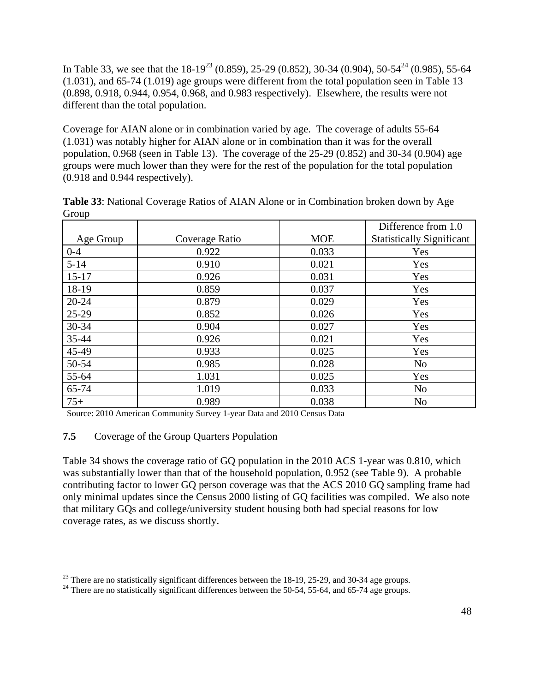In Table 33, we see that the  $18-19^{23}$  (0.859), 25-29 (0.852), 30-34 (0.904), 50-54<sup>24</sup> (0.985), 55-64 (1.031), and 65-74 (1.019) age groups were different from the total population seen in Table 13 (0.898, 0.918, 0.944, 0.954, 0.968, and 0.983 respectively). Elsewhere, the results were not different than the total population.

Coverage for AIAN alone or in combination varied by age. The coverage of adults 55-64 (1.031) was notably higher for AIAN alone or in combination than it was for the overall population, 0.968 (seen in Table 13). The coverage of the 25-29 (0.852) and 30-34 (0.904) age groups were much lower than they were for the rest of the population for the total population (0.918 and 0.944 respectively).

|           |                |            | Difference from 1.0              |
|-----------|----------------|------------|----------------------------------|
| Age Group | Coverage Ratio | <b>MOE</b> | <b>Statistically Significant</b> |
| $0 - 4$   | 0.922          | 0.033      | Yes                              |
| $5 - 14$  | 0.910          | 0.021      | Yes                              |
| $15 - 17$ | 0.926          | 0.031      | Yes                              |
| 18-19     | 0.859          | 0.037      | Yes                              |
| $20 - 24$ | 0.879          | 0.029      | Yes                              |
| $25-29$   | 0.852          | 0.026      | Yes                              |
| 30-34     | 0.904          | 0.027      | Yes                              |
| 35-44     | 0.926          | 0.021      | Yes                              |
| 45-49     | 0.933          | 0.025      | Yes                              |
| 50-54     | 0.985          | 0.028      | N <sub>o</sub>                   |
| 55-64     | 1.031          | 0.025      | Yes                              |
| 65-74     | 1.019          | 0.033      | N <sub>o</sub>                   |
| $75+$     | 0.989          | 0.038      | N <sub>o</sub>                   |

**Table 33**: National Coverage Ratios of AIAN Alone or in Combination broken down by Age **Group** 

Source: 2010 American Community Survey 1-year Data and 2010 Census Data

## **7.5** Coverage of the Group Quarters Population

Table 34 shows the coverage ratio of GQ population in the 2010 ACS 1-year was 0.810, which was substantially lower than that of the household population, 0.952 (see Table 9). A probable contributing factor to lower GQ person coverage was that the ACS 2010 GQ sampling frame had only minimal updates since the Census 2000 listing of GQ facilities was compiled. We also note that military GQs and college/university student housing both had special reasons for low coverage rates, as we discuss shortly.

 $^{23}$  There are no statistically significant differences between the 18-19, 25-29, and 30-34 age groups.

 $^{24}$  There are no statistically significant differences between the 50-54, 55-64, and 65-74 age groups.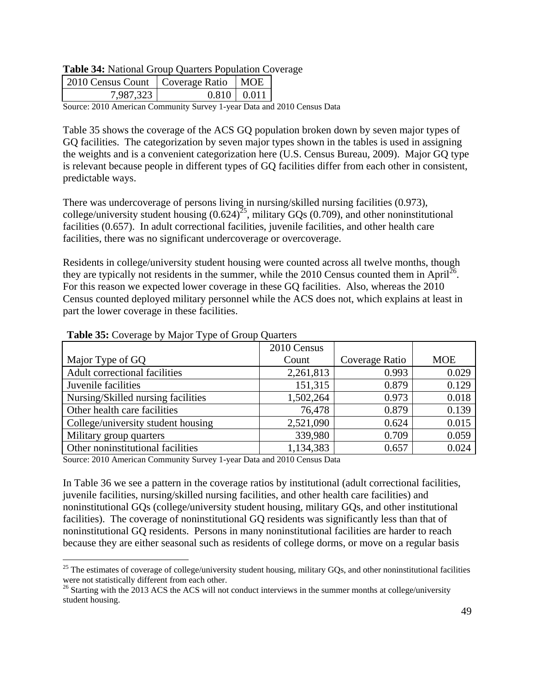#### **Table 34:** National Group Quarters Population Coverage

| 2010 Census Count   Coverage Ratio   MOE |                   |  |
|------------------------------------------|-------------------|--|
| 7,987,323                                | $0.810 \pm 0.011$ |  |

Source: 2010 American Community Survey 1-year Data and 2010 Census Data

Table 35 shows the coverage of the ACS GQ population broken down by seven major types of GQ facilities. The categorization by seven major types shown in the tables is used in assigning the weights and is a convenient categorization here (U.S. Census Bureau, 2009). Major GQ type is relevant because people in different types of GQ facilities differ from each other in consistent, predictable ways.

There was undercoverage of persons living in nursing/skilled nursing facilities (0.973), college/university student housing  $(0.624)^{25}$ , military GQs (0.709), and other noninstitutional facilities (0.657). In adult correctional facilities, juvenile facilities, and other health care facilities, there was no significant undercoverage or overcoverage.

Residents in college/university student housing were counted across all twelve months, though they are typically not residents in the summer, while the 2010 Census counted them in April<sup>26</sup>. For this reason we expected lower coverage in these GQ facilities. Also, whereas the 2010 Census counted deployed military personnel while the ACS does not, which explains at least in part the lower coverage in these facilities.

|                                    | 2010 Census |                |            |
|------------------------------------|-------------|----------------|------------|
| Major Type of GQ                   | Count       | Coverage Ratio | <b>MOE</b> |
| Adult correctional facilities      | 2,261,813   | 0.993          | 0.029      |
| Juvenile facilities                | 151,315     | 0.879          | 0.129      |
| Nursing/Skilled nursing facilities | 1,502,264   | 0.973          | 0.018      |
| Other health care facilities       | 76,478      | 0.879          | 0.139      |
| College/university student housing | 2,521,090   | 0.624          | 0.015      |
| Military group quarters            | 339,980     | 0.709          | 0.059      |
| Other noninstitutional facilities  | 1,134,383   | 0.657          | 0.024      |

#### **Table 35:** Coverage by Major Type of Group Quarters

Source: 2010 American Community Survey 1-year Data and 2010 Census Data

1

In Table 36 we see a pattern in the coverage ratios by institutional (adult correctional facilities, juvenile facilities, nursing/skilled nursing facilities, and other health care facilities) and noninstitutional GQs (college/university student housing, military GQs, and other institutional facilities). The coverage of noninstitutional GQ residents was significantly less than that of noninstitutional GQ residents. Persons in many noninstitutional facilities are harder to reach because they are either seasonal such as residents of college dorms, or move on a regular basis

 $25$  The estimates of coverage of college/university student housing, military GQs, and other noninstitutional facilities were not statistically different from each other.<br><sup>26</sup> Starting with the 2013 ACS the ACS will not conduct interviews in the summer months at college/university

student housing.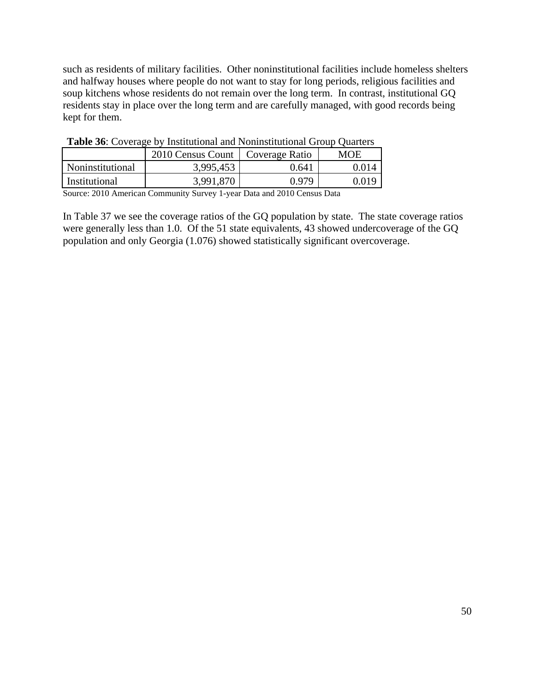such as residents of military facilities. Other noninstitutional facilities include homeless shelters and halfway houses where people do not want to stay for long periods, religious facilities and soup kitchens whose residents do not remain over the long term. In contrast, institutional GQ residents stay in place over the long term and are carefully managed, with good records being kept for them.

| Tuble Do. Co refuge of montanolial and rommontanolial Group Quarters |                                    |       |       |  |
|----------------------------------------------------------------------|------------------------------------|-------|-------|--|
|                                                                      | 2010 Census Count   Coverage Ratio |       | MOE   |  |
| Noninstitutional                                                     | 3,995,453                          | 0.641 | 0.014 |  |
| Institutional                                                        | 3,991,870                          | 0.979 | 0.019 |  |

**Table 36**: Coverage by Institutional and Noninstitutional Group Quarters

Source: 2010 American Community Survey 1-year Data and 2010 Census Data

In Table 37 we see the coverage ratios of the GQ population by state. The state coverage ratios were generally less than 1.0. Of the 51 state equivalents, 43 showed undercoverage of the GQ population and only Georgia (1.076) showed statistically significant overcoverage.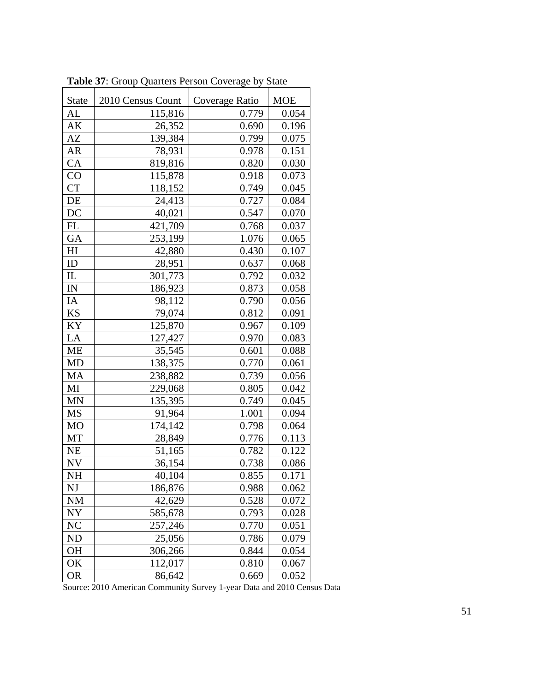| <b>State</b>   | 2010 Census Count | Coverage Ratio | <b>MOE</b> |
|----------------|-------------------|----------------|------------|
| AL             | 115,816           | 0.779          | 0.054      |
| AK             | 26,352            | 0.690          | 0.196      |
| AZ             | 139,384           | 0.799          | 0.075      |
| <b>AR</b>      | 78,931            | 0.978          | 0.151      |
| CA             | 819,816           | 0.820          | 0.030      |
| CO             | 115,878           | 0.918          | 0.073      |
| <b>CT</b>      | 118,152           | 0.749          | 0.045      |
| DE             | 24,413            | 0.727          | 0.084      |
| DC             | 40,021            | 0.547          | 0.070      |
| FL             | 421,709           | 0.768          | 0.037      |
| GA             | 253,199           | 1.076          | 0.065      |
| H <sub>I</sub> | 42,880            | 0.430          | 0.107      |
| ID             | 28,951            | 0.637          | 0.068      |
| IL             | 301,773           | 0.792          | 0.032      |
| IN             | 186,923           | 0.873          | 0.058      |
| IA             | 98,112            | 0.790          | 0.056      |
| KS             | 79,074            | 0.812          | 0.091      |
| KY             | 125,870           | 0.967          | 0.109      |
| LA             | 127,427           | 0.970          | 0.083      |
| ME             | 35,545            | 0.601          | 0.088      |
| <b>MD</b>      | 138,375           | 0.770          | 0.061      |
| MA             | 238,882           | 0.739          | 0.056      |
| MI             | 229,068           | 0.805          | 0.042      |
| <b>MN</b>      | 135,395           | 0.749          | 0.045      |
| MS             | 91,964            | 1.001          | 0.094      |
| <b>MO</b>      | 174,142           | 0.798          | 0.064      |
| MT             | 28,849            | 0.776          | 0.113      |
| <b>NE</b>      | 51,165            | 0.782          | 0.122      |
| <b>NV</b>      | 36,154            | 0.738          | 0.086      |
| NH             | 40,104            | 0.855          | 0.171      |
| NJ             | 186,876           | 0.988          | 0.062      |
| <b>NM</b>      | 42,629            | 0.528          | 0.072      |
| NY             | 585,678           | 0.793          | 0.028      |
| NC             | 257,246           | 0.770          | 0.051      |
| <b>ND</b>      | 25,056            | 0.786          | 0.079      |
| OH             | 306,266           | 0.844          | 0.054      |
| OK             | 112,017           | 0.810          | 0.067      |
| <b>OR</b>      | 86,642            | 0.669          | 0.052      |

**Table 37**: Group Quarters Person Coverage by State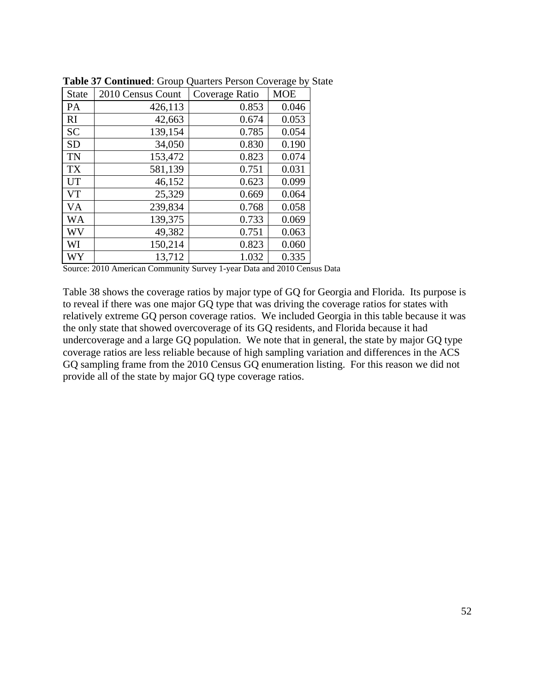| <b>State</b> | 2010 Census Count | Coverage Ratio | <b>MOE</b> |
|--------------|-------------------|----------------|------------|
| PA           | 426,113           | 0.853          | 0.046      |
| RI           | 42,663            | 0.674          | 0.053      |
| <b>SC</b>    | 139,154           | 0.785          | 0.054      |
| <b>SD</b>    | 34,050            | 0.830          | 0.190      |
| TN           | 153,472           | 0.823          | 0.074      |
| <b>TX</b>    | 581,139           | 0.751          | 0.031      |
| <b>UT</b>    | 46,152            | 0.623          | 0.099      |
| VT           | 25,329            | 0.669          | 0.064      |
| VA           | 239,834           | 0.768          | 0.058      |
| <b>WA</b>    | 139,375           | 0.733          | 0.069      |
| WV           | 49,382            | 0.751          | 0.063      |
| WI           | 150,214           | 0.823          | 0.060      |
| WY           | 13,712            | 1.032          | 0.335      |

**Table 37 Continued**: Group Quarters Person Coverage by State

Table 38 shows the coverage ratios by major type of GQ for Georgia and Florida. Its purpose is to reveal if there was one major GQ type that was driving the coverage ratios for states with relatively extreme GQ person coverage ratios. We included Georgia in this table because it was the only state that showed overcoverage of its GQ residents, and Florida because it had undercoverage and a large GQ population. We note that in general, the state by major GQ type coverage ratios are less reliable because of high sampling variation and differences in the ACS GQ sampling frame from the 2010 Census GQ enumeration listing. For this reason we did not provide all of the state by major GQ type coverage ratios.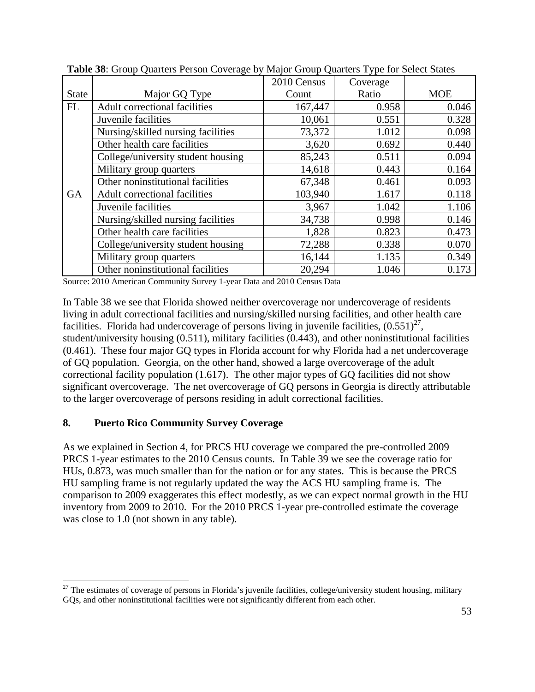|              |                                      | 2010 Census | Coverage |            |
|--------------|--------------------------------------|-------------|----------|------------|
| <b>State</b> | Major GQ Type                        | Count       | Ratio    | <b>MOE</b> |
| <b>FL</b>    | Adult correctional facilities        | 167,447     | 0.958    | 0.046      |
|              | Juvenile facilities                  | 10,061      | 0.551    | 0.328      |
|              | Nursing/skilled nursing facilities   | 73,372      | 1.012    | 0.098      |
|              | Other health care facilities         | 3,620       | 0.692    | 0.440      |
|              | College/university student housing   | 85,243      | 0.511    | 0.094      |
|              | Military group quarters              | 14,618      | 0.443    | 0.164      |
|              | Other noninstitutional facilities    | 67,348      | 0.461    | 0.093      |
| GA           | <b>Adult correctional facilities</b> | 103,940     | 1.617    | 0.118      |
|              | Juvenile facilities                  | 3,967       | 1.042    | 1.106      |
|              | Nursing/skilled nursing facilities   | 34,738      | 0.998    | 0.146      |
|              | Other health care facilities         | 1,828       | 0.823    | 0.473      |
|              | College/university student housing   | 72,288      | 0.338    | 0.070      |
|              | Military group quarters              | 16,144      | 1.135    | 0.349      |
|              | Other noninstitutional facilities    | 20,294      | 1.046    | 0.173      |

**Table 38**: Group Quarters Person Coverage by Major Group Quarters Type for Select States

In Table 38 we see that Florida showed neither overcoverage nor undercoverage of residents living in adult correctional facilities and nursing/skilled nursing facilities, and other health care facilities. Florida had undercoverage of persons living in juvenile facilities,  $(0.551)^{27}$ , student/university housing (0.511), military facilities (0.443), and other noninstitutional facilities (0.461). These four major GQ types in Florida account for why Florida had a net undercoverage of GQ population. Georgia, on the other hand, showed a large overcoverage of the adult correctional facility population (1.617). The other major types of GQ facilities did not show significant overcoverage. The net overcoverage of GQ persons in Georgia is directly attributable to the larger overcoverage of persons residing in adult correctional facilities.

## **8. Puerto Rico Community Survey Coverage**

 $\overline{a}$ 

As we explained in Section 4, for PRCS HU coverage we compared the pre-controlled 2009 PRCS 1-year estimates to the 2010 Census counts. In Table 39 we see the coverage ratio for HUs, 0.873, was much smaller than for the nation or for any states. This is because the PRCS HU sampling frame is not regularly updated the way the ACS HU sampling frame is. The comparison to 2009 exaggerates this effect modestly, as we can expect normal growth in the HU inventory from 2009 to 2010. For the 2010 PRCS 1-year pre-controlled estimate the coverage was close to 1.0 (not shown in any table).

<sup>&</sup>lt;sup>27</sup> The estimates of coverage of persons in Florida's juvenile facilities, college/university student housing, military GQs, and other noninstitutional facilities were not significantly different from each other.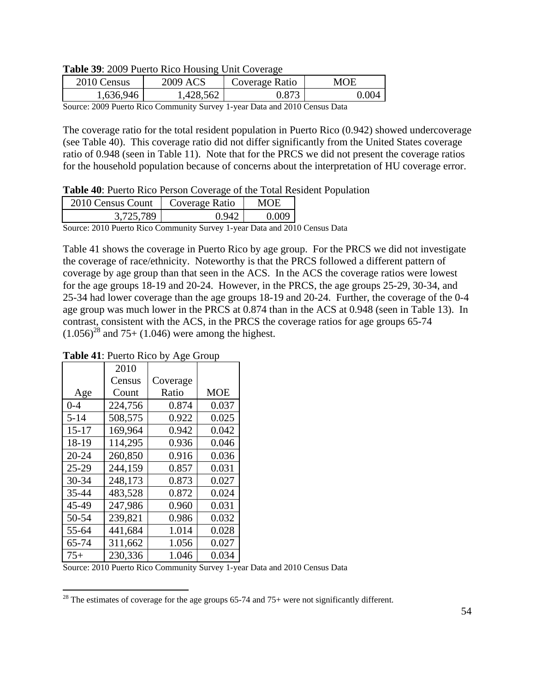**Table 39**: 2009 Puerto Rico Housing Unit Coverage

| 2010 Census         | <b>ACS</b><br>2009.     | Coverage Ratio | <b>IOE</b> |
|---------------------|-------------------------|----------------|------------|
| .636.946            | ,428,562                | O70            | -004       |
| $\sim$<br>- - - - - | $\sim$<br>$\sim$ $\sim$ | .<br>$\sim$    |            |

The coverage ratio for the total resident population in Puerto Rico (0.942) showed undercoverage (see Table 40). This coverage ratio did not differ significantly from the United States coverage ratio of 0.948 (seen in Table 11). Note that for the PRCS we did not present the coverage ratios for the household population because of concerns about the interpretation of HU coverage error.

#### **Table 40**: Puerto Rico Person Coverage of the Total Resident Population

| 2010 Census Count | Coverage Ratio | MOE   |
|-------------------|----------------|-------|
| 3.725.789         | 0 YA           | 0.009 |

Source: 2010 Puerto Rico Community Survey 1-year Data and 2010 Census Data

Table 41 shows the coverage in Puerto Rico by age group. For the PRCS we did not investigate the coverage of race/ethnicity. Noteworthy is that the PRCS followed a different pattern of coverage by age group than that seen in the ACS. In the ACS the coverage ratios were lowest for the age groups 18-19 and 20-24. However, in the PRCS, the age groups 25-29, 30-34, and 25-34 had lower coverage than the age groups 18-19 and 20-24. Further, the coverage of the 0-4 age group was much lower in the PRCS at 0.874 than in the ACS at 0.948 (seen in Table 13). In contrast, consistent with the ACS, in the PRCS the coverage ratios for age groups 65-74  $(1.056)^{28}$  and 75+ (1.046) were among the highest.

|           | 2010    |          |            |
|-----------|---------|----------|------------|
|           | Census  | Coverage |            |
| Age       | Count   | Ratio    | <b>MOE</b> |
| $0 - 4$   | 224,756 | 0.874    | 0.037      |
| $5 - 14$  | 508,575 | 0.922    | 0.025      |
| $15 - 17$ | 169,964 | 0.942    | 0.042      |
| 18-19     | 114,295 | 0.936    | 0.046      |
| $20 - 24$ | 260,850 | 0.916    | 0.036      |
| $25 - 29$ | 244,159 | 0.857    | 0.031      |
| $30 - 34$ | 248,173 | 0.873    | 0.027      |
| 35-44     | 483,528 | 0.872    | 0.024      |
| 45-49     | 247,986 | 0.960    | 0.031      |
| 50-54     | 239,821 | 0.986    | 0.032      |
| 55-64     | 441,684 | 1.014    | 0.028      |
| 65-74     | 311,662 | 1.056    | 0.027      |
| $75+$     | 230,336 | 1.046    | 0.034      |

 $\overline{a}$ 

**Table 41**: Puerto Rico by Age Group

<sup>&</sup>lt;sup>28</sup> The estimates of coverage for the age groups  $65-74$  and  $75+$  were not significantly different.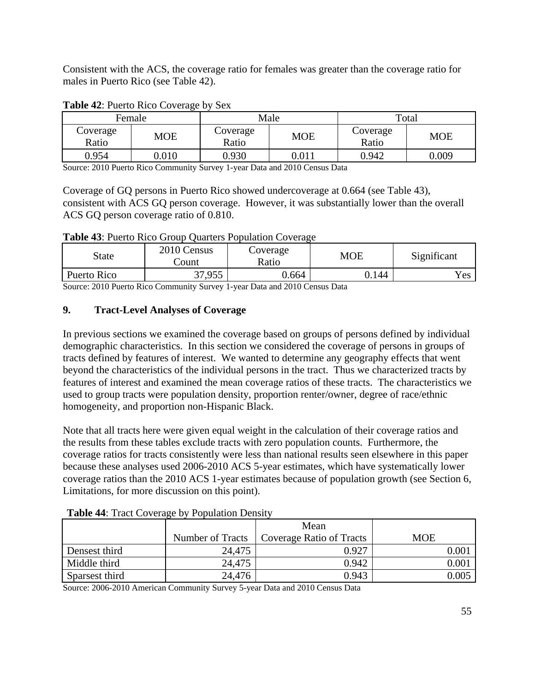Consistent with the ACS, the coverage ratio for females was greater than the coverage ratio for males in Puerto Rico (see Table 42).

|                   | Female     |                   | Male       |                   | Total      |
|-------------------|------------|-------------------|------------|-------------------|------------|
| Coverage<br>Ratio | <b>MOE</b> | Coverage<br>Ratio | <b>MOE</b> | Coverage<br>Ratio | <b>MOE</b> |
| 0.954             | 0.010      | 0.930             | $0.011\,$  | 0.942             | 0.009      |

#### **Table 42**: Puerto Rico Coverage by Sex

Source: 2010 Puerto Rico Community Survey 1-year Data and 2010 Census Data

Coverage of GQ persons in Puerto Rico showed undercoverage at 0.664 (see Table 43), consistent with ACS GQ person coverage. However, it was substantially lower than the overall ACS GQ person coverage ratio of 0.810.

**Table 43**: Puerto Rico Group Quarters Population Coverage

| State       | 2010 Census<br>.`ount | Coverage<br>Ratio | MOE   | Significant |
|-------------|-----------------------|-------------------|-------|-------------|
| Puerto Rico | 37,955                | 0.664             | 0.144 | Yes         |

Source: 2010 Puerto Rico Community Survey 1-year Data and 2010 Census Data

## **9. Tract-Level Analyses of Coverage**

In previous sections we examined the coverage based on groups of persons defined by individual demographic characteristics. In this section we considered the coverage of persons in groups of tracts defined by features of interest. We wanted to determine any geography effects that went beyond the characteristics of the individual persons in the tract. Thus we characterized tracts by features of interest and examined the mean coverage ratios of these tracts. The characteristics we used to group tracts were population density, proportion renter/owner, degree of race/ethnic homogeneity, and proportion non-Hispanic Black.

Note that all tracts here were given equal weight in the calculation of their coverage ratios and the results from these tables exclude tracts with zero population counts. Furthermore, the coverage ratios for tracts consistently were less than national results seen elsewhere in this paper because these analyses used 2006-2010 ACS 5-year estimates, which have systematically lower coverage ratios than the 2010 ACS 1-year estimates because of population growth (see Section 6, Limitations, for more discussion on this point).

|                |                  | Mean                            |          |
|----------------|------------------|---------------------------------|----------|
|                | Number of Tracts | <b>Coverage Ratio of Tracts</b> | MOE      |
| Densest third  | 24,475           | 0.927                           | $0.00\,$ |
| Middle third   | 24,475           | 0.942                           | $0.00\,$ |
| Sparsest third | 24,476           | 0.943                           | 0.005    |

**Table 44**: Tract Coverage by Population Density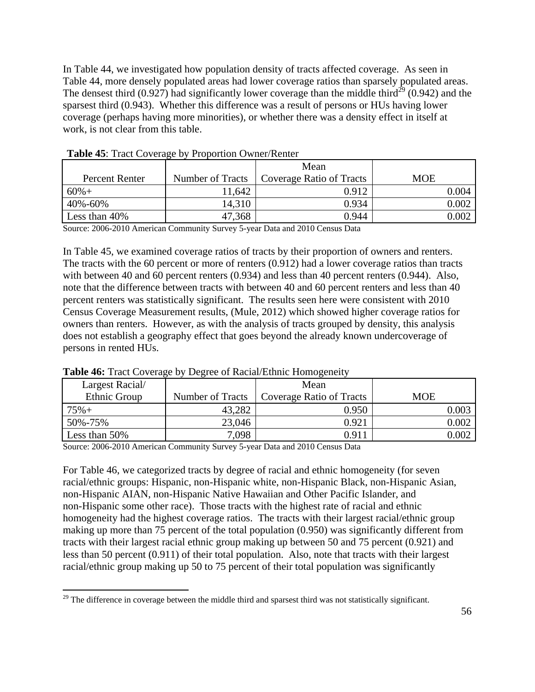In Table 44, we investigated how population density of tracts affected coverage. As seen in Table 44, more densely populated areas had lower coverage ratios than sparsely populated areas. The densest third (0.927) had significantly lower coverage than the middle third<sup>29</sup> (0.942) and the sparsest third (0.943). Whether this difference was a result of persons or HUs having lower coverage (perhaps having more minorities), or whether there was a density effect in itself at work, is not clear from this table.

|                                                  |                          | Mean                                     |           |
|--------------------------------------------------|--------------------------|------------------------------------------|-----------|
| Percent Renter                                   | Number of Tracts         | <b>Coverage Ratio of Tracts</b>          | MOE       |
| $60%+$                                           | 11,642                   | 0.912                                    | 0.004     |
| 40%-60%                                          | 14,310                   | 0.934                                    | $0.002\,$ |
| Less than 40%                                    | 47,368                   | 0.944                                    | $0.002\,$ |
| $A \cap A \neq A \cap A \cap A$<br>$\sim$ $\sim$ | $\sim$<br>$\cdot$ $\sim$ | $\sim$<br>$\sim$ $\sim$<br>$\sim$ $\sim$ |           |

**Table 45**: Tract Coverage by Proportion Owner/Renter

Source: 2006-2010 American Community Survey 5-year Data and 2010 Census Data

In Table 45, we examined coverage ratios of tracts by their proportion of owners and renters. The tracts with the 60 percent or more of renters (0.912) had a lower coverage ratios than tracts with between 40 and 60 percent renters (0.934) and less than 40 percent renters (0.944). Also, note that the difference between tracts with between 40 and 60 percent renters and less than 40 percent renters was statistically significant. The results seen here were consistent with 2010 Census Coverage Measurement results, (Mule, 2012) which showed higher coverage ratios for owners than renters. However, as with the analysis of tracts grouped by density, this analysis does not establish a geography effect that goes beyond the already known undercoverage of persons in rented HUs.

| Largest Racial/ |                  | Mean                            |       |
|-----------------|------------------|---------------------------------|-------|
| Ethnic Group    | Number of Tracts | <b>Coverage Ratio of Tracts</b> | MOE   |
| $75% +$         | 43,282           | 0.950                           | 0.003 |
| 50%-75%         | 23,046           | 0.921                           | 0.002 |
| Less than 50%   | 7,098            | 0.911                           | 0.002 |

#### **Table 46:** Tract Coverage by Degree of Racial/Ethnic Homogeneity

Source: 2006-2010 American Community Survey 5-year Data and 2010 Census Data

For Table 46, we categorized tracts by degree of racial and ethnic homogeneity (for seven racial/ethnic groups: Hispanic, non-Hispanic white, non-Hispanic Black, non-Hispanic Asian, non-Hispanic AIAN, non-Hispanic Native Hawaiian and Other Pacific Islander, and non-Hispanic some other race). Those tracts with the highest rate of racial and ethnic homogeneity had the highest coverage ratios. The tracts with their largest racial/ethnic group making up more than 75 percent of the total population (0.950) was significantly different from tracts with their largest racial ethnic group making up between 50 and 75 percent (0.921) and less than 50 percent (0.911) of their total population. Also, note that tracts with their largest racial/ethnic group making up 50 to 75 percent of their total population was significantly

 $\overline{a}$ <sup>29</sup> The difference in coverage between the middle third and sparsest third was not statistically significant.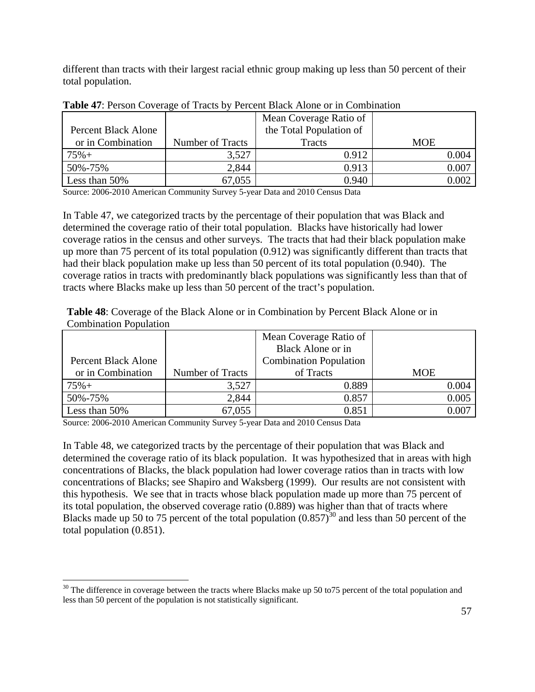different than tracts with their largest racial ethnic group making up less than 50 percent of their total population.

|                     |                  | Mean Coverage Ratio of  |            |
|---------------------|------------------|-------------------------|------------|
| Percent Black Alone |                  | the Total Population of |            |
| or in Combination   | Number of Tracts | Tracts                  | <b>MOE</b> |
| $75% +$             | 3,527            | 0.912                   | 0.004      |
| 50%-75%             | 2,844            | 0.913                   | 0.007      |
| Less than 50%       | 67,055           | 0.940                   | 0.002      |

**Table 47**: Person Coverage of Tracts by Percent Black Alone or in Combination

Source: 2006-2010 American Community Survey 5-year Data and 2010 Census Data

In Table 47, we categorized tracts by the percentage of their population that was Black and determined the coverage ratio of their total population. Blacks have historically had lower coverage ratios in the census and other surveys. The tracts that had their black population make up more than 75 percent of its total population (0.912) was significantly different than tracts that had their black population make up less than 50 percent of its total population (0.940). The coverage ratios in tracts with predominantly black populations was significantly less than that of tracts where Blacks make up less than 50 percent of the tract's population.

**Table 48**: Coverage of the Black Alone or in Combination by Percent Black Alone or in Combination Population

|                     |                  | Mean Coverage Ratio of        |            |
|---------------------|------------------|-------------------------------|------------|
|                     |                  | <b>Black Alone or in</b>      |            |
| Percent Black Alone |                  | <b>Combination Population</b> |            |
| or in Combination   | Number of Tracts | of Tracts                     | <b>MOE</b> |
| $75% +$             | 3,527            | 0.889                         | 0.004      |
| 50%-75%             | 2,844            | 0.857                         | 0.005      |
| Less than 50%       | 67,055           | 0.851                         | $0.007\,$  |

Source: 2006-2010 American Community Survey 5-year Data and 2010 Census Data

 $\overline{a}$ 

In Table 48, we categorized tracts by the percentage of their population that was Black and determined the coverage ratio of its black population. It was hypothesized that in areas with high concentrations of Blacks, the black population had lower coverage ratios than in tracts with low concentrations of Blacks; see Shapiro and Waksberg (1999). Our results are not consistent with this hypothesis. We see that in tracts whose black population made up more than 75 percent of its total population, the observed coverage ratio (0.889) was higher than that of tracts where Blacks made up 50 to 75 percent of the total population  $(0.857)^{30}$  and less than 50 percent of the total population (0.851).

 $30$  The difference in coverage between the tracts where Blacks make up 50 to 75 percent of the total population and less than 50 percent of the population is not statistically significant.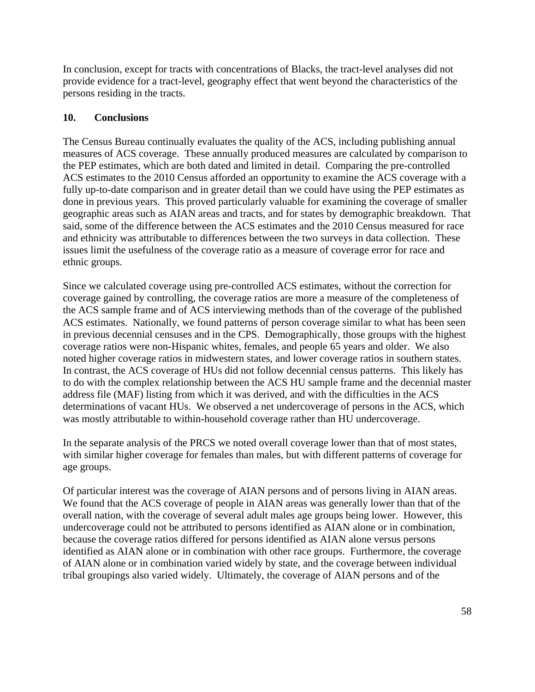In conclusion, except for tracts with concentrations of Blacks, the tract-level analyses did not provide evidence for a tract-level, geography effect that went beyond the characteristics of the persons residing in the tracts.

#### **10. Conclusions**

The Census Bureau continually evaluates the quality of the ACS, including publishing annual measures of ACS coverage. These annually produced measures are calculated by comparison to the PEP estimates, which are both dated and limited in detail. Comparing the pre-controlled ACS estimates to the 2010 Census afforded an opportunity to examine the ACS coverage with a fully up-to-date comparison and in greater detail than we could have using the PEP estimates as done in previous years. This proved particularly valuable for examining the coverage of smaller geographic areas such as AIAN areas and tracts, and for states by demographic breakdown. That said, some of the difference between the ACS estimates and the 2010 Census measured for race and ethnicity was attributable to differences between the two surveys in data collection. These issues limit the usefulness of the coverage ratio as a measure of coverage error for race and ethnic groups.

Since we calculated coverage using pre-controlled ACS estimates, without the correction for coverage gained by controlling, the coverage ratios are more a measure of the completeness of the ACS sample frame and of ACS interviewing methods than of the coverage of the published ACS estimates. Nationally, we found patterns of person coverage similar to what has been seen in previous decennial censuses and in the CPS. Demographically, those groups with the highest coverage ratios were non-Hispanic whites, females, and people 65 years and older. We also noted higher coverage ratios in midwestern states, and lower coverage ratios in southern states. In contrast, the ACS coverage of HUs did not follow decennial census patterns. This likely has to do with the complex relationship between the ACS HU sample frame and the decennial master address file (MAF) listing from which it was derived, and with the difficulties in the ACS determinations of vacant HUs. We observed a net undercoverage of persons in the ACS, which was mostly attributable to within-household coverage rather than HU undercoverage.

In the separate analysis of the PRCS we noted overall coverage lower than that of most states, with similar higher coverage for females than males, but with different patterns of coverage for age groups.

Of particular interest was the coverage of AIAN persons and of persons living in AIAN areas. We found that the ACS coverage of people in AIAN areas was generally lower than that of the overall nation, with the coverage of several adult males age groups being lower. However, this undercoverage could not be attributed to persons identified as AIAN alone or in combination, because the coverage ratios differed for persons identified as AIAN alone versus persons identified as AIAN alone or in combination with other race groups. Furthermore, the coverage of AIAN alone or in combination varied widely by state, and the coverage between individual tribal groupings also varied widely. Ultimately, the coverage of AIAN persons and of the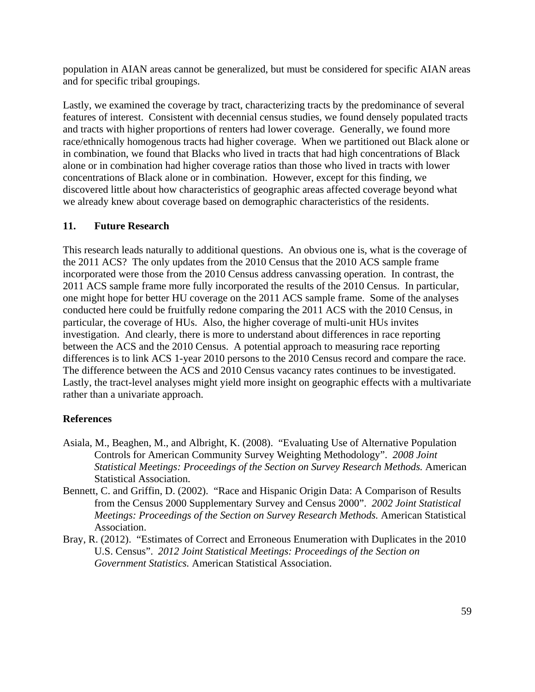population in AIAN areas cannot be generalized, but must be considered for specific AIAN areas and for specific tribal groupings.

Lastly, we examined the coverage by tract, characterizing tracts by the predominance of several features of interest. Consistent with decennial census studies, we found densely populated tracts and tracts with higher proportions of renters had lower coverage. Generally, we found more race/ethnically homogenous tracts had higher coverage. When we partitioned out Black alone or in combination, we found that Blacks who lived in tracts that had high concentrations of Black alone or in combination had higher coverage ratios than those who lived in tracts with lower concentrations of Black alone or in combination. However, except for this finding, we discovered little about how characteristics of geographic areas affected coverage beyond what we already knew about coverage based on demographic characteristics of the residents.

## **11. Future Research**

This research leads naturally to additional questions. An obvious one is, what is the coverage of the 2011 ACS? The only updates from the 2010 Census that the 2010 ACS sample frame incorporated were those from the 2010 Census address canvassing operation. In contrast, the 2011 ACS sample frame more fully incorporated the results of the 2010 Census. In particular, one might hope for better HU coverage on the 2011 ACS sample frame. Some of the analyses conducted here could be fruitfully redone comparing the 2011 ACS with the 2010 Census, in particular, the coverage of HUs. Also, the higher coverage of multi-unit HUs invites investigation. And clearly, there is more to understand about differences in race reporting between the ACS and the 2010 Census. A potential approach to measuring race reporting differences is to link ACS 1-year 2010 persons to the 2010 Census record and compare the race. The difference between the ACS and 2010 Census vacancy rates continues to be investigated. Lastly, the tract-level analyses might yield more insight on geographic effects with a multivariate rather than a univariate approach.

#### **References**

- Asiala, M., Beaghen, M., and Albright, K. (2008). "Evaluating Use of Alternative Population Controls for American Community Survey Weighting Methodology". *2008 Joint Statistical Meetings: Proceedings of the Section on Survey Research Methods.* American Statistical Association.
- Bennett, C. and Griffin, D. (2002). "Race and Hispanic Origin Data: A Comparison of Results from the Census 2000 Supplementary Survey and Census 2000". *2002 Joint Statistical Meetings: Proceedings of the Section on Survey Research Methods.* American Statistical Association.
- Bray, R. (2012). "Estimates of Correct and Erroneous Enumeration with Duplicates in the 2010 U.S. Census". *2012 Joint Statistical Meetings: Proceedings of the Section on Government Statistics.* American Statistical Association.